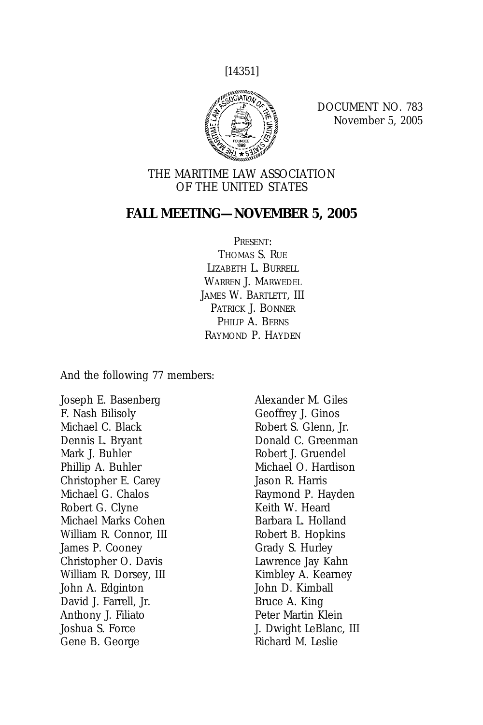[14351]



DOCUMENT NO. 783 November 5, 2005

### THE MARITIME LAW ASSOCIATION OF THE UNITED STATES

### **FALL MEETING—NOVEMBER 5, 2005**

PRESENT:

THOMAS S. RUE LIZABETH L. BURRELL WARREN J. MARWEDEL JAMES W. BARTLETT, III PATRICK J. BONNER PHILIP A. BERNS RAYMOND P. HAYDEN

And the following 77 members:

Joseph E. Basenberg F. Nash Bilisoly Michael C. Black Dennis L. Bryant Mark J. Buhler Phillip A. Buhler Christopher E. Carey Michael G. Chalos Robert G. Clyne Michael Marks Cohen William R. Connor, III James P. Cooney Christopher O. Davis William R. Dorsey, III John A. Edginton David J. Farrell, Jr. Anthony J. Filiato Joshua S. Force Gene B. George

Alexander M. Giles Geoffrey J. Ginos Robert S. Glenn, Jr. Donald C. Greenman Robert J. Gruendel Michael O. Hardison Jason R. Harris Raymond P. Hayden Keith W. Heard Barbara L. Holland Robert B. Hopkins Grady S. Hurley Lawrence Jay Kahn Kimbley A. Kearney John D. Kimball Bruce A. King Peter Martin Klein J. Dwight LeBlanc, III Richard M. Leslie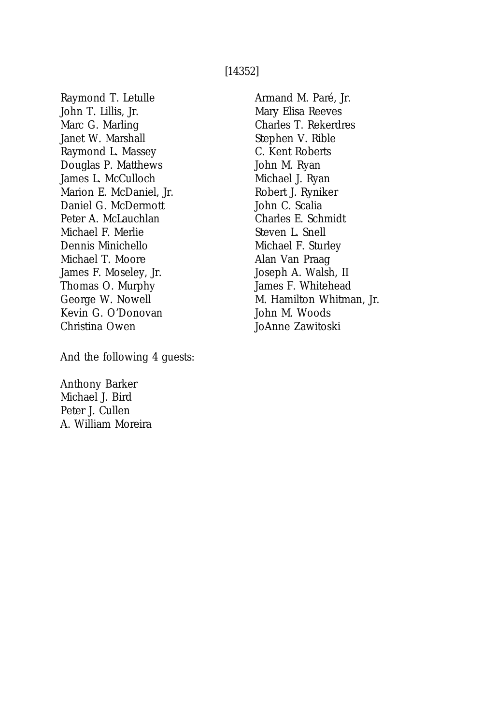#### [14352]

Raymond T. Letulle John T. Lillis, Jr. Marc G. Marling Janet W. Marshall Raymond L. Massey Douglas P. Matthews James L. McCulloch Marion E. McDaniel, Jr. Daniel G. McDermott Peter A. McLauchlan Michael F. Merlie Dennis Minichello Michael T. Moore James F. Moseley, Jr. Thomas O. Murphy George W. Nowell Kevin G. O'Donovan Christina Owen

And the following 4 guests:

Anthony Barker Michael J. Bird Peter J. Cullen A. William Moreira Armand M. Paré, Jr. Mary Elisa Reeves Charles T. Rekerdres Stephen V. Rible C. Kent Roberts John M. Ryan Michael J. Ryan Robert J. Ryniker John C. Scalia Charles E. Schmidt Steven L. Snell Michael F. Sturley Alan Van Praag Joseph A. Walsh, II James F. Whitehead M. Hamilton Whitman, Jr. John M. Woods JoAnne Zawitoski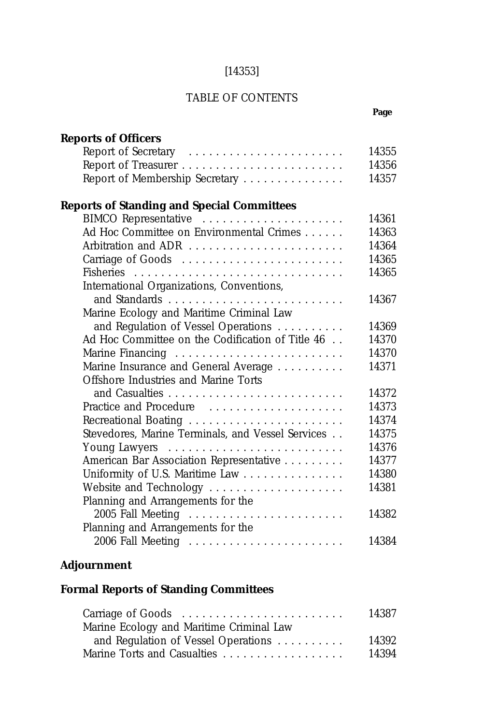## [14353]

## TABLE OF CONTENTS

# **Page**

| <b>Reports of Officers</b>                        |       |
|---------------------------------------------------|-------|
| Report of Secretary                               | 14355 |
|                                                   | 14356 |
| Report of Membership Secretary                    | 14357 |
| <b>Reports of Standing and Special Committees</b> |       |
| BIMCO Representative                              | 14361 |
| Ad Hoc Committee on Environmental Crimes          | 14363 |
| Arbitration and ADR                               | 14364 |
|                                                   | 14365 |
|                                                   | 14365 |
| International Organizations, Conventions,         |       |
|                                                   | 14367 |
| Marine Ecology and Maritime Criminal Law          |       |
| and Regulation of Vessel Operations               | 14369 |
| Ad Hoc Committee on the Codification of Title 46  | 14370 |
|                                                   | 14370 |
| Marine Insurance and General Average              | 14371 |
| Offshore Industries and Marine Torts              |       |
|                                                   | 14372 |
| Practice and Procedure                            | 14373 |
| Recreational Boating                              | 14374 |
| Stevedores, Marine Terminals, and Vessel Services | 14375 |
|                                                   | 14376 |
| American Bar Association Representative           | 14377 |
| Uniformity of U.S. Maritime Law                   | 14380 |
| Website and Technology                            | 14381 |
| Planning and Arrangements for the                 |       |
| 2005 Fall Meeting                                 | 14382 |
| Planning and Arrangements for the                 |       |
| 2006 Fall Meeting                                 | 14384 |
|                                                   |       |

## **Adjournment**

# **Formal Reports of Standing Committees**

|                                          | 14387 |
|------------------------------------------|-------|
| Marine Ecology and Maritime Criminal Law |       |
| and Regulation of Vessel Operations      | 14392 |
|                                          | 14394 |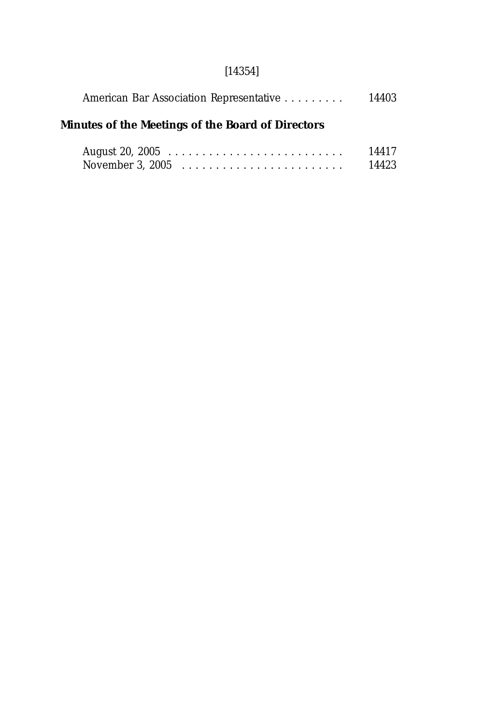# [14354]

| American Bar Association Representative           | 14403 |
|---------------------------------------------------|-------|
| Minutes of the Meetings of the Board of Directors |       |

|                                                              |  |  |  |  |  |  |  |  |  |  |  | 14417 |
|--------------------------------------------------------------|--|--|--|--|--|--|--|--|--|--|--|-------|
| November 3, 2005 $\dots \dots \dots \dots \dots \dots \dots$ |  |  |  |  |  |  |  |  |  |  |  | 14423 |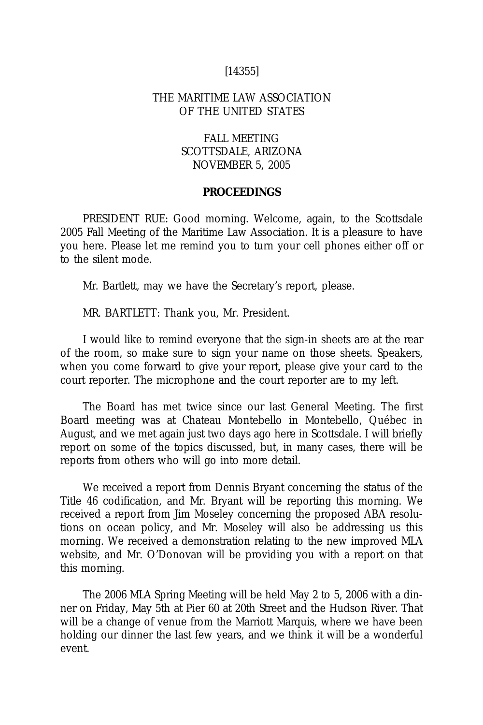### [14355]

### THE MARITIME LAW ASSOCIATION OF THE UNITED STATES

### FALL MEETING SCOTTSDALE, ARIZONA NOVEMBER 5, 2005

#### **PROCEEDINGS**

PRESIDENT RUE: Good morning. Welcome, again, to the Scottsdale 2005 Fall Meeting of the Maritime Law Association. It is a pleasure to have you here. Please let me remind you to turn your cell phones either off or to the silent mode.

Mr. Bartlett, may we have the Secretary's report, please.

MR. BARTLETT: Thank you, Mr. President.

I would like to remind everyone that the sign-in sheets are at the rear of the room, so make sure to sign your name on those sheets. Speakers, when you come forward to give your report, please give your card to the court reporter. The microphone and the court reporter are to my left.

The Board has met twice since our last General Meeting. The first Board meeting was at Chateau Montebello in Montebello, Québec in August, and we met again just two days ago here in Scottsdale. I will briefly report on some of the topics discussed, but, in many cases, there will be reports from others who will go into more detail.

We received a report from Dennis Bryant concerning the status of the Title 46 codification, and Mr. Bryant will be reporting this morning. We received a report from Jim Moseley concerning the proposed ABA resolutions on ocean policy, and Mr. Moseley will also be addressing us this morning. We received a demonstration relating to the new improved MLA website, and Mr. O'Donovan will be providing you with a report on that this morning.

The 2006 MLA Spring Meeting will be held May 2 to 5, 2006 with a dinner on Friday, May 5th at Pier 60 at 20th Street and the Hudson River. That will be a change of venue from the Marriott Marquis, where we have been holding our dinner the last few years, and we think it will be a wonderful event.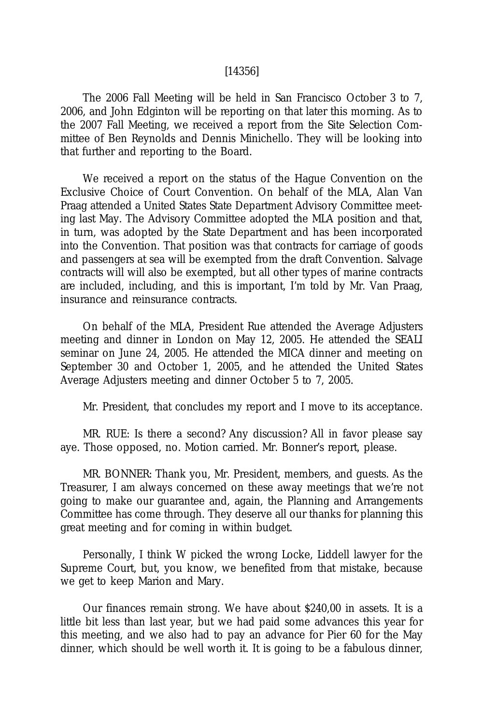#### [14356]

The 2006 Fall Meeting will be held in San Francisco October 3 to 7, 2006, and John Edginton will be reporting on that later this morning. As to the 2007 Fall Meeting, we received a report from the Site Selection Committee of Ben Reynolds and Dennis Minichello. They will be looking into that further and reporting to the Board.

We received a report on the status of the Hague Convention on the Exclusive Choice of Court Convention. On behalf of the MLA, Alan Van Praag attended a United States State Department Advisory Committee meeting last May. The Advisory Committee adopted the MLA position and that, in turn, was adopted by the State Department and has been incorporated into the Convention. That position was that contracts for carriage of goods and passengers at sea will be exempted from the draft Convention. Salvage contracts will will also be exempted, but all other types of marine contracts are included, including, and this is important, I'm told by Mr. Van Praag, insurance and reinsurance contracts.

On behalf of the MLA, President Rue attended the Average Adjusters meeting and dinner in London on May 12, 2005. He attended the SEALI seminar on June 24, 2005. He attended the MICA dinner and meeting on September 30 and October 1, 2005, and he attended the United States Average Adjusters meeting and dinner October 5 to 7, 2005.

Mr. President, that concludes my report and I move to its acceptance.

MR. RUE: Is there a second? Any discussion? All in favor please say aye. Those opposed, no. Motion carried. Mr. Bonner's report, please.

MR. BONNER: Thank you, Mr. President, members, and guests. As the Treasurer, I am always concerned on these away meetings that we're not going to make our guarantee and, again, the Planning and Arrangements Committee has come through. They deserve all our thanks for planning this great meeting and for coming in within budget.

Personally, I think W picked the wrong Locke, Liddell lawyer for the Supreme Court, but, you know, we benefited from that mistake, because we get to keep Marion and Mary.

Our finances remain strong. We have about \$240,00 in assets. It is a little bit less than last year, but we had paid some advances this year for this meeting, and we also had to pay an advance for Pier 60 for the May dinner, which should be well worth it. It is going to be a fabulous dinner,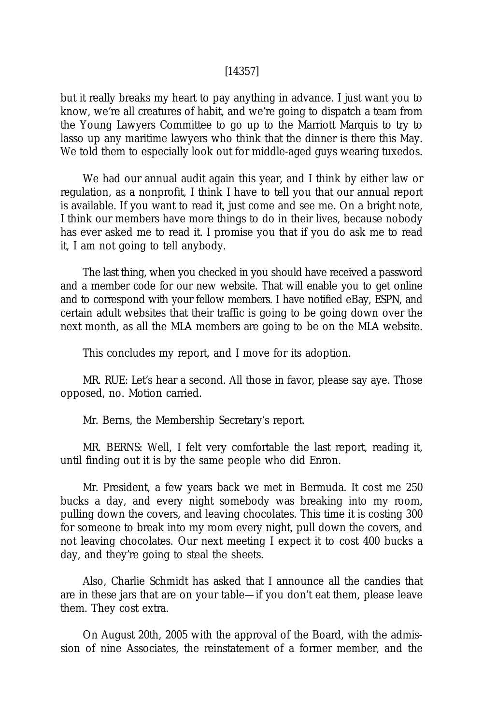#### [14357]

but it really breaks my heart to pay anything in advance. I just want you to know, we're all creatures of habit, and we're going to dispatch a team from the Young Lawyers Committee to go up to the Marriott Marquis to try to lasso up any maritime lawyers who think that the dinner is there this May. We told them to especially look out for middle-aged guys wearing tuxedos.

We had our annual audit again this year, and I think by either law or regulation, as a nonprofit, I think I have to tell you that our annual report is available. If you want to read it, just come and see me. On a bright note, I think our members have more things to do in their lives, because nobody has ever asked me to read it. I promise you that if you do ask me to read it, I am not going to tell anybody.

The last thing, when you checked in you should have received a password and a member code for our new website. That will enable you to get online and to correspond with your fellow members. I have notified eBay, ESPN, and certain adult websites that their traffic is going to be going down over the next month, as all the MLA members are going to be on the MLA website.

This concludes my report, and I move for its adoption.

MR. RUE: Let's hear a second. All those in favor, please say aye. Those opposed, no. Motion carried.

Mr. Berns, the Membership Secretary's report.

MR. BERNS: Well, I felt very comfortable the last report, reading it, until finding out it is by the same people who did Enron.

Mr. President, a few years back we met in Bermuda. It cost me 250 bucks a day, and every night somebody was breaking into my room, pulling down the covers, and leaving chocolates. This time it is costing 300 for someone to break into my room every night, pull down the covers, and not leaving chocolates. Our next meeting I expect it to cost 400 bucks a day, and they're going to steal the sheets.

Also, Charlie Schmidt has asked that I announce all the candies that are in these jars that are on your table—if you don't eat them, please leave them. They cost extra.

On August 20th, 2005 with the approval of the Board, with the admission of nine Associates, the reinstatement of a former member, and the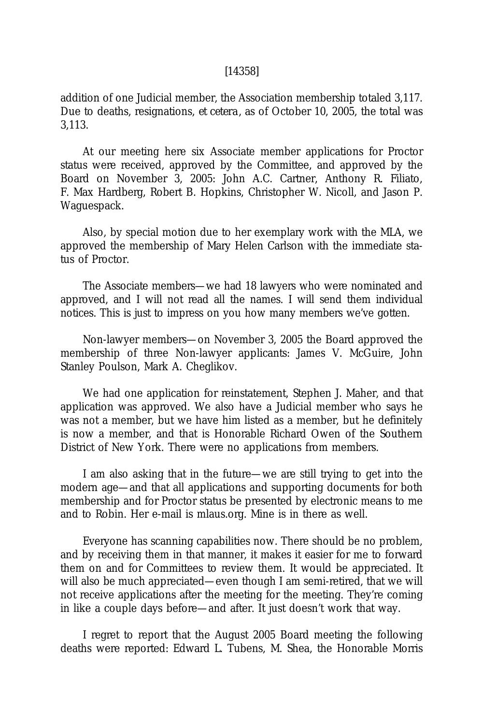#### [14358]

addition of one Judicial member, the Association membership totaled 3,117. Due to deaths, resignations, *et cetera,* as of October 10, 2005, the total was 3,113.

At our meeting here six Associate member applications for Proctor status were received, approved by the Committee, and approved by the Board on November 3, 2005: John A.C. Cartner, Anthony R. Filiato, F. Max Hardberg, Robert B. Hopkins, Christopher W. Nicoll, and Jason P. Waguespack.

Also, by special motion due to her exemplary work with the MLA, we approved the membership of Mary Helen Carlson with the immediate status of Proctor.

The Associate members—we had 18 lawyers who were nominated and approved, and I will not read all the names. I will send them individual notices. This is just to impress on you how many members we've gotten.

Non-lawyer members—on November 3, 2005 the Board approved the membership of three Non-lawyer applicants: James V. McGuire, John Stanley Poulson, Mark A. Cheglikov.

We had one application for reinstatement, Stephen J. Maher, and that application was approved. We also have a Judicial member who says he was not a member, but we have him listed as a member, but he definitely is now a member, and that is Honorable Richard Owen of the Southern District of New York. There were no applications from members.

I am also asking that in the future—we are still trying to get into the modern age—and that all applications and supporting documents for both membership and for Proctor status be presented by electronic means to me and to Robin. Her e-mail is mlaus.org. Mine is in there as well.

Everyone has scanning capabilities now. There should be no problem, and by receiving them in that manner, it makes it easier for me to forward them on and for Committees to review them. It would be appreciated. It will also be much appreciated—even though I am semi-retired, that we will not receive applications after the meeting for the meeting. They're coming in like a couple days before—and after. It just doesn't work that way.

I regret to report that the August 2005 Board meeting the following deaths were reported: Edward L. Tubens, M. Shea, the Honorable Morris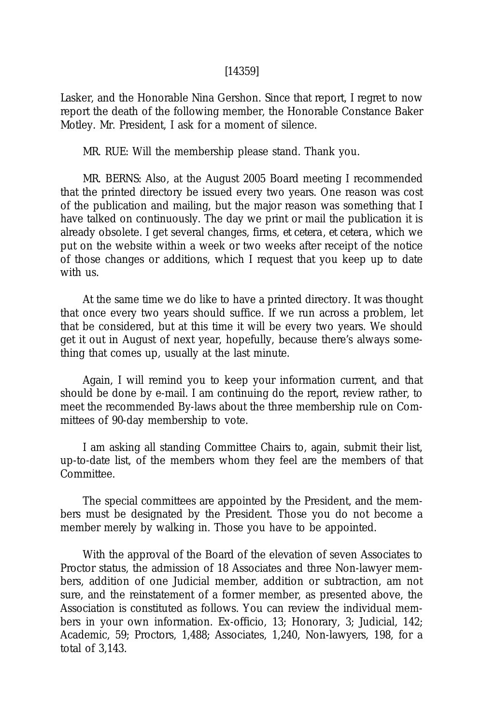#### [14359]

Lasker, and the Honorable Nina Gershon. Since that report, I regret to now report the death of the following member, the Honorable Constance Baker Motley. Mr. President, I ask for a moment of silence.

MR. RUE: Will the membership please stand. Thank you.

MR. BERNS: Also, at the August 2005 Board meeting I recommended that the printed directory be issued every two years. One reason was cost of the publication and mailing, but the major reason was something that I have talked on continuously. The day we print or mail the publication it is already obsolete. I get several changes, firms, *et cetera, et cetera,* which we put on the website within a week or two weeks after receipt of the notice of those changes or additions, which I request that you keep up to date with us.

At the same time we do like to have a printed directory. It was thought that once every two years should suffice. If we run across a problem, let that be considered, but at this time it will be every two years. We should get it out in August of next year, hopefully, because there's always something that comes up, usually at the last minute.

Again, I will remind you to keep your information current, and that should be done by e-mail. I am continuing do the report, review rather, to meet the recommended By-laws about the three membership rule on Committees of 90-day membership to vote.

I am asking all standing Committee Chairs to, again, submit their list, up-to-date list, of the members whom they feel are the members of that Committee.

The special committees are appointed by the President, and the members must be designated by the President. Those you do not become a member merely by walking in. Those you have to be appointed.

With the approval of the Board of the elevation of seven Associates to Proctor status, the admission of 18 Associates and three Non-lawyer members, addition of one Judicial member, addition or subtraction, am not sure, and the reinstatement of a former member, as presented above, the Association is constituted as follows. You can review the individual members in your own information. Ex-officio, 13; Honorary, 3; Judicial, 142; Academic, 59; Proctors, 1,488; Associates, 1,240, Non-lawyers, 198, for a total of 3,143.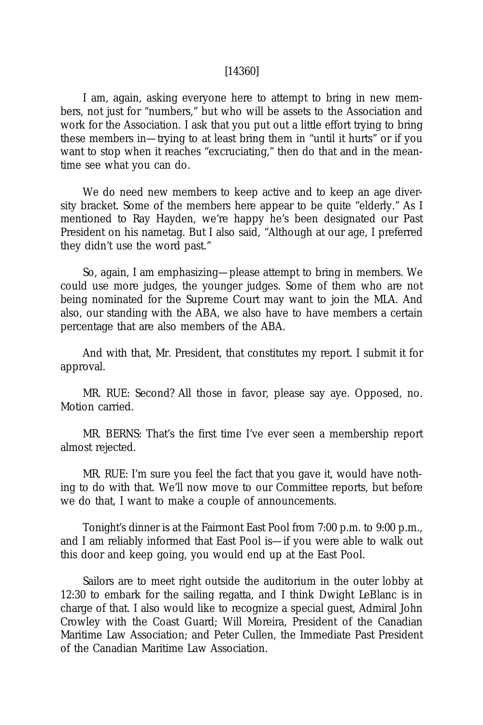#### [14360]

I am, again, asking everyone here to attempt to bring in new members, not just for "numbers," but who will be assets to the Association and work for the Association. I ask that you put out a little effort trying to bring these members in—trying to at least bring them in "until it hurts" or if you want to stop when it reaches "excruciating," then do that and in the meantime see what you can do.

We do need new members to keep active and to keep an age diversity bracket. Some of the members here appear to be quite "elderly." As I mentioned to Ray Hayden, we're happy he's been designated our Past President on his nametag. But I also said, "Although at our age, I preferred they didn't use the word past."

So, again, I am emphasizing—please attempt to bring in members. We could use more judges, the younger judges. Some of them who are not being nominated for the Supreme Court may want to join the MLA. And also, our standing with the ABA, we also have to have members a certain percentage that are also members of the ABA.

And with that, Mr. President, that constitutes my report. I submit it for approval.

MR. RUE: Second? All those in favor, please say aye. Opposed, no. Motion carried.

MR. BERNS: That's the first time I've ever seen a membership report almost rejected.

MR. RUE: I'm sure you feel the fact that you gave it, would have nothing to do with that. We'll now move to our Committee reports, but before we do that, I want to make a couple of announcements.

Tonight's dinner is at the Fairmont East Pool from 7:00 p.m. to 9:00 p.m., and I am reliably informed that East Pool is—if you were able to walk out this door and keep going, you would end up at the East Pool.

Sailors are to meet right outside the auditorium in the outer lobby at 12:30 to embark for the sailing regatta, and I think Dwight LeBlanc is in charge of that. I also would like to recognize a special guest, Admiral John Crowley with the Coast Guard; Will Moreira, President of the Canadian Maritime Law Association; and Peter Cullen, the Immediate Past President of the Canadian Maritime Law Association.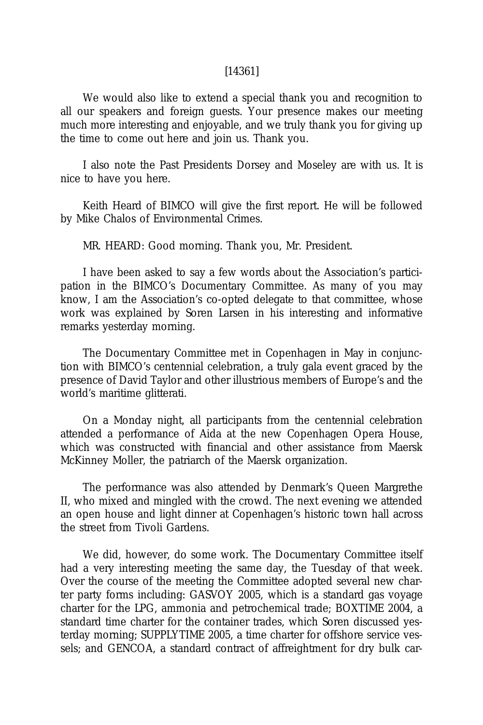#### [14361]

We would also like to extend a special thank you and recognition to all our speakers and foreign guests. Your presence makes our meeting much more interesting and enjoyable, and we truly thank you for giving up the time to come out here and join us. Thank you.

I also note the Past Presidents Dorsey and Moseley are with us. It is nice to have you here.

Keith Heard of BIMCO will give the first report. He will be followed by Mike Chalos of Environmental Crimes.

MR. HEARD: Good morning. Thank you, Mr. President.

I have been asked to say a few words about the Association's participation in the BIMCO's Documentary Committee. As many of you may know, I am the Association's co-opted delegate to that committee, whose work was explained by Soren Larsen in his interesting and informative remarks yesterday morning.

The Documentary Committee met in Copenhagen in May in conjunction with BIMCO's centennial celebration, a truly gala event graced by the presence of David Taylor and other illustrious members of Europe's and the world's maritime glitterati.

On a Monday night, all participants from the centennial celebration attended a performance of Aida at the new Copenhagen Opera House, which was constructed with financial and other assistance from Maersk McKinney Moller, the patriarch of the Maersk organization.

The performance was also attended by Denmark's Queen Margrethe II, who mixed and mingled with the crowd. The next evening we attended an open house and light dinner at Copenhagen's historic town hall across the street from Tivoli Gardens.

We did, however, do some work. The Documentary Committee itself had a very interesting meeting the same day, the Tuesday of that week. Over the course of the meeting the Committee adopted several new charter party forms including: GASVOY 2005, which is a standard gas voyage charter for the LPG, ammonia and petrochemical trade; BOXTIME 2004, a standard time charter for the container trades, which Soren discussed yesterday morning; SUPPLYTIME 2005, a time charter for offshore service vessels; and GENCOA, a standard contract of affreightment for dry bulk car-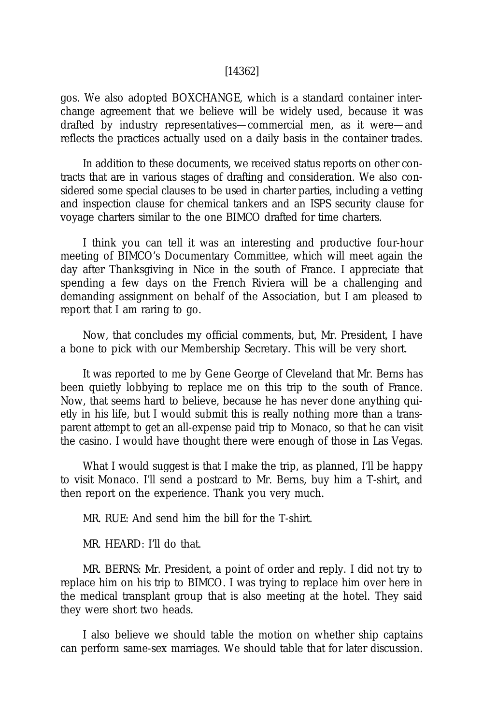#### [14362]

gos. We also adopted BOXCHANGE, which is a standard container interchange agreement that we believe will be widely used, because it was drafted by industry representatives—commercial men, as it were—and reflects the practices actually used on a daily basis in the container trades.

In addition to these documents, we received status reports on other contracts that are in various stages of drafting and consideration. We also considered some special clauses to be used in charter parties, including a vetting and inspection clause for chemical tankers and an ISPS security clause for voyage charters similar to the one BIMCO drafted for time charters.

I think you can tell it was an interesting and productive four-hour meeting of BIMCO's Documentary Committee, which will meet again the day after Thanksgiving in Nice in the south of France. I appreciate that spending a few days on the French Riviera will be a challenging and demanding assignment on behalf of the Association, but I am pleased to report that I am raring to go.

Now, that concludes my official comments, but, Mr. President, I have a bone to pick with our Membership Secretary. This will be very short.

It was reported to me by Gene George of Cleveland that Mr. Berns has been quietly lobbying to replace me on this trip to the south of France. Now, that seems hard to believe, because he has never done anything quietly in his life, but I would submit this is really nothing more than a transparent attempt to get an all-expense paid trip to Monaco, so that he can visit the casino. I would have thought there were enough of those in Las Vegas.

What I would suggest is that I make the trip, as planned, I'll be happy to visit Monaco. I'll send a postcard to Mr. Berns, buy him a T-shirt, and then report on the experience. Thank you very much.

MR. RUE: And send him the bill for the T-shirt.

MR. HEARD: I'll do that.

MR. BERNS: Mr. President, a point of order and reply. I did not try to replace him on his trip to BIMCO. I was trying to replace him over here in the medical transplant group that is also meeting at the hotel. They said they were short two heads.

I also believe we should table the motion on whether ship captains can perform same-sex marriages. We should table that for later discussion.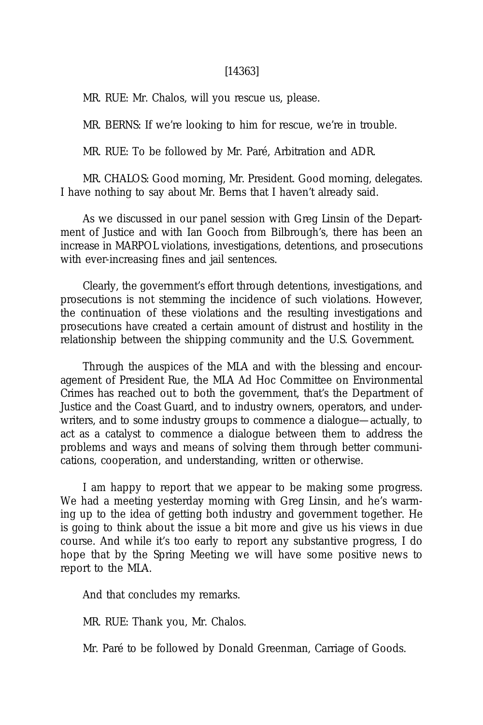#### [14363]

MR. RUE: Mr. Chalos, will you rescue us, please.

MR. BERNS: If we're looking to him for rescue, we're in trouble.

MR. RUE: To be followed by Mr. Paré, Arbitration and ADR.

MR. CHALOS: Good morning, Mr. President. Good morning, delegates. I have nothing to say about Mr. Berns that I haven't already said.

As we discussed in our panel session with Greg Linsin of the Department of Justice and with Ian Gooch from Bilbrough's, there has been an increase in MARPOL violations, investigations, detentions, and prosecutions with ever-increasing fines and jail sentences.

Clearly, the government's effort through detentions, investigations, and prosecutions is not stemming the incidence of such violations. However, the continuation of these violations and the resulting investigations and prosecutions have created a certain amount of distrust and hostility in the relationship between the shipping community and the U.S. Government.

Through the auspices of the MLA and with the blessing and encouragement of President Rue, the MLA Ad Hoc Committee on Environmental Crimes has reached out to both the government, that's the Department of Justice and the Coast Guard, and to industry owners, operators, and underwriters, and to some industry groups to commence a dialogue—actually, to act as a catalyst to commence a dialogue between them to address the problems and ways and means of solving them through better communications, cooperation, and understanding, written or otherwise.

I am happy to report that we appear to be making some progress. We had a meeting yesterday morning with Greg Linsin, and he's warming up to the idea of getting both industry and government together. He is going to think about the issue a bit more and give us his views in due course. And while it's too early to report any substantive progress, I do hope that by the Spring Meeting we will have some positive news to report to the MLA.

And that concludes my remarks.

MR. RUE: Thank you, Mr. Chalos.

Mr. Paré to be followed by Donald Greenman, Carriage of Goods.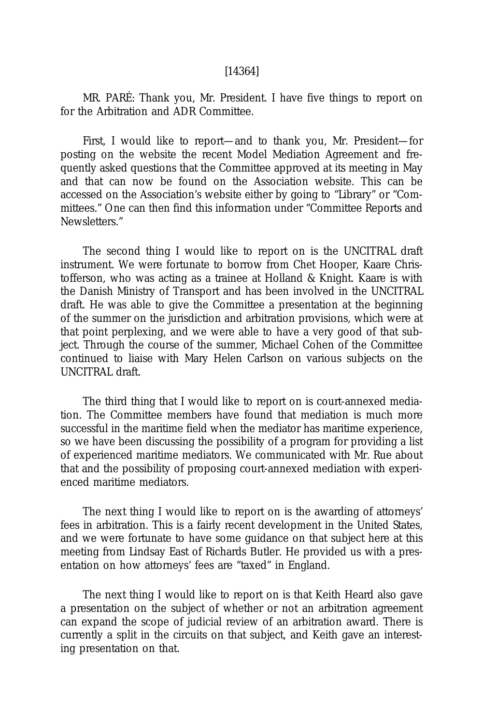#### [14364]

MR. PARÉ: Thank you, Mr. President. I have five things to report on for the Arbitration and ADR Committee.

First, I would like to report—and to thank you, Mr. President—for posting on the website the recent Model Mediation Agreement and frequently asked questions that the Committee approved at its meeting in May and that can now be found on the Association website. This can be accessed on the Association's website either by going to "Library" or "Committees." One can then find this information under "Committee Reports and Newsletters."

The second thing I would like to report on is the UNCITRAL draft instrument. We were fortunate to borrow from Chet Hooper, Kaare Christofferson, who was acting as a trainee at Holland & Knight. Kaare is with the Danish Ministry of Transport and has been involved in the UNCITRAL draft. He was able to give the Committee a presentation at the beginning of the summer on the jurisdiction and arbitration provisions, which were at that point perplexing, and we were able to have a very good of that subject. Through the course of the summer, Michael Cohen of the Committee continued to liaise with Mary Helen Carlson on various subjects on the UNCITRAL draft.

The third thing that I would like to report on is court-annexed mediation. The Committee members have found that mediation is much more successful in the maritime field when the mediator has maritime experience, so we have been discussing the possibility of a program for providing a list of experienced maritime mediators. We communicated with Mr. Rue about that and the possibility of proposing court-annexed mediation with experienced maritime mediators.

The next thing I would like to report on is the awarding of attorneys' fees in arbitration. This is a fairly recent development in the United States, and we were fortunate to have some guidance on that subject here at this meeting from Lindsay East of Richards Butler. He provided us with a presentation on how attorneys' fees are "taxed" in England.

The next thing I would like to report on is that Keith Heard also gave a presentation on the subject of whether or not an arbitration agreement can expand the scope of judicial review of an arbitration award. There is currently a split in the circuits on that subject, and Keith gave an interesting presentation on that.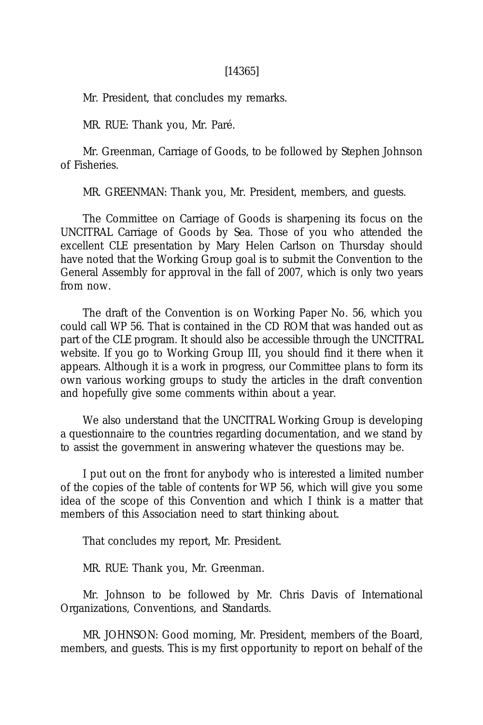#### [14365]

Mr. President, that concludes my remarks.

MR. RUE: Thank you, Mr. Paré.

Mr. Greenman, Carriage of Goods, to be followed by Stephen Johnson of Fisheries.

MR. GREENMAN: Thank you, Mr. President, members, and guests.

The Committee on Carriage of Goods is sharpening its focus on the UNCITRAL Carriage of Goods by Sea. Those of you who attended the excellent CLE presentation by Mary Helen Carlson on Thursday should have noted that the Working Group goal is to submit the Convention to the General Assembly for approval in the fall of 2007, which is only two years from now.

The draft of the Convention is on Working Paper No. 56, which you could call WP 56. That is contained in the CD ROM that was handed out as part of the CLE program. It should also be accessible through the UNCITRAL website. If you go to Working Group III, you should find it there when it appears. Although it is a work in progress, our Committee plans to form its own various working groups to study the articles in the draft convention and hopefully give some comments within about a year.

We also understand that the UNCITRAL Working Group is developing a questionnaire to the countries regarding documentation, and we stand by to assist the government in answering whatever the questions may be.

I put out on the front for anybody who is interested a limited number of the copies of the table of contents for WP 56, which will give you some idea of the scope of this Convention and which I think is a matter that members of this Association need to start thinking about.

That concludes my report, Mr. President.

MR. RUE: Thank you, Mr. Greenman.

Mr. Johnson to be followed by Mr. Chris Davis of International Organizations, Conventions, and Standards.

MR. JOHNSON: Good morning, Mr. President, members of the Board, members, and guests. This is my first opportunity to report on behalf of the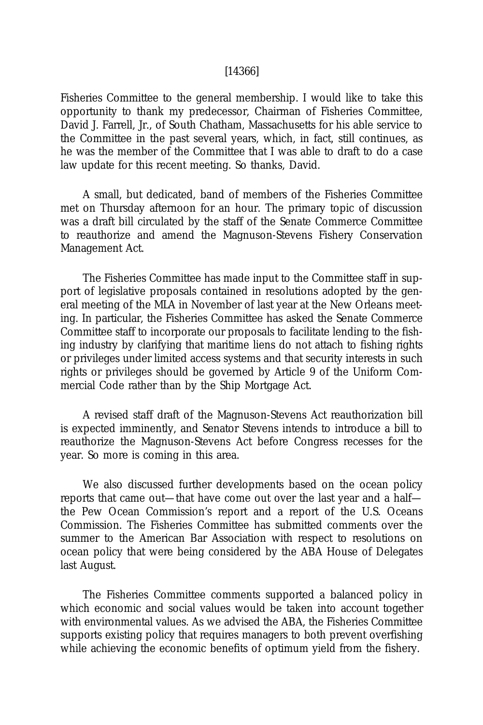#### [14366]

Fisheries Committee to the general membership. I would like to take this opportunity to thank my predecessor, Chairman of Fisheries Committee, David J. Farrell, Jr., of South Chatham, Massachusetts for his able service to the Committee in the past several years, which, in fact, still continues, as he was the member of the Committee that I was able to draft to do a case law update for this recent meeting. So thanks, David.

A small, but dedicated, band of members of the Fisheries Committee met on Thursday afternoon for an hour. The primary topic of discussion was a draft bill circulated by the staff of the Senate Commerce Committee to reauthorize and amend the Magnuson-Stevens Fishery Conservation Management Act.

The Fisheries Committee has made input to the Committee staff in support of legislative proposals contained in resolutions adopted by the general meeting of the MLA in November of last year at the New Orleans meeting. In particular, the Fisheries Committee has asked the Senate Commerce Committee staff to incorporate our proposals to facilitate lending to the fishing industry by clarifying that maritime liens do not attach to fishing rights or privileges under limited access systems and that security interests in such rights or privileges should be governed by Article 9 of the Uniform Commercial Code rather than by the Ship Mortgage Act.

A revised staff draft of the Magnuson-Stevens Act reauthorization bill is expected imminently, and Senator Stevens intends to introduce a bill to reauthorize the Magnuson-Stevens Act before Congress recesses for the year. So more is coming in this area.

We also discussed further developments based on the ocean policy reports that came out—that have come out over the last year and a half the Pew Ocean Commission's report and a report of the U.S. Oceans Commission. The Fisheries Committee has submitted comments over the summer to the American Bar Association with respect to resolutions on ocean policy that were being considered by the ABA House of Delegates last August.

The Fisheries Committee comments supported a balanced policy in which economic and social values would be taken into account together with environmental values. As we advised the ABA, the Fisheries Committee supports existing policy that requires managers to both prevent overfishing while achieving the economic benefits of optimum yield from the fishery.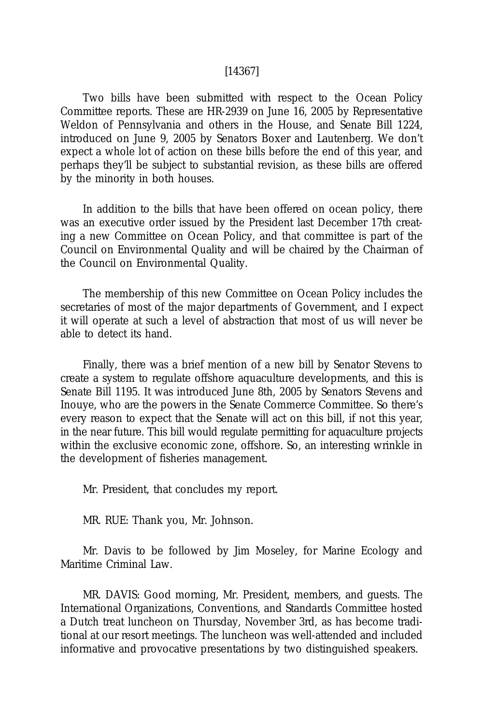#### [14367]

Two bills have been submitted with respect to the Ocean Policy Committee reports. These are HR-2939 on June 16, 2005 by Representative Weldon of Pennsylvania and others in the House, and Senate Bill 1224, introduced on June 9, 2005 by Senators Boxer and Lautenberg. We don't expect a whole lot of action on these bills before the end of this year, and perhaps they'll be subject to substantial revision, as these bills are offered by the minority in both houses.

In addition to the bills that have been offered on ocean policy, there was an executive order issued by the President last December 17th creating a new Committee on Ocean Policy, and that committee is part of the Council on Environmental Quality and will be chaired by the Chairman of the Council on Environmental Quality.

The membership of this new Committee on Ocean Policy includes the secretaries of most of the major departments of Government, and I expect it will operate at such a level of abstraction that most of us will never be able to detect its hand.

Finally, there was a brief mention of a new bill by Senator Stevens to create a system to regulate offshore aquaculture developments, and this is Senate Bill 1195. It was introduced June 8th, 2005 by Senators Stevens and Inouye, who are the powers in the Senate Commerce Committee. So there's every reason to expect that the Senate will act on this bill, if not this year, in the near future. This bill would regulate permitting for aquaculture projects within the exclusive economic zone, offshore. So, an interesting wrinkle in the development of fisheries management.

Mr. President, that concludes my report.

MR. RUE: Thank you, Mr. Johnson.

Mr. Davis to be followed by Jim Moseley, for Marine Ecology and Maritime Criminal Law.

MR. DAVIS: Good morning, Mr. President, members, and guests. The International Organizations, Conventions, and Standards Committee hosted a Dutch treat luncheon on Thursday, November 3rd, as has become traditional at our resort meetings. The luncheon was well-attended and included informative and provocative presentations by two distinguished speakers.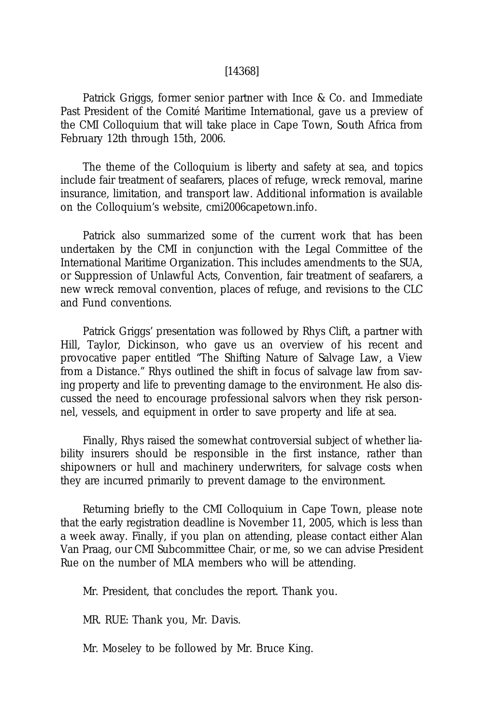#### [14368]

Patrick Griggs, former senior partner with Ince & Co. and Immediate Past President of the Comité Maritime International, gave us a preview of the CMI Colloquium that will take place in Cape Town, South Africa from February 12th through 15th, 2006.

The theme of the Colloquium is liberty and safety at sea, and topics include fair treatment of seafarers, places of refuge, wreck removal, marine insurance, limitation, and transport law. Additional information is available on the Colloquium's website, cmi2006capetown.info.

Patrick also summarized some of the current work that has been undertaken by the CMI in conjunction with the Legal Committee of the International Maritime Organization. This includes amendments to the SUA, or Suppression of Unlawful Acts, Convention, fair treatment of seafarers, a new wreck removal convention, places of refuge, and revisions to the CLC and Fund conventions.

Patrick Griggs' presentation was followed by Rhys Clift, a partner with Hill, Taylor, Dickinson, who gave us an overview of his recent and provocative paper entitled "The Shifting Nature of Salvage Law, a View from a Distance." Rhys outlined the shift in focus of salvage law from saving property and life to preventing damage to the environment. He also discussed the need to encourage professional salvors when they risk personnel, vessels, and equipment in order to save property and life at sea.

Finally, Rhys raised the somewhat controversial subject of whether liability insurers should be responsible in the first instance, rather than shipowners or hull and machinery underwriters, for salvage costs when they are incurred primarily to prevent damage to the environment.

Returning briefly to the CMI Colloquium in Cape Town, please note that the early registration deadline is November 11, 2005, which is less than a week away. Finally, if you plan on attending, please contact either Alan Van Praag, our CMI Subcommittee Chair, or me, so we can advise President Rue on the number of MLA members who will be attending.

Mr. President, that concludes the report. Thank you.

MR. RUE: Thank you, Mr. Davis.

Mr. Moseley to be followed by Mr. Bruce King.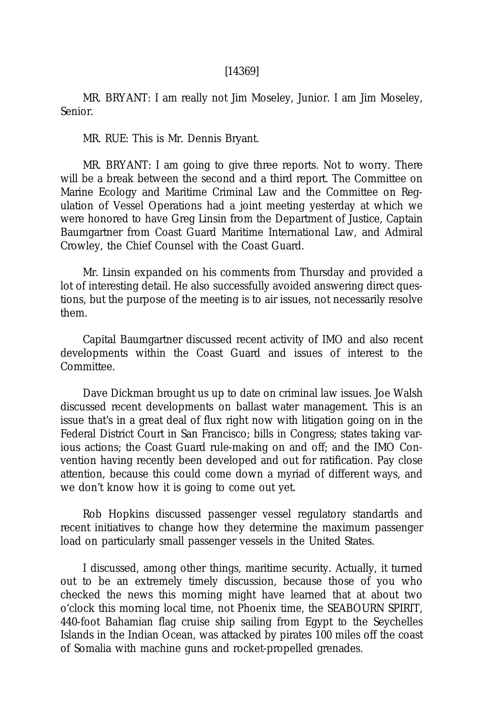#### [14369]

MR. BRYANT: I am really not Jim Moseley, Junior. I am Jim Moseley, Senior.

MR. RUE: This is Mr. Dennis Bryant.

MR. BRYANT: I am going to give three reports. Not to worry. There will be a break between the second and a third report. The Committee on Marine Ecology and Maritime Criminal Law and the Committee on Regulation of Vessel Operations had a joint meeting yesterday at which we were honored to have Greg Linsin from the Department of Justice, Captain Baumgartner from Coast Guard Maritime International Law, and Admiral Crowley, the Chief Counsel with the Coast Guard.

Mr. Linsin expanded on his comments from Thursday and provided a lot of interesting detail. He also successfully avoided answering direct questions, but the purpose of the meeting is to air issues, not necessarily resolve them.

Capital Baumgartner discussed recent activity of IMO and also recent developments within the Coast Guard and issues of interest to the Committee.

Dave Dickman brought us up to date on criminal law issues. Joe Walsh discussed recent developments on ballast water management. This is an issue that's in a great deal of flux right now with litigation going on in the Federal District Court in San Francisco; bills in Congress; states taking various actions; the Coast Guard rule-making on and off; and the IMO Convention having recently been developed and out for ratification. Pay close attention, because this could come down a myriad of different ways, and we don't know how it is going to come out yet.

Rob Hopkins discussed passenger vessel regulatory standards and recent initiatives to change how they determine the maximum passenger load on particularly small passenger vessels in the United States.

I discussed, among other things, maritime security. Actually, it turned out to be an extremely timely discussion, because those of you who checked the news this morning might have learned that at about two o'clock this morning local time, not Phoenix time, the SEABOURN SPIRIT, 440-foot Bahamian flag cruise ship sailing from Egypt to the Seychelles Islands in the Indian Ocean, was attacked by pirates 100 miles off the coast of Somalia with machine guns and rocket-propelled grenades.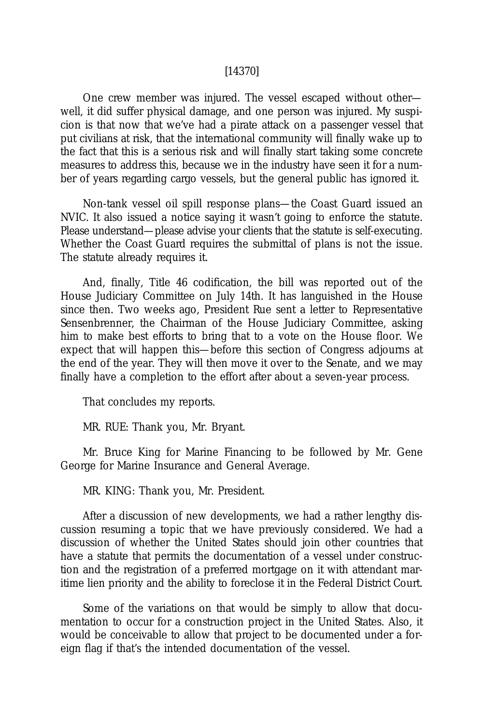#### [14370]

One crew member was injured. The vessel escaped without other well, it did suffer physical damage, and one person was injured. My suspicion is that now that we've had a pirate attack on a passenger vessel that put civilians at risk, that the international community will finally wake up to the fact that this is a serious risk and will finally start taking some concrete measures to address this, because we in the industry have seen it for a number of years regarding cargo vessels, but the general public has ignored it.

Non-tank vessel oil spill response plans—the Coast Guard issued an NVIC. It also issued a notice saying it wasn't going to enforce the statute. Please understand—please advise your clients that the statute is self-executing. Whether the Coast Guard requires the submittal of plans is not the issue. The statute already requires it.

And, finally, Title 46 codification, the bill was reported out of the House Judiciary Committee on July 14th. It has languished in the House since then. Two weeks ago, President Rue sent a letter to Representative Sensenbrenner, the Chairman of the House Judiciary Committee, asking him to make best efforts to bring that to a vote on the House floor. We expect that will happen this—before this section of Congress adjourns at the end of the year. They will then move it over to the Senate, and we may finally have a completion to the effort after about a seven-year process.

That concludes my reports.

MR. RUE: Thank you, Mr. Bryant.

Mr. Bruce King for Marine Financing to be followed by Mr. Gene George for Marine Insurance and General Average.

MR. KING: Thank you, Mr. President.

After a discussion of new developments, we had a rather lengthy discussion resuming a topic that we have previously considered. We had a discussion of whether the United States should join other countries that have a statute that permits the documentation of a vessel under construction and the registration of a preferred mortgage on it with attendant maritime lien priority and the ability to foreclose it in the Federal District Court.

Some of the variations on that would be simply to allow that documentation to occur for a construction project in the United States. Also, it would be conceivable to allow that project to be documented under a foreign flag if that's the intended documentation of the vessel.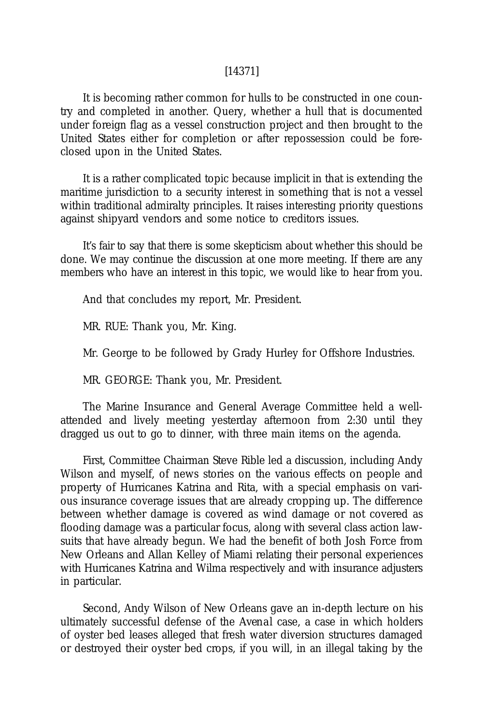#### [14371]

It is becoming rather common for hulls to be constructed in one country and completed in another. Query, whether a hull that is documented under foreign flag as a vessel construction project and then brought to the United States either for completion or after repossession could be foreclosed upon in the United States.

It is a rather complicated topic because implicit in that is extending the maritime jurisdiction to a security interest in something that is not a vessel within traditional admiralty principles. It raises interesting priority questions against shipyard vendors and some notice to creditors issues.

It's fair to say that there is some skepticism about whether this should be done. We may continue the discussion at one more meeting. If there are any members who have an interest in this topic, we would like to hear from you.

And that concludes my report, Mr. President.

MR. RUE: Thank you, Mr. King.

Mr. George to be followed by Grady Hurley for Offshore Industries.

MR. GEORGE: Thank you, Mr. President.

The Marine Insurance and General Average Committee held a wellattended and lively meeting yesterday afternoon from 2:30 until they dragged us out to go to dinner, with three main items on the agenda.

First, Committee Chairman Steve Rible led a discussion, including Andy Wilson and myself, of news stories on the various effects on people and property of Hurricanes Katrina and Rita, with a special emphasis on various insurance coverage issues that are already cropping up. The difference between whether damage is covered as wind damage or not covered as flooding damage was a particular focus, along with several class action lawsuits that have already begun. We had the benefit of both Josh Force from New Orleans and Allan Kelley of Miami relating their personal experiences with Hurricanes Katrina and Wilma respectively and with insurance adjusters in particular.

Second, Andy Wilson of New Orleans gave an in-depth lecture on his ultimately successful defense of the *Avenal* case, a case in which holders of oyster bed leases alleged that fresh water diversion structures damaged or destroyed their oyster bed crops, if you will, in an illegal taking by the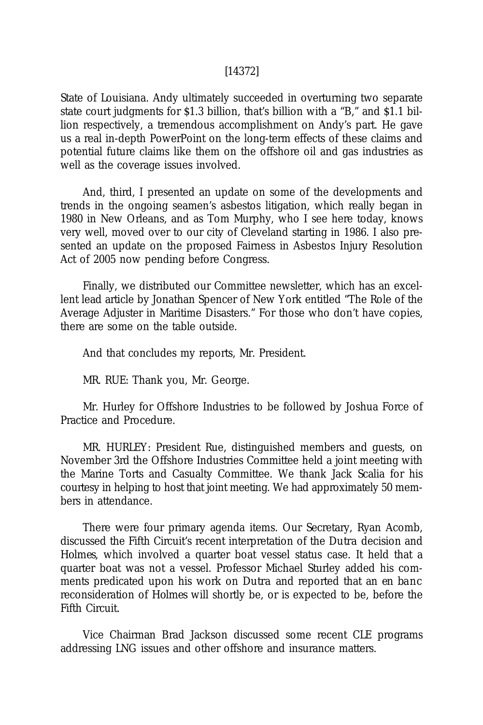#### [14372]

State of Louisiana. Andy ultimately succeeded in overturning two separate state court judgments for \$1.3 billion, that's billion with a "B," and \$1.1 billion respectively, a tremendous accomplishment on Andy's part. He gave us a real in-depth PowerPoint on the long-term effects of these claims and potential future claims like them on the offshore oil and gas industries as well as the coverage issues involved.

And, third, I presented an update on some of the developments and trends in the ongoing seamen's asbestos litigation, which really began in 1980 in New Orleans, and as Tom Murphy, who I see here today, knows very well, moved over to our city of Cleveland starting in 1986. I also presented an update on the proposed Fairness in Asbestos Injury Resolution Act of 2005 now pending before Congress.

Finally, we distributed our Committee newsletter, which has an excellent lead article by Jonathan Spencer of New York entitled "The Role of the Average Adjuster in Maritime Disasters." For those who don't have copies, there are some on the table outside.

And that concludes my reports, Mr. President.

MR. RUE: Thank you, Mr. George.

Mr. Hurley for Offshore Industries to be followed by Joshua Force of Practice and Procedure.

MR. HURLEY: President Rue, distinguished members and guests, on November 3rd the Offshore Industries Committee held a joint meeting with the Marine Torts and Casualty Committee. We thank Jack Scalia for his courtesy in helping to host that joint meeting. We had approximately 50 members in attendance.

There were four primary agenda items. Our Secretary, Ryan Acomb, discussed the Fifth Circuit's recent interpretation of the *Dutra* decision and *Holmes*, which involved a quarter boat vessel status case. It held that a quarter boat was not a vessel. Professor Michael Sturley added his comments predicated upon his work on *Dutra* and reported that an *en banc* reconsideration of *Holmes* will shortly be, or is expected to be, before the Fifth Circuit.

Vice Chairman Brad Jackson discussed some recent CLE programs addressing LNG issues and other offshore and insurance matters.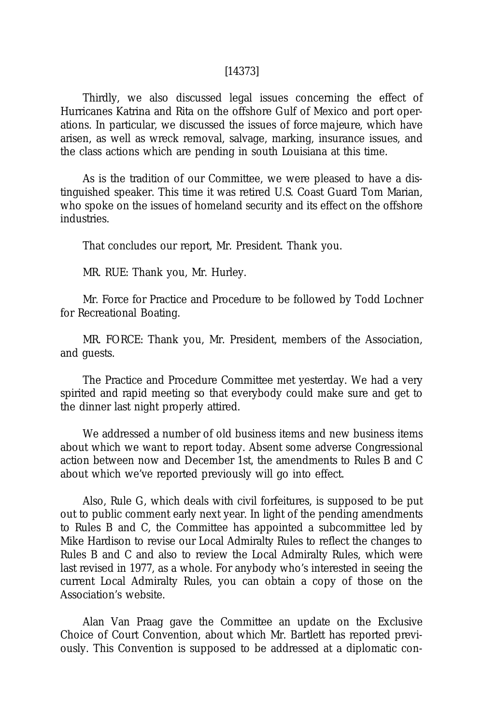#### [14373]

Thirdly, we also discussed legal issues concerning the effect of Hurricanes Katrina and Rita on the offshore Gulf of Mexico and port operations. In particular, we discussed the issues of *force majeure,* which have arisen, as well as wreck removal, salvage, marking, insurance issues, and the class actions which are pending in south Louisiana at this time.

As is the tradition of our Committee, we were pleased to have a distinguished speaker. This time it was retired U.S. Coast Guard Tom Marian, who spoke on the issues of homeland security and its effect on the offshore industries.

That concludes our report, Mr. President. Thank you.

MR. RUE: Thank you, Mr. Hurley.

Mr. Force for Practice and Procedure to be followed by Todd Lochner for Recreational Boating.

MR. FORCE: Thank you, Mr. President, members of the Association, and guests.

The Practice and Procedure Committee met yesterday. We had a very spirited and rapid meeting so that everybody could make sure and get to the dinner last night properly attired.

We addressed a number of old business items and new business items about which we want to report today. Absent some adverse Congressional action between now and December 1st, the amendments to Rules B and C about which we've reported previously will go into effect.

Also, Rule G, which deals with civil forfeitures, is supposed to be put out to public comment early next year. In light of the pending amendments to Rules B and C, the Committee has appointed a subcommittee led by Mike Hardison to revise our Local Admiralty Rules to reflect the changes to Rules B and C and also to review the Local Admiralty Rules, which were last revised in 1977, as a whole. For anybody who's interested in seeing the current Local Admiralty Rules, you can obtain a copy of those on the Association's website.

Alan Van Praag gave the Committee an update on the Exclusive Choice of Court Convention, about which Mr. Bartlett has reported previously. This Convention is supposed to be addressed at a diplomatic con-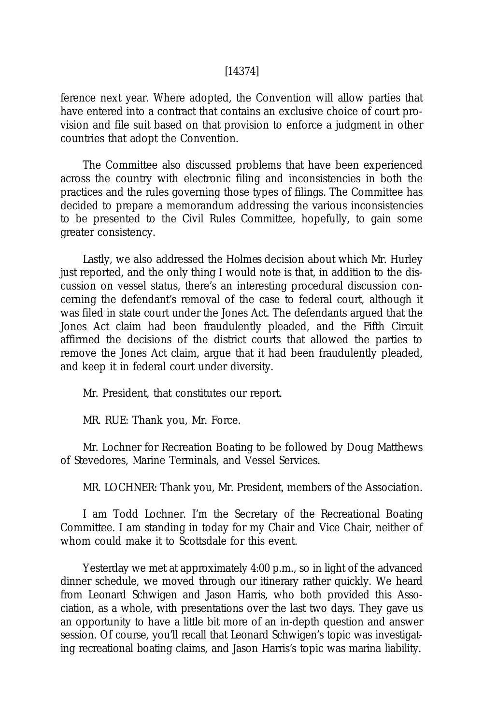#### [14374]

ference next year. Where adopted, the Convention will allow parties that have entered into a contract that contains an exclusive choice of court provision and file suit based on that provision to enforce a judgment in other countries that adopt the Convention.

The Committee also discussed problems that have been experienced across the country with electronic filing and inconsistencies in both the practices and the rules governing those types of filings. The Committee has decided to prepare a memorandum addressing the various inconsistencies to be presented to the Civil Rules Committee, hopefully, to gain some greater consistency.

Lastly, we also addressed the *Holmes* decision about which Mr. Hurley just reported, and the only thing I would note is that, in addition to the discussion on vessel status, there's an interesting procedural discussion concerning the defendant's removal of the case to federal court, although it was filed in state court under the Jones Act. The defendants argued that the Jones Act claim had been fraudulently pleaded, and the Fifth Circuit affirmed the decisions of the district courts that allowed the parties to remove the Jones Act claim, argue that it had been fraudulently pleaded, and keep it in federal court under diversity.

Mr. President, that constitutes our report.

MR. RUE: Thank you, Mr. Force.

Mr. Lochner for Recreation Boating to be followed by Doug Matthews of Stevedores, Marine Terminals, and Vessel Services.

MR. LOCHNER: Thank you, Mr. President, members of the Association.

I am Todd Lochner. I'm the Secretary of the Recreational Boating Committee. I am standing in today for my Chair and Vice Chair, neither of whom could make it to Scottsdale for this event.

Yesterday we met at approximately 4:00 p.m., so in light of the advanced dinner schedule, we moved through our itinerary rather quickly. We heard from Leonard Schwigen and Jason Harris, who both provided this Association, as a whole, with presentations over the last two days. They gave us an opportunity to have a little bit more of an in-depth question and answer session. Of course, you'll recall that Leonard Schwigen's topic was investigating recreational boating claims, and Jason Harris's topic was marina liability.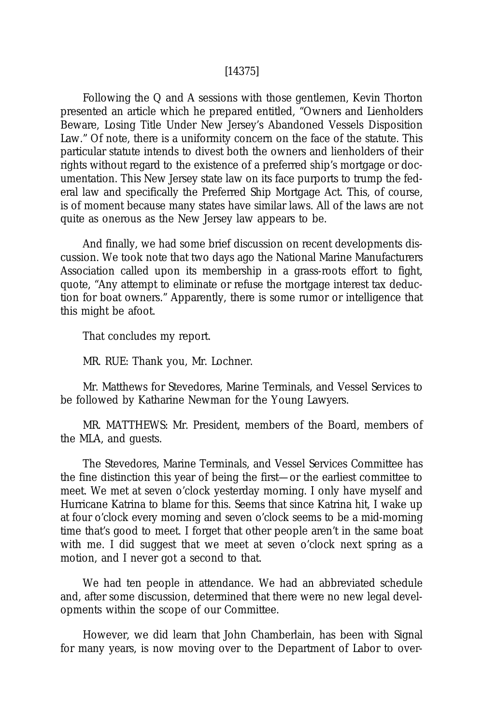#### [14375]

Following the Q and A sessions with those gentlemen, Kevin Thorton presented an article which he prepared entitled, "Owners and Lienholders Beware, Losing Title Under New Jersey's Abandoned Vessels Disposition Law." Of note, there is a uniformity concern on the face of the statute. This particular statute intends to divest both the owners and lienholders of their rights without regard to the existence of a preferred ship's mortgage or documentation. This New Jersey state law on its face purports to trump the federal law and specifically the Preferred Ship Mortgage Act. This, of course, is of moment because many states have similar laws. All of the laws are not quite as onerous as the New Jersey law appears to be.

And finally, we had some brief discussion on recent developments discussion. We took note that two days ago the National Marine Manufacturers Association called upon its membership in a grass-roots effort to fight, quote, "Any attempt to eliminate or refuse the mortgage interest tax deduction for boat owners." Apparently, there is some rumor or intelligence that this might be afoot.

That concludes my report.

MR. RUE: Thank you, Mr. Lochner.

Mr. Matthews for Stevedores, Marine Terminals, and Vessel Services to be followed by Katharine Newman for the Young Lawyers.

MR. MATTHEWS: Mr. President, members of the Board, members of the MLA, and guests.

The Stevedores, Marine Terminals, and Vessel Services Committee has the fine distinction this year of being the first—or the earliest committee to meet. We met at seven o'clock yesterday morning. I only have myself and Hurricane Katrina to blame for this. Seems that since Katrina hit, I wake up at four o'clock every morning and seven o'clock seems to be a mid-morning time that's good to meet. I forget that other people aren't in the same boat with me. I did suggest that we meet at seven o'clock next spring as a motion, and I never got a second to that.

We had ten people in attendance. We had an abbreviated schedule and, after some discussion, determined that there were no new legal developments within the scope of our Committee.

However, we did learn that John Chamberlain, has been with Signal for many years, is now moving over to the Department of Labor to over-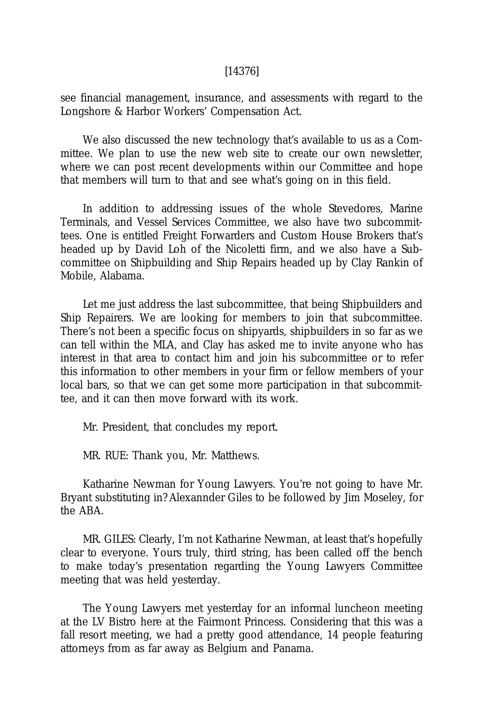#### [14376]

see financial management, insurance, and assessments with regard to the Longshore & Harbor Workers' Compensation Act.

We also discussed the new technology that's available to us as a Committee. We plan to use the new web site to create our own newsletter, where we can post recent developments within our Committee and hope that members will turn to that and see what's going on in this field.

In addition to addressing issues of the whole Stevedores, Marine Terminals, and Vessel Services Committee, we also have two subcommittees. One is entitled Freight Forwarders and Custom House Brokers that's headed up by David Loh of the Nicoletti firm, and we also have a Subcommittee on Shipbuilding and Ship Repairs headed up by Clay Rankin of Mobile, Alabama.

Let me just address the last subcommittee, that being Shipbuilders and Ship Repairers. We are looking for members to join that subcommittee. There's not been a specific focus on shipyards, shipbuilders in so far as we can tell within the MLA, and Clay has asked me to invite anyone who has interest in that area to contact him and join his subcommittee or to refer this information to other members in your firm or fellow members of your local bars, so that we can get some more participation in that subcommittee, and it can then move forward with its work.

Mr. President, that concludes my report.

MR. RUE: Thank you, Mr. Matthews.

Katharine Newman for Young Lawyers. You're not going to have Mr. Bryant substituting in? Alexannder Giles to be followed by Jim Moseley, for the ABA.

MR. GILES: Clearly, I'm not Katharine Newman, at least that's hopefully clear to everyone. Yours truly, third string, has been called off the bench to make today's presentation regarding the Young Lawyers Committee meeting that was held yesterday.

The Young Lawyers met yesterday for an informal luncheon meeting at the LV Bistro here at the Fairmont Princess. Considering that this was a fall resort meeting, we had a pretty good attendance, 14 people featuring attorneys from as far away as Belgium and Panama.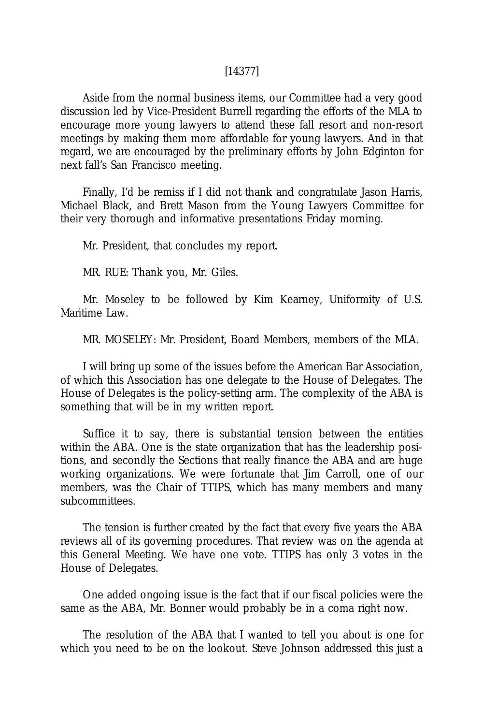#### [14377]

Aside from the normal business items, our Committee had a very good discussion led by Vice-President Burrell regarding the efforts of the MLA to encourage more young lawyers to attend these fall resort and non-resort meetings by making them more affordable for young lawyers. And in that regard, we are encouraged by the preliminary efforts by John Edginton for next fall's San Francisco meeting.

Finally, I'd be remiss if I did not thank and congratulate Jason Harris, Michael Black, and Brett Mason from the Young Lawyers Committee for their very thorough and informative presentations Friday morning.

Mr. President, that concludes my report.

MR. RUE: Thank you, Mr. Giles.

Mr. Moseley to be followed by Kim Kearney, Uniformity of U.S. Maritime Law.

MR. MOSELEY: Mr. President, Board Members, members of the MLA.

I will bring up some of the issues before the American Bar Association, of which this Association has one delegate to the House of Delegates. The House of Delegates is the policy-setting arm. The complexity of the ABA is something that will be in my written report.

Suffice it to say, there is substantial tension between the entities within the ABA. One is the state organization that has the leadership positions, and secondly the Sections that really finance the ABA and are huge working organizations. We were fortunate that Jim Carroll, one of our members, was the Chair of TTIPS, which has many members and many subcommittees.

The tension is further created by the fact that every five years the ABA reviews all of its governing procedures. That review was on the agenda at this General Meeting. We have one vote. TTIPS has only 3 votes in the House of Delegates.

One added ongoing issue is the fact that if our fiscal policies were the same as the ABA, Mr. Bonner would probably be in a coma right now.

The resolution of the ABA that I wanted to tell you about is one for which you need to be on the lookout. Steve Johnson addressed this just a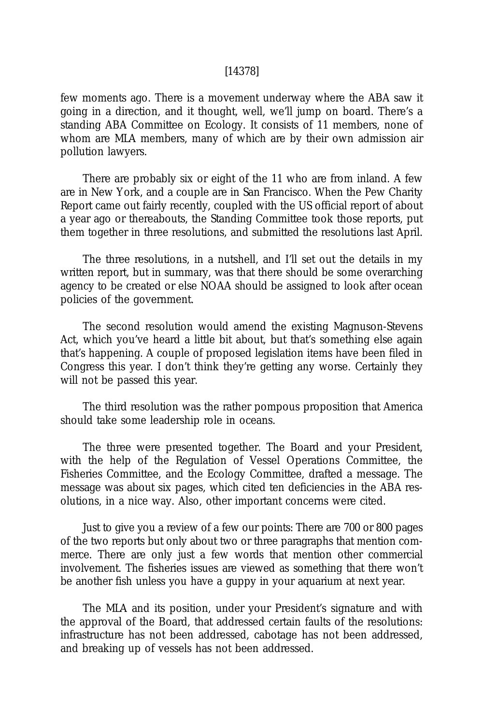#### [14378]

few moments ago. There is a movement underway where the ABA saw it going in a direction, and it thought, well, we'll jump on board. There's a standing ABA Committee on Ecology. It consists of 11 members, none of whom are MLA members, many of which are by their own admission air pollution lawyers.

There are probably six or eight of the 11 who are from inland. A few are in New York, and a couple are in San Francisco. When the Pew Charity Report came out fairly recently, coupled with the US official report of about a year ago or thereabouts, the Standing Committee took those reports, put them together in three resolutions, and submitted the resolutions last April.

The three resolutions, in a nutshell, and I'll set out the details in my written report, but in summary, was that there should be some overarching agency to be created or else NOAA should be assigned to look after ocean policies of the government.

The second resolution would amend the existing Magnuson-Stevens Act, which you've heard a little bit about, but that's something else again that's happening. A couple of proposed legislation items have been filed in Congress this year. I don't think they're getting any worse. Certainly they will not be passed this year.

The third resolution was the rather pompous proposition that America should take some leadership role in oceans.

The three were presented together. The Board and your President, with the help of the Regulation of Vessel Operations Committee, the Fisheries Committee, and the Ecology Committee, drafted a message. The message was about six pages, which cited ten deficiencies in the ABA resolutions, in a nice way. Also, other important concerns were cited.

Just to give you a review of a few our points: There are 700 or 800 pages of the two reports but only about two or three paragraphs that mention commerce. There are only just a few words that mention other commercial involvement. The fisheries issues are viewed as something that there won't be another fish unless you have a guppy in your aquarium at next year.

The MLA and its position, under your President's signature and with the approval of the Board, that addressed certain faults of the resolutions: infrastructure has not been addressed, cabotage has not been addressed, and breaking up of vessels has not been addressed.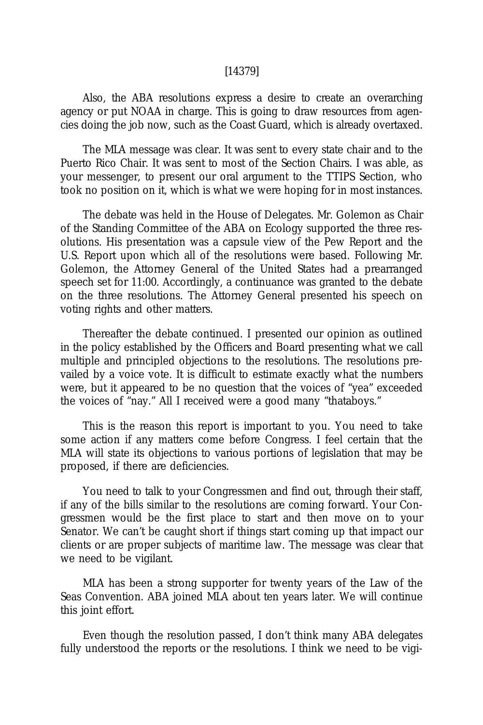#### [14379]

Also, the ABA resolutions express a desire to create an overarching agency or put NOAA in charge. This is going to draw resources from agencies doing the job now, such as the Coast Guard, which is already overtaxed.

The MLA message was clear. It was sent to every state chair and to the Puerto Rico Chair. It was sent to most of the Section Chairs. I was able, as your messenger, to present our oral argument to the TTIPS Section, who took no position on it, which is what we were hoping for in most instances.

The debate was held in the House of Delegates. Mr. Golemon as Chair of the Standing Committee of the ABA on Ecology supported the three resolutions. His presentation was a capsule view of the Pew Report and the U.S. Report upon which all of the resolutions were based. Following Mr. Golemon, the Attorney General of the United States had a prearranged speech set for 11:00. Accordingly, a continuance was granted to the debate on the three resolutions. The Attorney General presented his speech on voting rights and other matters.

Thereafter the debate continued. I presented our opinion as outlined in the policy established by the Officers and Board presenting what we call multiple and principled objections to the resolutions. The resolutions prevailed by a voice vote. It is difficult to estimate exactly what the numbers were, but it appeared to be no question that the voices of "yea" exceeded the voices of "nay." All I received were a good many "thataboys."

This is the reason this report is important to you. You need to take some action if any matters come before Congress. I feel certain that the MLA will state its objections to various portions of legislation that may be proposed, if there are deficiencies.

You need to talk to your Congressmen and find out, through their staff, if any of the bills similar to the resolutions are coming forward. Your Congressmen would be the first place to start and then move on to your Senator. We can't be caught short if things start coming up that impact our clients or are proper subjects of maritime law. The message was clear that we need to be vigilant.

MLA has been a strong supporter for twenty years of the Law of the Seas Convention. ABA joined MLA about ten years later. We will continue this joint effort.

Even though the resolution passed, I don't think many ABA delegates fully understood the reports or the resolutions. I think we need to be vigi-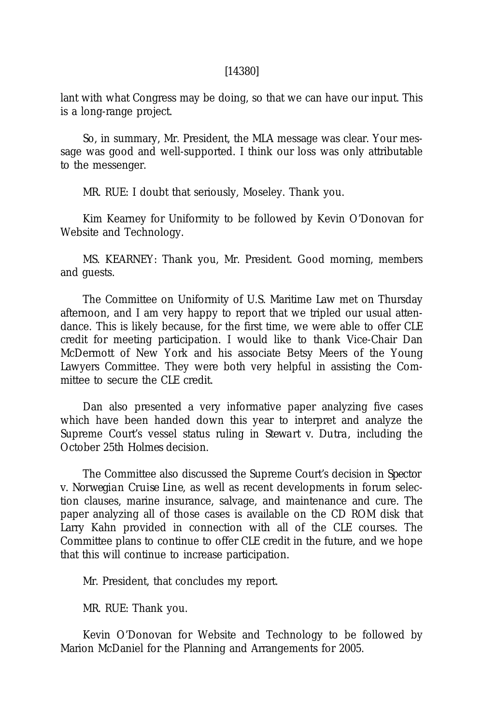#### [14380]

lant with what Congress may be doing, so that we can have our input. This is a long-range project.

So, in summary, Mr. President, the MLA message was clear. Your message was good and well-supported. I think our loss was only attributable to the messenger.

MR. RUE: I doubt that seriously, Moseley. Thank you.

Kim Kearney for Uniformity to be followed by Kevin O'Donovan for Website and Technology.

MS. KEARNEY: Thank you, Mr. President. Good morning, members and guests.

The Committee on Uniformity of U.S. Maritime Law met on Thursday afternoon, and I am very happy to report that we tripled our usual attendance. This is likely because, for the first time, we were able to offer CLE credit for meeting participation. I would like to thank Vice-Chair Dan McDermott of New York and his associate Betsy Meers of the Young Lawyers Committee. They were both very helpful in assisting the Committee to secure the CLE credit.

Dan also presented a very informative paper analyzing five cases which have been handed down this year to interpret and analyze the Supreme Court's vessel status ruling in *Stewart v. Dutra,* including the October 25th *Holmes* decision.

The Committee also discussed the Supreme Court's decision in *Spector v. Norwegian Cruise Line,* as well as recent developments in forum selection clauses, marine insurance, salvage, and maintenance and cure. The paper analyzing all of those cases is available on the CD ROM disk that Larry Kahn provided in connection with all of the CLE courses. The Committee plans to continue to offer CLE credit in the future, and we hope that this will continue to increase participation.

Mr. President, that concludes my report.

MR. RUE: Thank you.

Kevin O'Donovan for Website and Technology to be followed by Marion McDaniel for the Planning and Arrangements for 2005.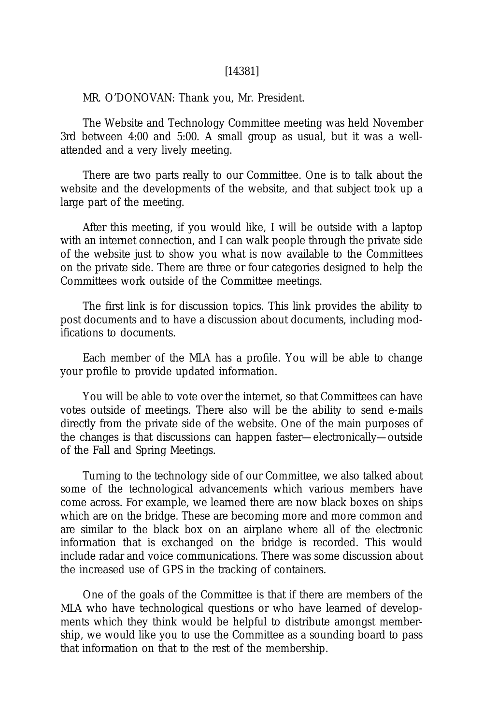#### [14381]

#### MR. O'DONOVAN: Thank you, Mr. President.

The Website and Technology Committee meeting was held November 3rd between 4:00 and 5:00. A small group as usual, but it was a wellattended and a very lively meeting.

There are two parts really to our Committee. One is to talk about the website and the developments of the website, and that subject took up a large part of the meeting.

After this meeting, if you would like, I will be outside with a laptop with an internet connection, and I can walk people through the private side of the website just to show you what is now available to the Committees on the private side. There are three or four categories designed to help the Committees work outside of the Committee meetings.

The first link is for discussion topics. This link provides the ability to post documents and to have a discussion about documents, including modifications to documents.

Each member of the MLA has a profile. You will be able to change your profile to provide updated information.

You will be able to vote over the internet, so that Committees can have votes outside of meetings. There also will be the ability to send e-mails directly from the private side of the website. One of the main purposes of the changes is that discussions can happen faster—electronically—outside of the Fall and Spring Meetings.

Turning to the technology side of our Committee, we also talked about some of the technological advancements which various members have come across. For example, we learned there are now black boxes on ships which are on the bridge. These are becoming more and more common and are similar to the black box on an airplane where all of the electronic information that is exchanged on the bridge is recorded. This would include radar and voice communications. There was some discussion about the increased use of GPS in the tracking of containers.

One of the goals of the Committee is that if there are members of the MLA who have technological questions or who have learned of developments which they think would be helpful to distribute amongst membership, we would like you to use the Committee as a sounding board to pass that information on that to the rest of the membership.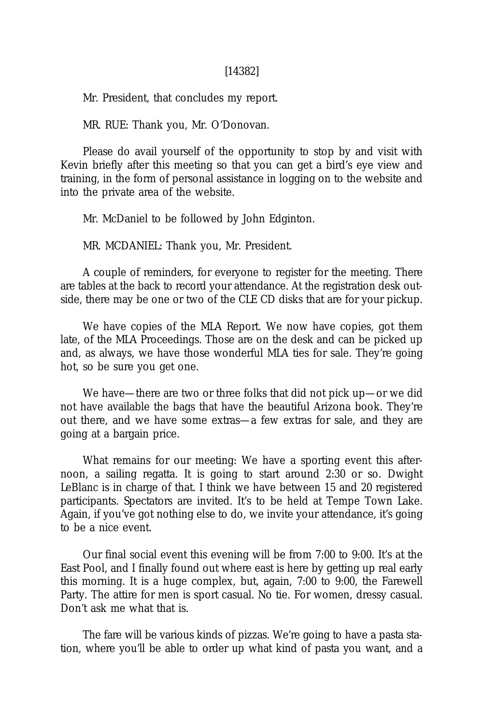Mr. President, that concludes my report.

MR. RUE: Thank you, Mr. O'Donovan.

Please do avail yourself of the opportunity to stop by and visit with Kevin briefly after this meeting so that you can get a bird's eye view and training, in the form of personal assistance in logging on to the website and into the private area of the website.

Mr. McDaniel to be followed by John Edginton.

MR. MCDANIEL: Thank you, Mr. President.

A couple of reminders, for everyone to register for the meeting. There are tables at the back to record your attendance. At the registration desk outside, there may be one or two of the CLE CD disks that are for your pickup.

We have copies of the MLA Report. We now have copies, got them late, of the MLA Proceedings. Those are on the desk and can be picked up and, as always, we have those wonderful MLA ties for sale. They're going hot, so be sure you get one.

We have—there are two or three folks that did not pick up—or we did not have available the bags that have the beautiful Arizona book. They're out there, and we have some extras—a few extras for sale, and they are going at a bargain price.

What remains for our meeting: We have a sporting event this afternoon, a sailing regatta. It is going to start around 2:30 or so. Dwight LeBlanc is in charge of that. I think we have between 15 and 20 registered participants. Spectators are invited. It's to be held at Tempe Town Lake. Again, if you've got nothing else to do, we invite your attendance, it's going to be a nice event.

Our final social event this evening will be from 7:00 to 9:00. It's at the East Pool, and I finally found out where east is here by getting up real early this morning. It is a huge complex, but, again, 7:00 to 9:00, the Farewell Party. The attire for men is sport casual. No tie. For women, dressy casual. Don't ask me what that is.

The fare will be various kinds of pizzas. We're going to have a pasta station, where you'll be able to order up what kind of pasta you want, and a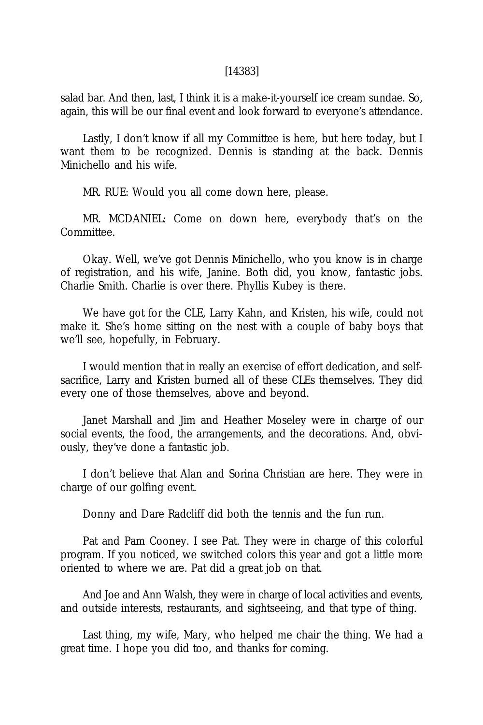#### [14383]

salad bar. And then, last, I think it is a make-it-yourself ice cream sundae. So, again, this will be our final event and look forward to everyone's attendance.

Lastly, I don't know if all my Committee is here, but here today, but I want them to be recognized. Dennis is standing at the back. Dennis Minichello and his wife.

MR. RUE: Would you all come down here, please.

MR. MCDANIEL: Come on down here, everybody that's on the Committee.

Okay. Well, we've got Dennis Minichello, who you know is in charge of registration, and his wife, Janine. Both did, you know, fantastic jobs. Charlie Smith. Charlie is over there. Phyllis Kubey is there.

We have got for the CLE, Larry Kahn, and Kristen, his wife, could not make it. She's home sitting on the nest with a couple of baby boys that we'll see, hopefully, in February.

I would mention that in really an exercise of effort dedication, and selfsacrifice, Larry and Kristen burned all of these CLEs themselves. They did every one of those themselves, above and beyond.

Janet Marshall and Jim and Heather Moseley were in charge of our social events, the food, the arrangements, and the decorations. And, obviously, they've done a fantastic job.

I don't believe that Alan and Sorina Christian are here. They were in charge of our golfing event.

Donny and Dare Radcliff did both the tennis and the fun run.

Pat and Pam Cooney. I see Pat. They were in charge of this colorful program. If you noticed, we switched colors this year and got a little more oriented to where we are. Pat did a great job on that.

And Joe and Ann Walsh, they were in charge of local activities and events, and outside interests, restaurants, and sightseeing, and that type of thing.

Last thing, my wife, Mary, who helped me chair the thing. We had a great time. I hope you did too, and thanks for coming.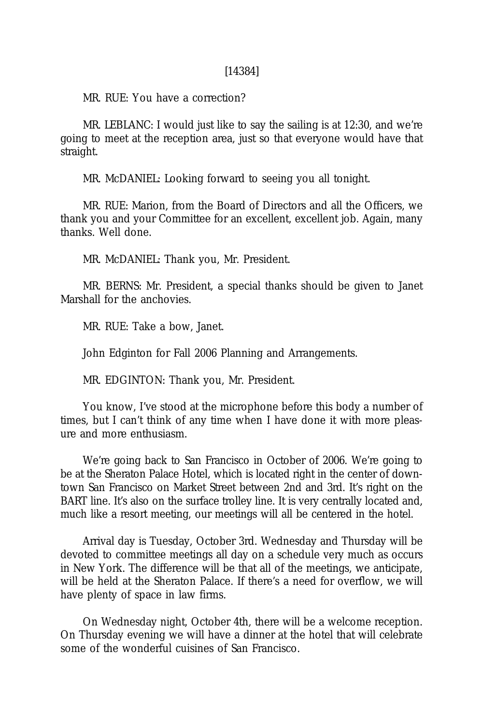MR. RUE: You have a correction?

MR. LEBLANC: I would just like to say the sailing is at 12:30, and we're going to meet at the reception area, just so that everyone would have that straight.

MR. McDANIEL: Looking forward to seeing you all tonight.

MR. RUE: Marion, from the Board of Directors and all the Officers, we thank you and your Committee for an excellent, excellent job. Again, many thanks. Well done.

MR. McDANIEL: Thank you, Mr. President.

MR. BERNS: Mr. President, a special thanks should be given to Janet Marshall for the anchovies.

MR. RUE: Take a bow, Janet.

John Edginton for Fall 2006 Planning and Arrangements.

MR. EDGINTON: Thank you, Mr. President.

You know, I've stood at the microphone before this body a number of times, but I can't think of any time when I have done it with more pleasure and more enthusiasm.

We're going back to San Francisco in October of 2006. We're going to be at the Sheraton Palace Hotel, which is located right in the center of downtown San Francisco on Market Street between 2nd and 3rd. It's right on the BART line. It's also on the surface trolley line. It is very centrally located and, much like a resort meeting, our meetings will all be centered in the hotel.

Arrival day is Tuesday, October 3rd. Wednesday and Thursday will be devoted to committee meetings all day on a schedule very much as occurs in New York. The difference will be that all of the meetings, we anticipate, will be held at the Sheraton Palace. If there's a need for overflow, we will have plenty of space in law firms.

On Wednesday night, October 4th, there will be a welcome reception. On Thursday evening we will have a dinner at the hotel that will celebrate some of the wonderful cuisines of San Francisco.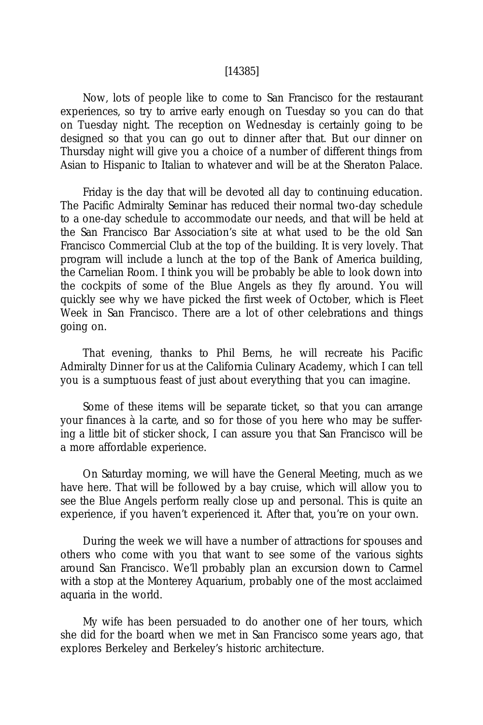#### [14385]

Now, lots of people like to come to San Francisco for the restaurant experiences, so try to arrive early enough on Tuesday so you can do that on Tuesday night. The reception on Wednesday is certainly going to be designed so that you can go out to dinner after that. But our dinner on Thursday night will give you a choice of a number of different things from Asian to Hispanic to Italian to whatever and will be at the Sheraton Palace.

Friday is the day that will be devoted all day to continuing education. The Pacific Admiralty Seminar has reduced their normal two-day schedule to a one-day schedule to accommodate our needs, and that will be held at the San Francisco Bar Association's site at what used to be the old San Francisco Commercial Club at the top of the building. It is very lovely. That program will include a lunch at the top of the Bank of America building, the Carnelian Room. I think you will be probably be able to look down into the cockpits of some of the Blue Angels as they fly around. You will quickly see why we have picked the first week of October, which is Fleet Week in San Francisco. There are a lot of other celebrations and things going on.

That evening, thanks to Phil Berns, he will recreate his Pacific Admiralty Dinner for us at the California Culinary Academy, which I can tell you is a sumptuous feast of just about everything that you can imagine.

Some of these items will be separate ticket, so that you can arrange your finances *à la carte,* and so for those of you here who may be suffering a little bit of sticker shock, I can assure you that San Francisco will be a more affordable experience.

On Saturday morning, we will have the General Meeting, much as we have here. That will be followed by a bay cruise, which will allow you to see the Blue Angels perform really close up and personal. This is quite an experience, if you haven't experienced it. After that, you're on your own.

During the week we will have a number of attractions for spouses and others who come with you that want to see some of the various sights around San Francisco. We'll probably plan an excursion down to Carmel with a stop at the Monterey Aquarium, probably one of the most acclaimed aquaria in the world.

My wife has been persuaded to do another one of her tours, which she did for the board when we met in San Francisco some years ago, that explores Berkeley and Berkeley's historic architecture.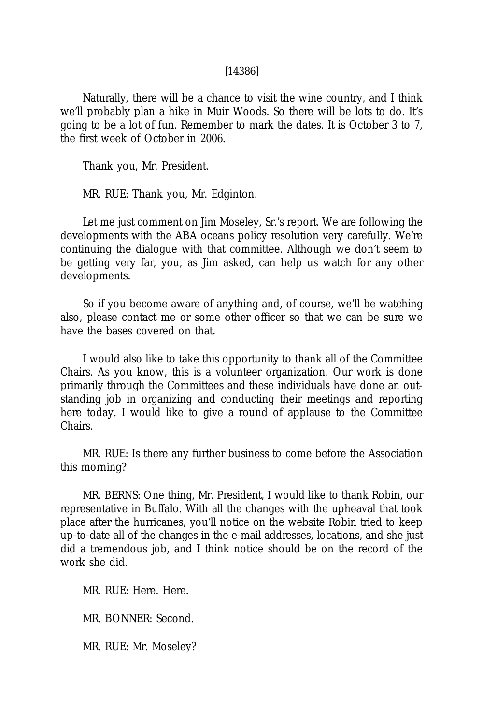#### [14386]

Naturally, there will be a chance to visit the wine country, and I think we'll probably plan a hike in Muir Woods. So there will be lots to do. It's going to be a lot of fun. Remember to mark the dates. It is October 3 to 7, the first week of October in 2006.

Thank you, Mr. President.

MR. RUE: Thank you, Mr. Edginton.

Let me just comment on Jim Moseley, Sr.'s report. We are following the developments with the ABA oceans policy resolution very carefully. We're continuing the dialogue with that committee. Although we don't seem to be getting very far, you, as Jim asked, can help us watch for any other developments.

So if you become aware of anything and, of course, we'll be watching also, please contact me or some other officer so that we can be sure we have the bases covered on that.

I would also like to take this opportunity to thank all of the Committee Chairs. As you know, this is a volunteer organization. Our work is done primarily through the Committees and these individuals have done an outstanding job in organizing and conducting their meetings and reporting here today. I would like to give a round of applause to the Committee Chairs.

MR. RUE: Is there any further business to come before the Association this morning?

MR. BERNS: One thing, Mr. President, I would like to thank Robin, our representative in Buffalo. With all the changes with the upheaval that took place after the hurricanes, you'll notice on the website Robin tried to keep up-to-date all of the changes in the e-mail addresses, locations, and she just did a tremendous job, and I think notice should be on the record of the work she did.

MR. RUE: Here. Here.

MR. BONNER: Second.

MR. RUE: Mr. Moseley?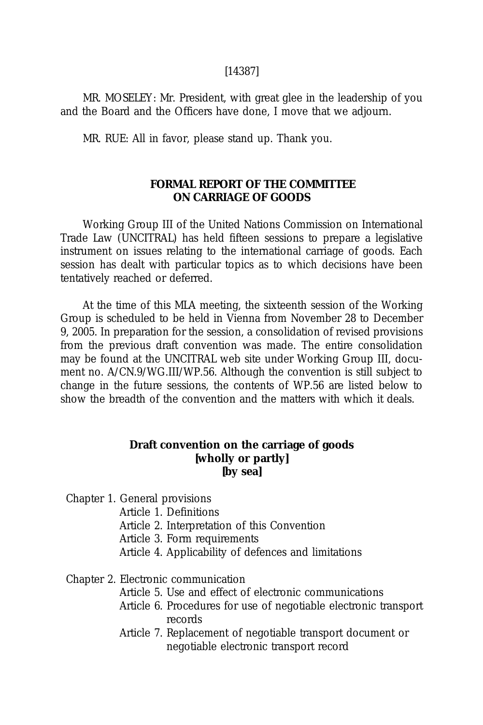### [14387]

MR. MOSELEY: Mr. President, with great glee in the leadership of you and the Board and the Officers have done, I move that we adjourn.

MR. RUE: All in favor, please stand up. Thank you.

# **FORMAL REPORT OF THE COMMITTEE ON CARRIAGE OF GOODS**

Working Group III of the United Nations Commission on International Trade Law (UNCITRAL) has held fifteen sessions to prepare a legislative instrument on issues relating to the international carriage of goods. Each session has dealt with particular topics as to which decisions have been tentatively reached or deferred.

At the time of this MLA meeting, the sixteenth session of the Working Group is scheduled to be held in Vienna from November 28 to December 9, 2005. In preparation for the session, a consolidation of revised provisions from the previous draft convention was made. The entire consolidation may be found at the UNCITRAL web site under Working Group III, document no. A/CN.9/WG.III/WP.56. Although the convention is still subject to change in the future sessions, the contents of WP.56 are listed below to show the breadth of the convention and the matters with which it deals.

## **Draft convention on the carriage of goods [wholly or partly] [by sea]**

Chapter 1. General provisions

Article 1. Definitions

Article 2. Interpretation of this Convention

Article 3. Form requirements

Article 4. Applicability of defences and limitations

Chapter 2. Electronic communication

- Article 5. Use and effect of electronic communications
- Article 6. Procedures for use of negotiable electronic transport records
- Article 7. Replacement of negotiable transport document or negotiable electronic transport record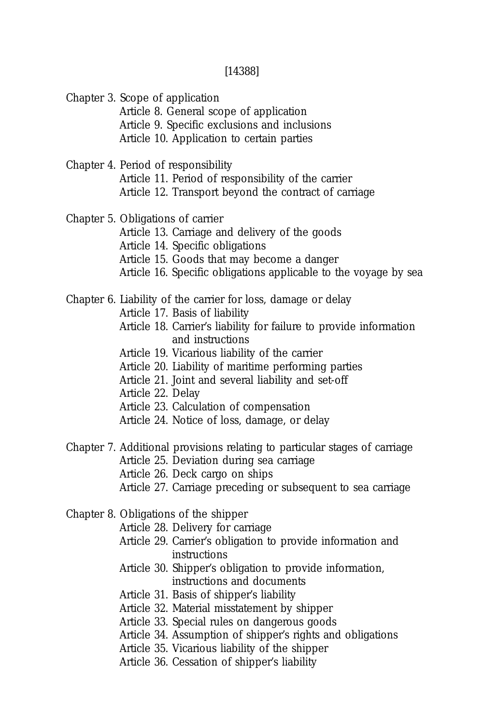[14388]

Chapter 3. Scope of application

Article 8. General scope of application Article 9. Specific exclusions and inclusions Article 10. Application to certain parties

Chapter 4. Period of responsibility

Article 11. Period of responsibility of the carrier Article 12. Transport beyond the contract of carriage

### Chapter 5. Obligations of carrier

Article 13. Carriage and delivery of the goods

Article 14. Specific obligations

Article 15. Goods that may become a danger

Article 16. Specific obligations applicable to the voyage by sea

### Chapter 6. Liability of the carrier for loss, damage or delay

Article 17. Basis of liability

- Article 18. Carrier's liability for failure to provide information and instructions
- Article 19. Vicarious liability of the carrier
- Article 20. Liability of maritime performing parties
- Article 21. Joint and several liability and set-off
- Article 22. Delay
- Article 23. Calculation of compensation
- Article 24. Notice of loss, damage, or delay

Chapter 7. Additional provisions relating to particular stages of carriage Article 25. Deviation during sea carriage

- Article 26. Deck cargo on ships
- Article 27. Carriage preceding or subsequent to sea carriage
- Chapter 8. Obligations of the shipper
	- Article 28. Delivery for carriage
	- Article 29. Carrier's obligation to provide information and instructions
	- Article 30. Shipper's obligation to provide information, instructions and documents
	- Article 31. Basis of shipper's liability
	- Article 32. Material misstatement by shipper
	- Article 33. Special rules on dangerous goods
	- Article 34. Assumption of shipper's rights and obligations
	- Article 35. Vicarious liability of the shipper
	- Article 36. Cessation of shipper's liability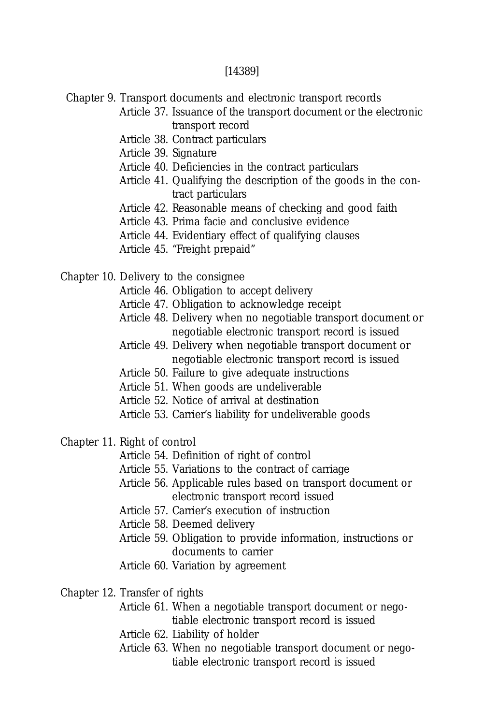### [14389]

Chapter 9. Transport documents and electronic transport records

Article 37. Issuance of the transport document or the electronic transport record

Article 38. Contract particulars

Article 39. Signature

- Article 40. Deficiencies in the contract particulars
- Article 41. Qualifying the description of the goods in the contract particulars
- Article 42. Reasonable means of checking and good faith
- Article 43. Prima facie and conclusive evidence
- Article 44. Evidentiary effect of qualifying clauses
- Article 45. "Freight prepaid"

Chapter 10. Delivery to the consignee

- Article 46. Obligation to accept delivery
- Article 47. Obligation to acknowledge receipt
- Article 48. Delivery when no negotiable transport document or negotiable electronic transport record is issued
- Article 49. Delivery when negotiable transport document or negotiable electronic transport record is issued
- Article 50. Failure to give adequate instructions
- Article 51. When goods are undeliverable
- Article 52. Notice of arrival at destination
- Article 53. Carrier's liability for undeliverable goods
- Chapter 11. Right of control
	- Article 54. Definition of right of control
	- Article 55. Variations to the contract of carriage
	- Article 56. Applicable rules based on transport document or electronic transport record issued
	- Article 57. Carrier's execution of instruction
	- Article 58. Deemed delivery
	- Article 59. Obligation to provide information, instructions or documents to carrier
	- Article 60. Variation by agreement
- Chapter 12. Transfer of rights
	- Article 61. When a negotiable transport document or negotiable electronic transport record is issued
	- Article 62. Liability of holder
	- Article 63. When no negotiable transport document or negotiable electronic transport record is issued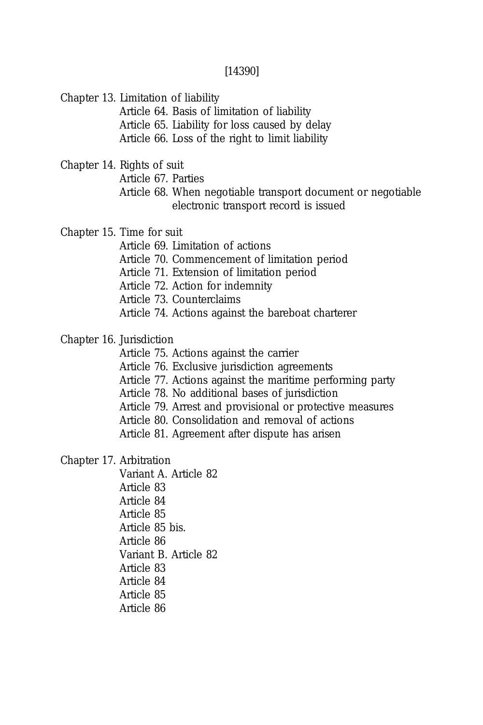### [14390]

Chapter 13. Limitation of liability

Article 64. Basis of limitation of liability Article 65. Liability for loss caused by delay Article 66. Loss of the right to limit liability

Chapter 14. Rights of suit

Article 67. Parties

Article 68. When negotiable transport document or negotiable electronic transport record is issued

Chapter 15. Time for suit

Article 69. Limitation of actions Article 70. Commencement of limitation period Article 71. Extension of limitation period Article 72. Action for indemnity Article 73. Counterclaims

Article 74. Actions against the bareboat charterer

Chapter 16. Jurisdiction

Article 75. Actions against the carrier

Article 76. Exclusive jurisdiction agreements

Article 77. Actions against the maritime performing party

Article 78. No additional bases of jurisdiction

Article 79. Arrest and provisional or protective measures

Article 80. Consolidation and removal of actions

Article 81. Agreement after dispute has arisen

Chapter 17. Arbitration

Variant A. Article 82 Article 83 Article 84 Article 85 Article 85 bis. Article 86 Variant B. Article 82 Article 83 Article 84 Article 85 Article 86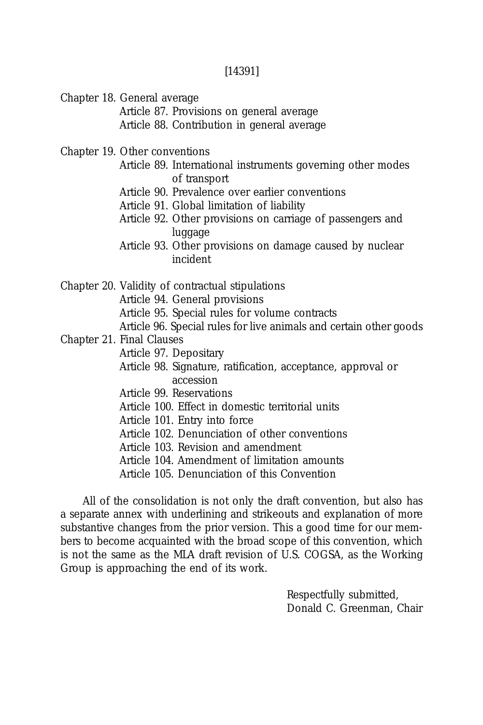[14391]

Chapter 18. General average

Article 87. Provisions on general average Article 88. Contribution in general average

Chapter 19. Other conventions

- Article 89. International instruments governing other modes of transport
- Article 90. Prevalence over earlier conventions
- Article 91. Global limitation of liability
- Article 92. Other provisions on carriage of passengers and luggage
- Article 93. Other provisions on damage caused by nuclear incident

Chapter 20. Validity of contractual stipulations Article 94. General provisions Article 95. Special rules for volume contracts Article 96. Special rules for live animals and certain other goods Chapter 21. Final Clauses Article 97. Depositary Article 98. Signature, ratification, acceptance, approval or accession

- Article 99. Reservations
- Article 100. Effect in domestic territorial units
- Article 101. Entry into force
- Article 102. Denunciation of other conventions
- Article 103. Revision and amendment
- Article 104. Amendment of limitation amounts
- Article 105. Denunciation of this Convention

All of the consolidation is not only the draft convention, but also has a separate annex with underlining and strikeouts and explanation of more substantive changes from the prior version. This a good time for our members to become acquainted with the broad scope of this convention, which is not the same as the MLA draft revision of U.S. COGSA, as the Working Group is approaching the end of its work.

> Respectfully submitted, Donald C. Greenman, Chair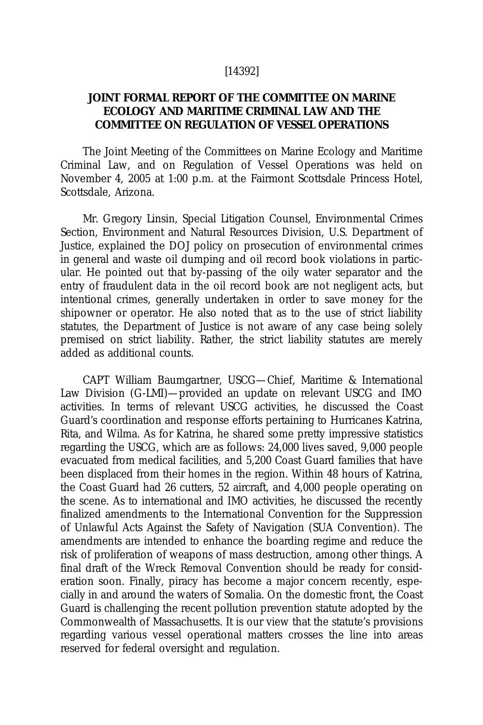### [14392]

# **JOINT FORMAL REPORT OF THE COMMITTEE ON MARINE ECOLOGY AND MARITIME CRIMINAL LAW AND THE COMMITTEE ON REGULATION OF VESSEL OPERATIONS**

The Joint Meeting of the Committees on Marine Ecology and Maritime Criminal Law, and on Regulation of Vessel Operations was held on November 4, 2005 at 1:00 p.m. at the Fairmont Scottsdale Princess Hotel, Scottsdale, Arizona.

Mr. Gregory Linsin, Special Litigation Counsel, Environmental Crimes Section, Environment and Natural Resources Division, U.S. Department of Justice, explained the DOJ policy on prosecution of environmental crimes in general and waste oil dumping and oil record book violations in particular. He pointed out that by-passing of the oily water separator and the entry of fraudulent data in the oil record book are not negligent acts, but intentional crimes, generally undertaken in order to save money for the shipowner or operator. He also noted that as to the use of strict liability statutes, the Department of Justice is not aware of any case being solely premised on strict liability. Rather, the strict liability statutes are merely added as additional counts.

CAPT William Baumgartner, USCG—Chief, Maritime & International Law Division (G-LMI)—provided an update on relevant USCG and IMO activities. In terms of relevant USCG activities, he discussed the Coast Guard's coordination and response efforts pertaining to Hurricanes Katrina, Rita, and Wilma. As for Katrina, he shared some pretty impressive statistics regarding the USCG, which are as follows: 24,000 lives saved, 9,000 people evacuated from medical facilities, and 5,200 Coast Guard families that have been displaced from their homes in the region. Within 48 hours of Katrina, the Coast Guard had 26 cutters, 52 aircraft, and 4,000 people operating on the scene. As to international and IMO activities, he discussed the recently finalized amendments to the International Convention for the Suppression of Unlawful Acts Against the Safety of Navigation (SUA Convention). The amendments are intended to enhance the boarding regime and reduce the risk of proliferation of weapons of mass destruction, among other things. A final draft of the Wreck Removal Convention should be ready for consideration soon. Finally, piracy has become a major concern recently, especially in and around the waters of Somalia. On the domestic front, the Coast Guard is challenging the recent pollution prevention statute adopted by the Commonwealth of Massachusetts. It is our view that the statute's provisions regarding various vessel operational matters crosses the line into areas reserved for federal oversight and regulation.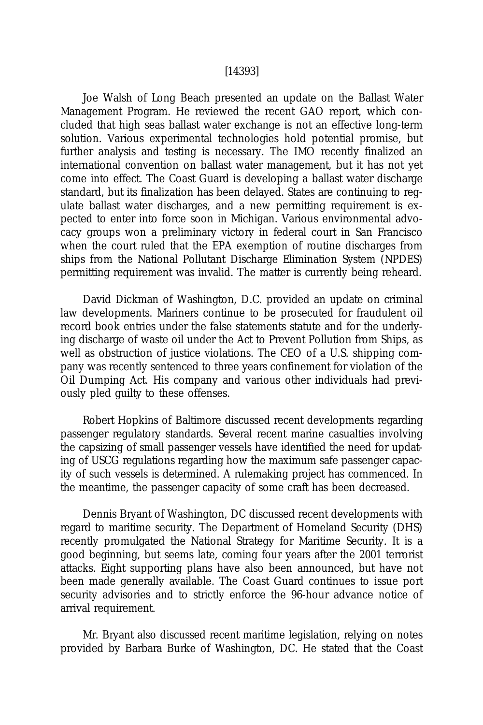#### [14393]

Joe Walsh of Long Beach presented an update on the Ballast Water Management Program. He reviewed the recent GAO report, which concluded that high seas ballast water exchange is not an effective long-term solution. Various experimental technologies hold potential promise, but further analysis and testing is necessary. The IMO recently finalized an international convention on ballast water management, but it has not yet come into effect. The Coast Guard is developing a ballast water discharge standard, but its finalization has been delayed. States are continuing to regulate ballast water discharges, and a new permitting requirement is expected to enter into force soon in Michigan. Various environmental advocacy groups won a preliminary victory in federal court in San Francisco when the court ruled that the EPA exemption of routine discharges from ships from the National Pollutant Discharge Elimination System (NPDES) permitting requirement was invalid. The matter is currently being reheard.

David Dickman of Washington, D.C. provided an update on criminal law developments. Mariners continue to be prosecuted for fraudulent oil record book entries under the false statements statute and for the underlying discharge of waste oil under the Act to Prevent Pollution from Ships, as well as obstruction of justice violations. The CEO of a U.S. shipping company was recently sentenced to three years confinement for violation of the Oil Dumping Act. His company and various other individuals had previously pled guilty to these offenses.

Robert Hopkins of Baltimore discussed recent developments regarding passenger regulatory standards. Several recent marine casualties involving the capsizing of small passenger vessels have identified the need for updating of USCG regulations regarding how the maximum safe passenger capacity of such vessels is determined. A rulemaking project has commenced. In the meantime, the passenger capacity of some craft has been decreased.

Dennis Bryant of Washington, DC discussed recent developments with regard to maritime security. The Department of Homeland Security (DHS) recently promulgated the National Strategy for Maritime Security. It is a good beginning, but seems late, coming four years after the 2001 terrorist attacks. Eight supporting plans have also been announced, but have not been made generally available. The Coast Guard continues to issue port security advisories and to strictly enforce the 96-hour advance notice of arrival requirement.

Mr. Bryant also discussed recent maritime legislation, relying on notes provided by Barbara Burke of Washington, DC. He stated that the Coast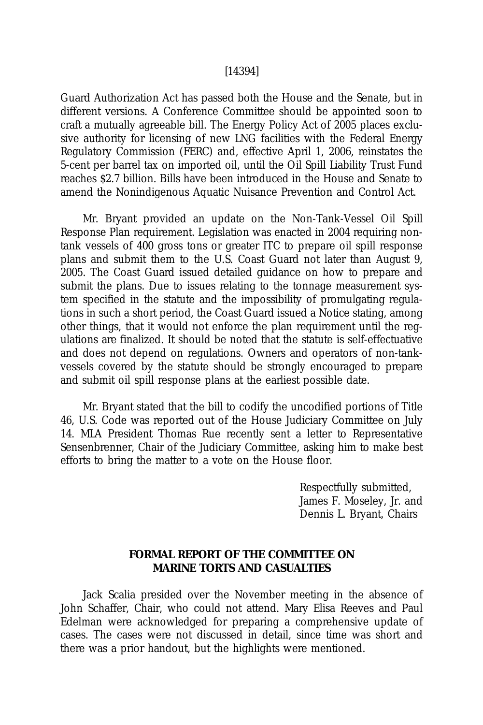#### [14394]

Guard Authorization Act has passed both the House and the Senate, but in different versions. A Conference Committee should be appointed soon to craft a mutually agreeable bill. The Energy Policy Act of 2005 places exclusive authority for licensing of new LNG facilities with the Federal Energy Regulatory Commission (FERC) and, effective April 1, 2006, reinstates the 5-cent per barrel tax on imported oil, until the Oil Spill Liability Trust Fund reaches \$2.7 billion. Bills have been introduced in the House and Senate to amend the Nonindigenous Aquatic Nuisance Prevention and Control Act.

Mr. Bryant provided an update on the Non-Tank-Vessel Oil Spill Response Plan requirement. Legislation was enacted in 2004 requiring nontank vessels of 400 gross tons or greater ITC to prepare oil spill response plans and submit them to the U.S. Coast Guard not later than August 9, 2005. The Coast Guard issued detailed guidance on how to prepare and submit the plans. Due to issues relating to the tonnage measurement system specified in the statute and the impossibility of promulgating regulations in such a short period, the Coast Guard issued a Notice stating, among other things, that it would not enforce the plan requirement until the regulations are finalized. It should be noted that the statute is self-effectuative and does not depend on regulations. Owners and operators of non-tankvessels covered by the statute should be strongly encouraged to prepare and submit oil spill response plans at the earliest possible date.

Mr. Bryant stated that the bill to codify the uncodified portions of Title 46, U.S. Code was reported out of the House Judiciary Committee on July 14. MLA President Thomas Rue recently sent a letter to Representative Sensenbrenner, Chair of the Judiciary Committee, asking him to make best efforts to bring the matter to a vote on the House floor.

> Respectfully submitted, James F. Moseley, Jr. and Dennis L. Bryant, Chairs

# **FORMAL REPORT OF THE COMMITTEE ON MARINE TORTS AND CASUALTIES**

Jack Scalia presided over the November meeting in the absence of John Schaffer, Chair, who could not attend. Mary Elisa Reeves and Paul Edelman were acknowledged for preparing a comprehensive update of cases. The cases were not discussed in detail, since time was short and there was a prior handout, but the highlights were mentioned.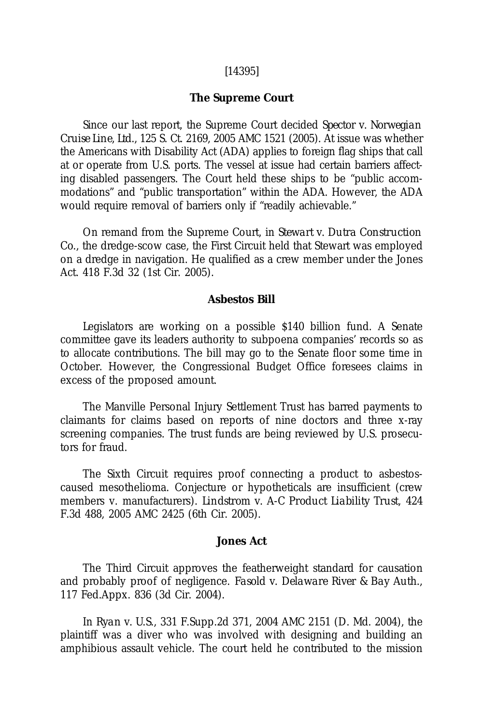### [14395]

#### **The Supreme Court**

Since our last report, the Supreme Court decided *Spector v. Norwegian Cruise Line, Ltd.,* 125 S. Ct. 2169, 2005 AMC 1521 (2005). At issue was whether the Americans with Disability Act (ADA) applies to foreign flag ships that call at or operate from U.S. ports. The vessel at issue had certain barriers affecting disabled passengers. The Court held these ships to be "public accommodations" and "public transportation" within the ADA. However, the ADA would require removal of barriers only if "readily achievable."

On remand from the Supreme Court, in *Stewart v. Dutra Construction Co.*, the dredge-scow case, the First Circuit held that Stewart was employed on a dredge in navigation. He qualified as a crew member under the Jones Act. 418 F.3d 32 (1st Cir. 2005).

## **Asbestos Bill**

Legislators are working on a possible \$140 billion fund. A Senate committee gave its leaders authority to subpoena companies' records so as to allocate contributions. The bill may go to the Senate floor some time in October. However, the Congressional Budget Office foresees claims in excess of the proposed amount.

The Manville Personal Injury Settlement Trust has barred payments to claimants for claims based on reports of nine doctors and three x-ray screening companies. The trust funds are being reviewed by U.S. prosecutors for fraud.

The Sixth Circuit requires proof connecting a product to asbestoscaused mesothelioma. Conjecture or hypotheticals are insufficient (crew members v. manufacturers). *Lindstrom v. A-C Product Liability Trust*, 424 F.3d 488, 2005 AMC 2425 (6th Cir. 2005).

### **Jones Act**

The Third Circuit approves the featherweight standard for causation and probably proof of negligence. *Fasold v. Delaware River & Bay Auth.*, 117 Fed.Appx. 836 (3d Cir. 2004).

In *Ryan v. U.S.*, 331 F.Supp.2d 371, 2004 AMC 2151 (D. Md. 2004), the plaintiff was a diver who was involved with designing and building an amphibious assault vehicle. The court held he contributed to the mission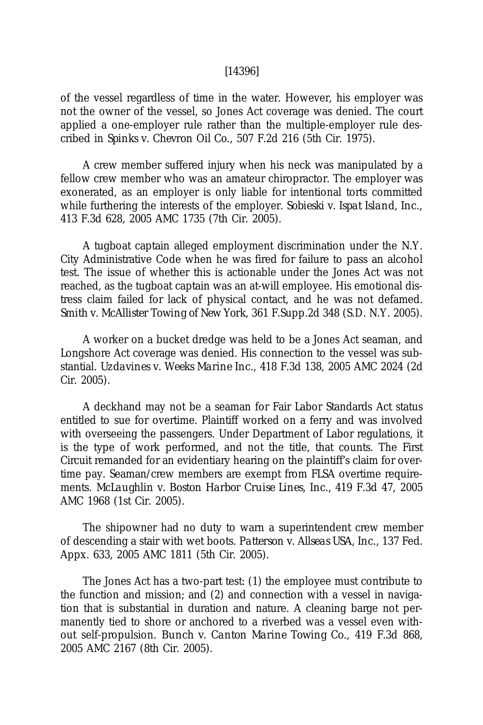#### [14396]

of the vessel regardless of time in the water. However, his employer was not the owner of the vessel, so Jones Act coverage was denied. The court applied a one-employer rule rather than the multiple-employer rule described in *Spinks v. Chevron Oil Co.*, 507 F.2d 216 (5th Cir. 1975).

A crew member suffered injury when his neck was manipulated by a fellow crew member who was an amateur chiropractor. The employer was exonerated, as an employer is only liable for intentional torts committed while furthering the interests of the employer. *Sobieski v. Ispat Island, Inc.,* 413 F.3d 628, 2005 AMC 1735 (7th Cir. 2005).

A tugboat captain alleged employment discrimination under the N.Y. City Administrative Code when he was fired for failure to pass an alcohol test. The issue of whether this is actionable under the Jones Act was not reached, as the tugboat captain was an at-will employee. His emotional distress claim failed for lack of physical contact, and he was not defamed. *Smith v. McAllister Towing of New York*, 361 F.Supp.2d 348 (S.D. N.Y. 2005).

A worker on a bucket dredge was held to be a Jones Act seaman, and Longshore Act coverage was denied. His connection to the vessel was substantial. *Uzdavines v. Weeks Marine Inc.*, 418 F.3d 138, 2005 AMC 2024 (2d Cir. 2005).

A deckhand may not be a seaman for Fair Labor Standards Act status entitled to sue for overtime. Plaintiff worked on a ferry and was involved with overseeing the passengers. Under Department of Labor regulations, it is the type of work performed, and not the title, that counts. The First Circuit remanded for an evidentiary hearing on the plaintiff's claim for overtime pay. Seaman/crew members are exempt from FLSA overtime requirements. *McLaughlin v. Boston Harbor Cruise Lines, Inc.,* 419 F.3d 47, 2005 AMC 1968 (1st Cir. 2005).

The shipowner had no duty to warn a superintendent crew member of descending a stair with wet boots. *Patterson v. Allseas USA, Inc.*, 137 Fed. Appx. 633, 2005 AMC 1811 (5th Cir. 2005).

The Jones Act has a two-part test: (1) the employee must contribute to the function and mission; and (2) and connection with a vessel in navigation that is substantial in duration and nature. A cleaning barge not permanently tied to shore or anchored to a riverbed was a vessel even without self-propulsion. *Bunch v. Canton Marine Towing Co.*, 419 F.3d 868, 2005 AMC 2167 (8th Cir. 2005).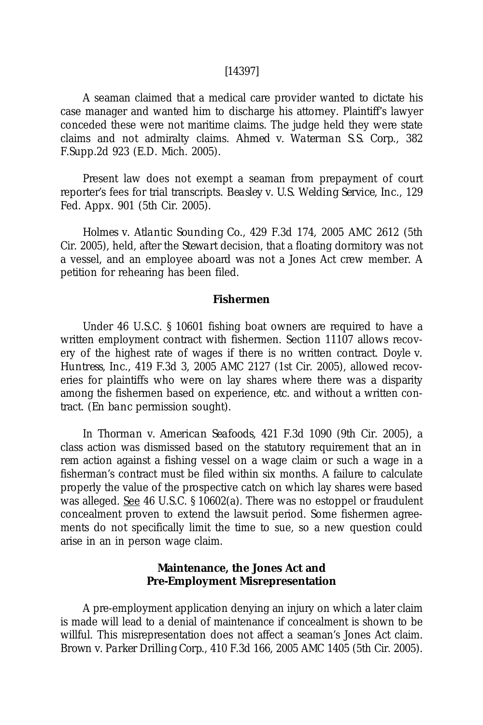### [14397]

A seaman claimed that a medical care provider wanted to dictate his case manager and wanted him to discharge his attorney. Plaintiff's lawyer conceded these were not maritime claims. The judge held they were state claims and not admiralty claims. *Ahmed v. Waterman S.S. Corp.*, 382 F.Supp.2d 923 (E.D. Mich. 2005).

Present law does not exempt a seaman from prepayment of court reporter's fees for trial transcripts. *Beasley v. U.S. Welding Service, Inc.*, 129 Fed. Appx. 901 (5th Cir. 2005).

*Holmes v. Atlantic Sounding Co.,* 429 F.3d 174, 2005 AMC 2612 (5th Cir. 2005), held, after the *Stewart* decision, that a floating dormitory was not a vessel, and an employee aboard was not a Jones Act crew member. A petition for rehearing has been filed.

### **Fishermen**

Under 46 U.S.C. § 10601 fishing boat owners are required to have a written employment contract with fishermen. Section 11107 allows recovery of the highest rate of wages if there is no written contract. *Doyle v. Huntress, Inc.*, 419 F.3d 3, 2005 AMC 2127 (1st Cir. 2005), allowed recoveries for plaintiffs who were on lay shares where there was a disparity among the fishermen based on experience, *etc.* and without a written contract. (*En banc* permission sought).

In *Thorman v. American Seafoods*, 421 F.3d 1090 (9th Cir. 2005), a class action was dismissed based on the statutory requirement that an *in rem* action against a fishing vessel on a wage claim or such a wage in a fisherman's contract must be filed within six months. A failure to calculate properly the value of the prospective catch on which lay shares were based was alleged. See 46 U.S.C. § 10602(a). There was no estoppel or fraudulent concealment proven to extend the lawsuit period. Some fishermen agreements do not specifically limit the time to sue, so a new question could arise in an in person wage claim.

### **Maintenance, the Jones Act and Pre-Employment Misrepresentation**

A pre-employment application denying an injury on which a later claim is made will lead to a denial of maintenance if concealment is shown to be willful. This misrepresentation does not affect a seaman's Jones Act claim. *Brown v. Parker Drilling Corp.*, 410 F.3d 166, 2005 AMC 1405 (5th Cir. 2005).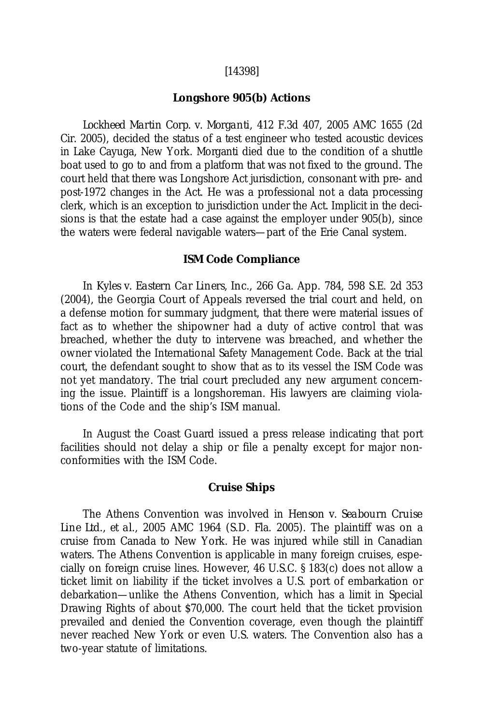### [14398]

### **Longshore 905(b) Actions**

*Lockheed Martin Corp. v. Morganti*, 412 F.3d 407, 2005 AMC 1655 (2d Cir. 2005), decided the status of a test engineer who tested acoustic devices in Lake Cayuga, New York. Morganti died due to the condition of a shuttle boat used to go to and from a platform that was not fixed to the ground. The court held that there was Longshore Act jurisdiction, consonant with pre- and post-1972 changes in the Act. He was a professional not a data processing clerk, which is an exception to jurisdiction under the Act. Implicit in the decisions is that the estate had a case against the employer under 905(b), since the waters were federal navigable waters—part of the Erie Canal system.

#### **ISM Code Compliance**

In *Kyles v. Eastern Car Liners, Inc.*, 266 Ga. App. 784, 598 S.E. 2d 353 (2004), the Georgia Court of Appeals reversed the trial court and held, on a defense motion for summary judgment, that there were material issues of fact as to whether the shipowner had a duty of active control that was breached, whether the duty to intervene was breached, and whether the owner violated the International Safety Management Code. Back at the trial court, the defendant sought to show that as to its vessel the ISM Code was not yet mandatory. The trial court precluded any new argument concerning the issue. Plaintiff is a longshoreman. His lawyers are claiming violations of the Code and the ship's ISM manual.

In August the Coast Guard issued a press release indicating that port facilities should not delay a ship or file a penalty except for major nonconformities with the ISM Code.

### **Cruise Ships**

The Athens Convention was involved in *Henson v. Seabourn Cruise Line Ltd., et al.*, 2005 AMC 1964 (S.D. Fla. 2005). The plaintiff was on a cruise from Canada to New York. He was injured while still in Canadian waters. The Athens Convention is applicable in many foreign cruises, especially on foreign cruise lines. However, 46 U.S.C. § 183(c) does not allow a ticket limit on liability if the ticket involves a U.S. port of embarkation or debarkation—unlike the Athens Convention, which has a limit in Special Drawing Rights of about \$70,000. The court held that the ticket provision prevailed and denied the Convention coverage, even though the plaintiff never reached New York or even U.S. waters. The Convention also has a two-year statute of limitations.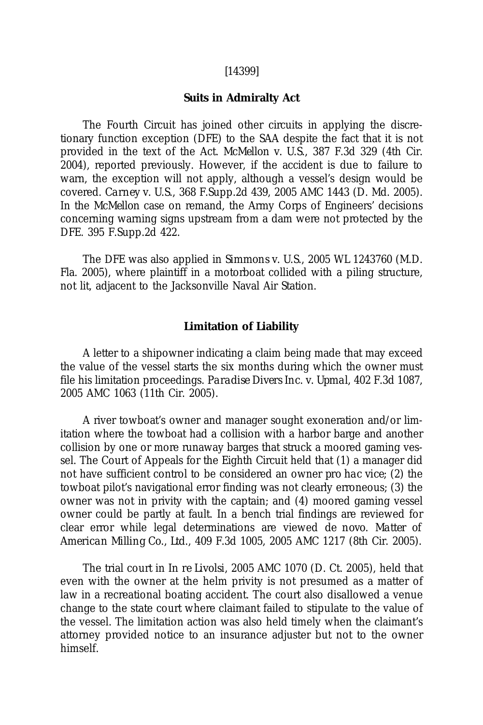#### [14399]

#### **Suits in Admiralty Act**

The Fourth Circuit has joined other circuits in applying the discretionary function exception (DFE) to the SAA despite the fact that it is not provided in the text of the Act. *McMellon v. U.S.*, 387 F.3d 329 (4th Cir. 2004), reported previously. However, if the accident is due to failure to warn, the exception will not apply, although a vessel's design would be covered. *Carney v. U.S.*, 368 F.Supp.2d 439, 2005 AMC 1443 (D. Md. 2005). In the *McMellon* case on remand, the Army Corps of Engineers' decisions concerning warning signs upstream from a dam were not protected by the DFE. 395 F.Supp.2d 422.

The DFE was also applied in *Simmons v. U.S.*, 2005 WL 1243760 (M.D. Fla. 2005), where plaintiff in a motorboat collided with a piling structure, not lit, adjacent to the Jacksonville Naval Air Station.

#### **Limitation of Liability**

A letter to a shipowner indicating a claim being made that may exceed the value of the vessel starts the six months during which the owner must file his limitation proceedings. *Paradise Divers Inc. v. Upmal*, 402 F.3d 1087, 2005 AMC 1063 (11th Cir. 2005).

A river towboat's owner and manager sought exoneration and/or limitation where the towboat had a collision with a harbor barge and another collision by one or more runaway barges that struck a moored gaming vessel. The Court of Appeals for the Eighth Circuit held that (1) a manager did not have sufficient control to be considered an owner *pro hac vice*; (2) the towboat pilot's navigational error finding was not clearly erroneous; (3) the owner was not in privity with the captain; and (4) moored gaming vessel owner could be partly at fault. In a bench trial findings are reviewed for clear error while legal determinations are viewed *de novo*. *Matter of American Milling Co., Ltd.*, 409 F.3d 1005, 2005 AMC 1217 (8th Cir. 2005).

The trial court in *In re Livolsi*, 2005 AMC 1070 (D. Ct. 2005), held that even with the owner at the helm privity is not presumed as a matter of law in a recreational boating accident. The court also disallowed a venue change to the state court where claimant failed to stipulate to the value of the vessel. The limitation action was also held timely when the claimant's attorney provided notice to an insurance adjuster but not to the owner himself.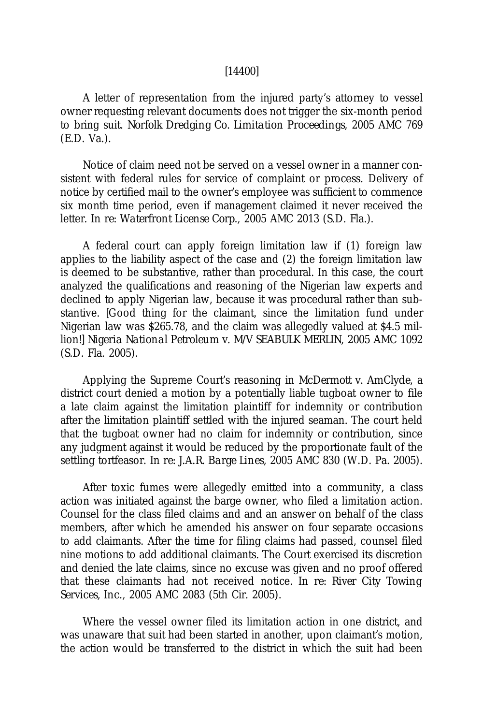### [14400]

A letter of representation from the injured party's attorney to vessel owner requesting relevant documents does not trigger the six-month period to bring suit. *Norfolk Dredging Co. Limitation Proceedings*, 2005 AMC 769 (E.D. Va.).

Notice of claim need not be served on a vessel owner in a manner consistent with federal rules for service of complaint or process. Delivery of notice by certified mail to the owner's employee was sufficient to commence six month time period, even if management claimed it never received the letter. *In re: Waterfront License Corp.*, 2005 AMC 2013 (S.D. Fla.).

A federal court can apply foreign limitation law if (1) foreign law applies to the liability aspect of the case and (2) the foreign limitation law is deemed to be substantive, rather than procedural. In this case, the court analyzed the qualifications and reasoning of the Nigerian law experts and declined to apply Nigerian law, because it was procedural rather than substantive. [Good thing for the claimant, since the limitation fund under Nigerian law was \$265.78, and the claim was allegedly valued at \$4.5 million!] *Nigeria National Petroleum v. M/V SEABULK MERLIN*, 2005 AMC 1092 (S.D. Fla. 2005).

Applying the Supreme Court's reasoning in *McDermott v. AmClyde*, a district court denied a motion by a potentially liable tugboat owner to file a late claim against the limitation plaintiff for indemnity or contribution after the limitation plaintiff settled with the injured seaman. The court held that the tugboat owner had no claim for indemnity or contribution, since any judgment against it would be reduced by the proportionate fault of the settling tortfeasor. *In re: J.A.R. Barge Lines*, 2005 AMC 830 (W.D. Pa. 2005).

After toxic fumes were allegedly emitted into a community, a class action was initiated against the barge owner, who filed a limitation action. Counsel for the class filed claims and and an answer on behalf of the class members, after which he amended his answer on four separate occasions to add claimants. After the time for filing claims had passed, counsel filed nine motions to add additional claimants. The Court exercised its discretion and denied the late claims, since no excuse was given and no proof offered that these claimants had not received notice. *In re: River City Towing Services, Inc.*, 2005 AMC 2083 (5th Cir. 2005).

Where the vessel owner filed its limitation action in one district, and was unaware that suit had been started in another, upon claimant's motion, the action would be transferred to the district in which the suit had been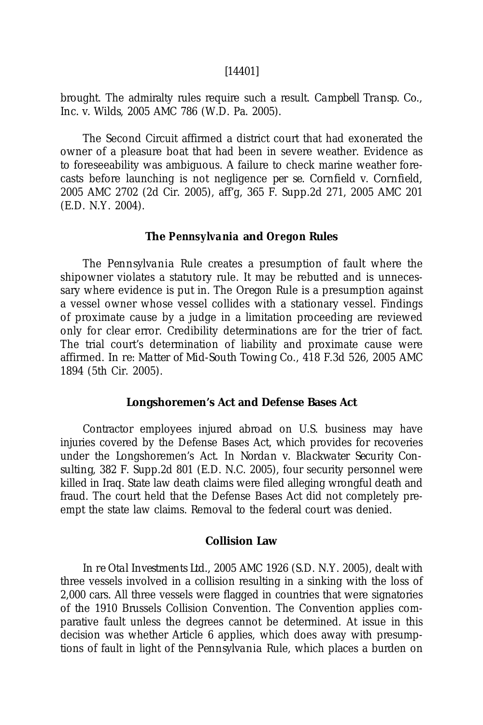#### [14401]

brought. The admiralty rules require such a result. *Campbell Transp. Co., Inc. v. Wilds*, 2005 AMC 786 (W.D. Pa. 2005).

The Second Circuit affirmed a district court that had exonerated the owner of a pleasure boat that had been in severe weather. Evidence as to foreseeability was ambiguous. A failure to check marine weather forecasts before launching is not negligence *per se. Cornfield v. Cornfield,* 2005 AMC 2702 (2d Cir. 2005), aff'g, 365 F. Supp.2d 271, 2005 AMC 201 (E.D. N.Y. 2004).

#### **The** *Pennsylvania* **and** *Oregon* **Rules**

The *Pennsylvania* Rule creates a presumption of fault where the shipowner violates a statutory rule. It may be rebutted and is unnecessary where evidence is put in. The *Oregon* Rule is a presumption against a vessel owner whose vessel collides with a stationary vessel. Findings of proximate cause by a judge in a limitation proceeding are reviewed only for clear error. Credibility determinations are for the trier of fact. The trial court's determination of liability and proximate cause were affirmed. *In re: Matter of Mid-South Towing Co.*, 418 F.3d 526, 2005 AMC 1894 (5th Cir. 2005).

### **Longshoremen's Act and Defense Bases Act**

Contractor employees injured abroad on U.S. business may have injuries covered by the Defense Bases Act, which provides for recoveries under the Longshoremen's Act. In *Nordan v. Blackwater Security Consulting*, 382 F. Supp.2d 801 (E.D. N.C. 2005), four security personnel were killed in Iraq. State law death claims were filed alleging wrongful death and fraud. The court held that the Defense Bases Act did not completely preempt the state law claims. Removal to the federal court was denied.

### **Collision Law**

*In re Otal Investments Ltd.*, 2005 AMC 1926 (S.D. N.Y. 2005), dealt with three vessels involved in a collision resulting in a sinking with the loss of 2,000 cars. All three vessels were flagged in countries that were signatories of the 1910 Brussels Collision Convention. The Convention applies comparative fault unless the degrees cannot be determined. At issue in this decision was whether Article 6 applies, which does away with presumptions of fault in light of the *Pennsylvania* Rule, which places a burden on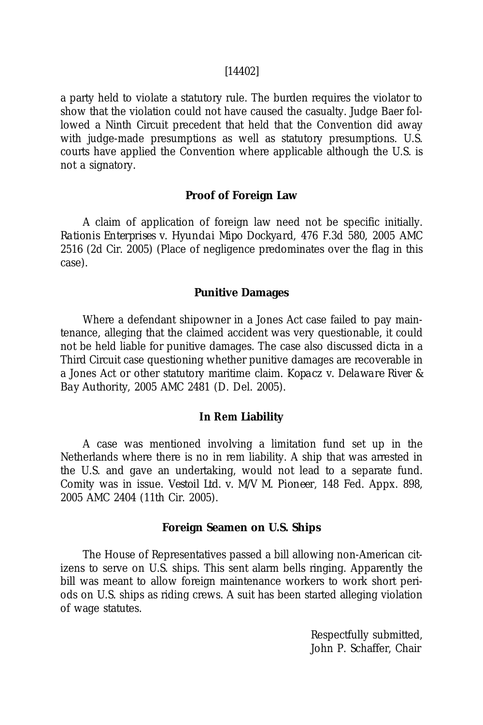#### [14402]

a party held to violate a statutory rule. The burden requires the violator to show that the violation could not have caused the casualty. Judge Baer followed a Ninth Circuit precedent that held that the Convention did away with judge-made presumptions as well as statutory presumptions. U.S. courts have applied the Convention where applicable although the U.S. is not a signatory.

### **Proof of Foreign Law**

A claim of application of foreign law need not be specific initially. *Rationis Enterprises v. Hyundai Mipo Dockyard*, 476 F.3d 580, 2005 AMC 2516 (2d Cir. 2005) (Place of negligence predominates over the flag in this case).

### **Punitive Damages**

Where a defendant shipowner in a Jones Act case failed to pay maintenance, alleging that the claimed accident was very questionable, it could not be held liable for punitive damages. The case also discussed *dicta* in a Third Circuit case questioning whether punitive damages are recoverable in a Jones Act or other statutory maritime claim. *Kopacz v. Delaware River & Bay Authority*, 2005 AMC 2481 (D. Del. 2005).

### *In Rem* **Liability**

A case was mentioned involving a limitation fund set up in the Netherlands where there is no in rem liability. A ship that was arrested in the U.S. and gave an undertaking, would not lead to a separate fund. Comity was in issue. *Vestoil Ltd. v. M/V M. Pioneer*, 148 Fed. Appx. 898, 2005 AMC 2404 (11th Cir. 2005).

### **Foreign Seamen on U.S. Ships**

The House of Representatives passed a bill allowing non-American citizens to serve on U.S. ships. This sent alarm bells ringing. Apparently the bill was meant to allow foreign maintenance workers to work short periods on U.S. ships as riding crews. A suit has been started alleging violation of wage statutes.

> Respectfully submitted, John P. Schaffer, Chair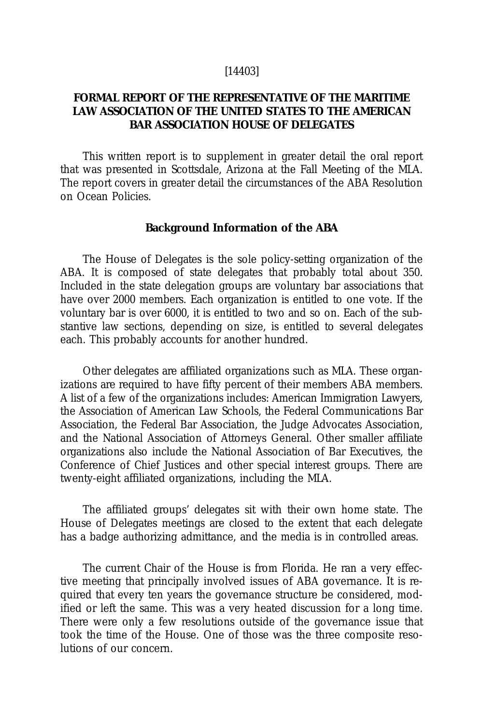### [14403]

# **FORMAL REPORT OF THE REPRESENTATIVE OF THE MARITIME LAW ASSOCIATION OF THE UNITED STATES TO THE AMERICAN BAR ASSOCIATION HOUSE OF DELEGATES**

This written report is to supplement in greater detail the oral report that was presented in Scottsdale, Arizona at the Fall Meeting of the MLA. The report covers in greater detail the circumstances of the ABA Resolution on Ocean Policies.

#### **Background Information of the ABA**

The House of Delegates is the sole policy-setting organization of the ABA. It is composed of state delegates that probably total about 350. Included in the state delegation groups are voluntary bar associations that have over 2000 members. Each organization is entitled to one vote. If the voluntary bar is over 6000, it is entitled to two and so on. Each of the substantive law sections, depending on size, is entitled to several delegates each. This probably accounts for another hundred.

Other delegates are affiliated organizations such as MLA. These organizations are required to have fifty percent of their members ABA members. A list of a few of the organizations includes: American Immigration Lawyers, the Association of American Law Schools, the Federal Communications Bar Association, the Federal Bar Association, the Judge Advocates Association, and the National Association of Attorneys General. Other smaller affiliate organizations also include the National Association of Bar Executives, the Conference of Chief Justices and other special interest groups. There are twenty-eight affiliated organizations, including the MLA.

The affiliated groups' delegates sit with their own home state. The House of Delegates meetings are closed to the extent that each delegate has a badge authorizing admittance, and the media is in controlled areas.

The current Chair of the House is from Florida. He ran a very effective meeting that principally involved issues of ABA governance. It is required that every ten years the governance structure be considered, modified or left the same. This was a very heated discussion for a long time. There were only a few resolutions outside of the governance issue that took the time of the House. One of those was the three composite resolutions of our concern.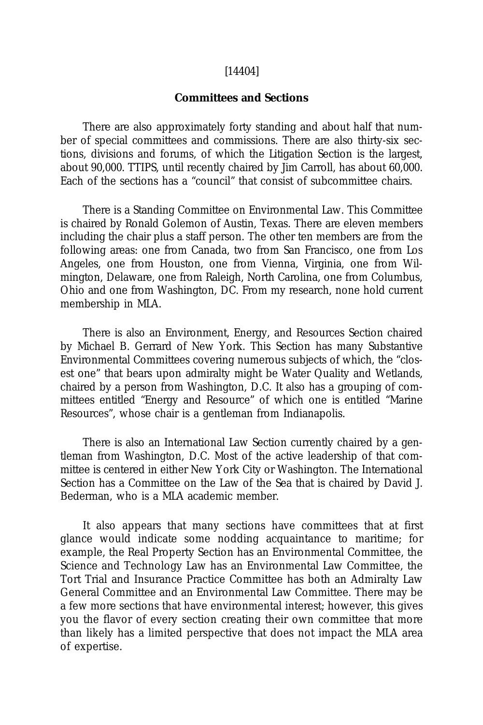#### [14404]

### **Committees and Sections**

There are also approximately forty standing and about half that number of special committees and commissions. There are also thirty-six sections, divisions and forums, of which the Litigation Section is the largest, about 90,000. TTIPS, until recently chaired by Jim Carroll, has about 60,000. Each of the sections has a "council" that consist of subcommittee chairs.

There is a Standing Committee on Environmental Law. This Committee is chaired by Ronald Golemon of Austin, Texas. There are eleven members including the chair plus a staff person. The other ten members are from the following areas: one from Canada, two from San Francisco, one from Los Angeles, one from Houston, one from Vienna, Virginia, one from Wilmington, Delaware, one from Raleigh, North Carolina, one from Columbus, Ohio and one from Washington, DC. From my research, none hold current membership in MLA.

There is also an Environment, Energy, and Resources Section chaired by Michael B. Gerrard of New York. This Section has many Substantive Environmental Committees covering numerous subjects of which, the "closest one" that bears upon admiralty might be Water Quality and Wetlands, chaired by a person from Washington, D.C. It also has a grouping of committees entitled "Energy and Resource" of which one is entitled "Marine Resources", whose chair is a gentleman from Indianapolis.

There is also an International Law Section currently chaired by a gentleman from Washington, D.C. Most of the active leadership of that committee is centered in either New York City or Washington. The International Section has a Committee on the Law of the Sea that is chaired by David J. Bederman, who is a MLA academic member.

It also appears that many sections have committees that at first glance would indicate some nodding acquaintance to maritime; for example, the Real Property Section has an Environmental Committee, the Science and Technology Law has an Environmental Law Committee, the Tort Trial and Insurance Practice Committee has both an Admiralty Law General Committee and an Environmental Law Committee. There may be a few more sections that have environmental interest; however, this gives you the flavor of every section creating their own committee that more than likely has a limited perspective that does not impact the MLA area of expertise.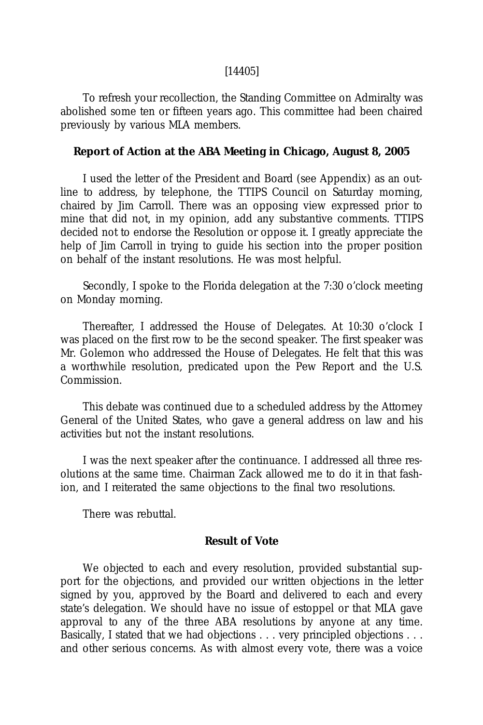### [14405]

To refresh your recollection, the Standing Committee on Admiralty was abolished some ten or fifteen years ago. This committee had been chaired previously by various MLA members.

# **Report of Action at the ABA Meeting in Chicago, August 8, 2005**

I used the letter of the President and Board (see Appendix) as an outline to address, by telephone, the TTIPS Council on Saturday morning, chaired by Jim Carroll. There was an opposing view expressed prior to mine that did not, in my opinion, add any substantive comments. TTIPS decided not to endorse the Resolution or oppose it. I greatly appreciate the help of Jim Carroll in trying to guide his section into the proper position on behalf of the instant resolutions. He was most helpful.

Secondly, I spoke to the Florida delegation at the 7:30 o'clock meeting on Monday morning.

Thereafter, I addressed the House of Delegates. At 10:30 o'clock I was placed on the first row to be the second speaker. The first speaker was Mr. Golemon who addressed the House of Delegates. He felt that this was a worthwhile resolution, predicated upon the Pew Report and the U.S. Commission.

This debate was continued due to a scheduled address by the Attorney General of the United States, who gave a general address on law and his activities but not the instant resolutions.

I was the next speaker after the continuance. I addressed all three resolutions at the same time. Chairman Zack allowed me to do it in that fashion, and I reiterated the same objections to the final two resolutions.

There was rebuttal.

# **Result of Vote**

We objected to each and every resolution, provided substantial support for the objections, and provided our written objections in the letter signed by you, approved by the Board and delivered to each and every state's delegation. We should have no issue of estoppel or that MLA gave approval to any of the three ABA resolutions by anyone at any time. Basically, I stated that we had objections . . . very principled objections . . . and other serious concerns. As with almost every vote, there was a voice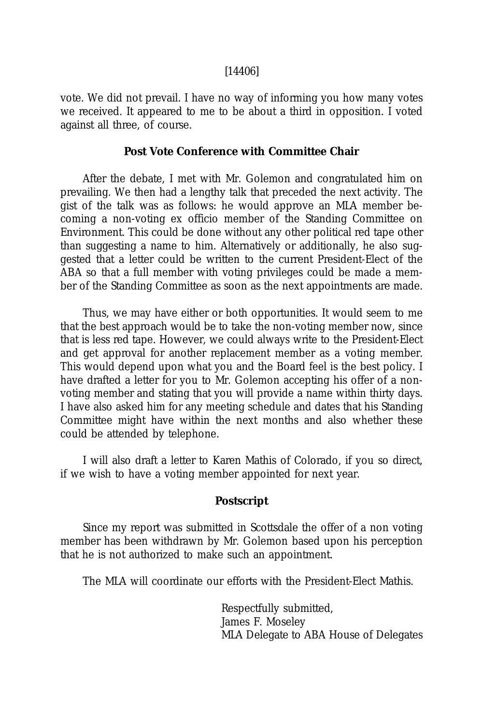### [14406]

vote. We did not prevail. I have no way of informing you how many votes we received. It appeared to me to be about a third in opposition. I voted against all three, of course.

# **Post Vote Conference with Committee Chair**

After the debate, I met with Mr. Golemon and congratulated him on prevailing. We then had a lengthy talk that preceded the next activity. The gist of the talk was as follows: he would approve an MLA member becoming a non-voting ex officio member of the Standing Committee on Environment. This could be done without any other political red tape other than suggesting a name to him. Alternatively or additionally, he also suggested that a letter could be written to the current President-Elect of the ABA so that a full member with voting privileges could be made a member of the Standing Committee as soon as the next appointments are made.

Thus, we may have either or both opportunities. It would seem to me that the best approach would be to take the non-voting member now, since that is less red tape. However, we could always write to the President-Elect and get approval for another replacement member as a voting member. This would depend upon what you and the Board feel is the best policy. I have drafted a letter for you to Mr. Golemon accepting his offer of a nonvoting member and stating that you will provide a name within thirty days. I have also asked him for any meeting schedule and dates that his Standing Committee might have within the next months and also whether these could be attended by telephone.

I will also draft a letter to Karen Mathis of Colorado, if you so direct, if we wish to have a voting member appointed for next year.

### **Postscript**

Since my report was submitted in Scottsdale the offer of a non voting member has been withdrawn by Mr. Golemon based upon his perception that he is not authorized to make such an appointment.

The MLA will coordinate our efforts with the President-Elect Mathis.

Respectfully submitted, James F. Moseley MLA Delegate to ABA House of Delegates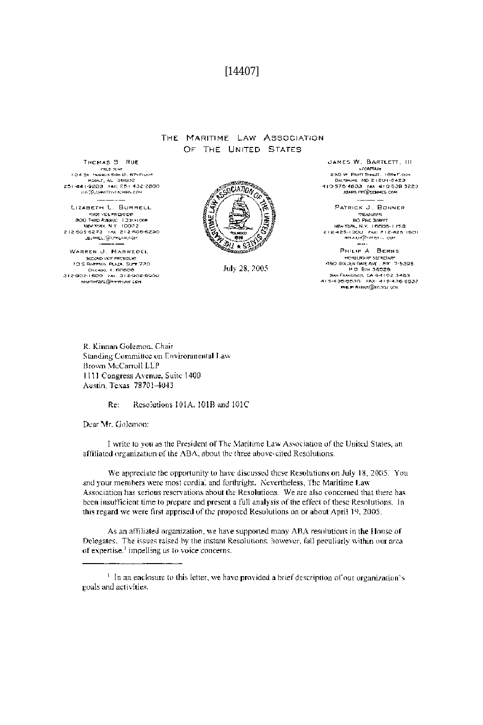### $[14407]$

#### THE MARITIME LAW ASSOCIATION OF THE UNITED STATES

THOMAS 5 RUE PRESIDENT AND COMPUTERS ON A STATE OF A STATE OF A STATE OF A STATE OF A STATE OF A STATE OF A STATE OF A STATE OF A STATE OF A STATE OF A STATE OF A STATE OF A STATE OF A STATE OF A STATE OF A STATE OF A STATE OF A STATE Manuf, AL 388002<br>Manuf, AL 38802<br>Z5t-441-9203 - KAX: 251-432-2800 ре@орнияльпармия соч LIZABETH L. BURRELL FIRST VICE PRESIDENT THE VICE PRESIDENT<br>
BOD THIRD WENDER TO THE NEW YORK N.Y. TOOP 2<br>
212 505 6273 THAT 212 505 6280<br>
212 505 6273 THAT 212 505 6280<br>
-BURREL WILM COM

WARREN J. MARWEDEL SIZOND WOR PROSIDENT Ch.ckco, II. 6D6O8<br>P-1 600 - FAX. 312-902-9900 312402-1600 WHATWEDEL@IMMALLAW.COM



July 28, 2005

JAMES W. BARTLETT, III SCORTAGE 11 SCORTAGE 1674 F.COM BOOT TRATISTICS, TOM SOLD SATISFIES JOARD FTT C'SCHMES COM

PATRICK J. BONNER **TREASUDER BO PINE STREET NEW YORK, N.Y. 10000-1759**<br>**NEW YORK, N.Y. 10000-1759**<br>**212-425-1900 FAX: 212-425-1901**<br>**REMULT**20 PERICE COP PHILIP A BERNS

HE HELPSHIP SERETARY<br>ASO GIXOUN GARE AVEL STE 7:5395 SAN FRANCISCO, CA 94102-3463<br>415-436-6630 FAX: 415-436-6932 PEP RHING @ILGON SOV

R. Kinnan Golemon, Chair Standing Committee on Environmental Law Brown McCarroll LLP 1111 Congress Avenue, Suite 1400 Austin, Texas 78701-4043

> Resolutions 101A, 101B and 101C Re:

Dear Mr. Golemon:

I write to you as the President of The Maritime Law Association of the United States, an affiliated organization of the ABA, about the three above-cited Resolutions.

We appreciate the opportunity to have discussed these Resolutions on July 18, 2005. You and your members were most cordial and forthright. Nevertheless, The Maritime Law Association has serious reservations about the Resolutions. We are also concerned that there has been insufficient time to prepare and present a full analysis of the effect of these Resolutions. In this regard we were first apprised of the proposed Resolutions on or about April 19, 2005.

As an affiliated organization, we have supported many ABA resolutions in the House of Delegates. The issues raised by the instant Resolutions, however, fall peculiarly within our area of expertise.<sup>1</sup> impelling us to voice concerns.

<sup>&</sup>lt;sup>1</sup> In an enclosure to this letter, we have provided a brief description of our organization's goals and activities.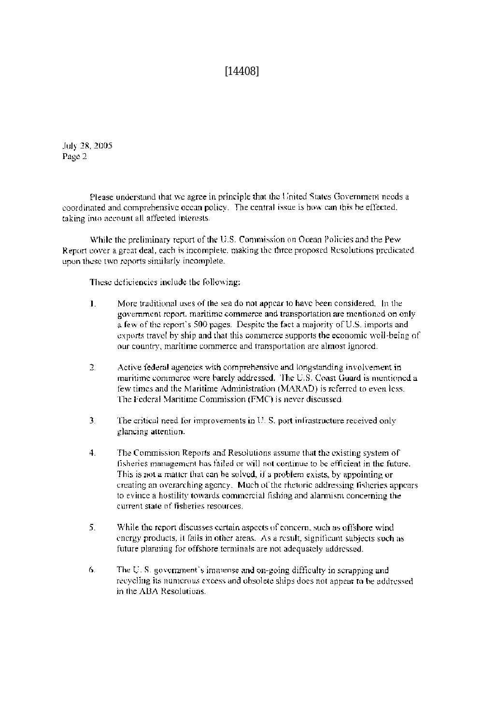$[14408]$ 

July 28, 2005 Page 2

Please understand that we agree in principle that the United States Government needs a coordinated and comprehensive ocean policy. The central issue is how can this be effected, taking into account all affected interests.

While the preliminary report of the U.S. Commission on Ocean Policies and the Pew-Report cover a great deal, each is incomplete, making the three proposed Resolutions predicated upon these two reports similarly incomplete.

These deficiencies include the following:

- More traditional uses of the sea do not appear to have been considered. In the  $\mathbf{L}$ government report, maritime commerce and transportation are mentioned on only a few of the report's 500 pages. Despite the fact a majority of U.S. imports and exports travel by ship and that this commerce supports the economic well-being of our country, maritime commerce and transportation are almost ignored.
- Active federal agencies with comprehensive and longstanding involvement in 2. maritime commerce were barely addressed. The U.S. Coast Guard is mentioned a few times and the Maritime Administration (MARAD) is referred to even less. The Federal Maritime Commission (FMC) is never discussed.
- 3. The critical need for improvements in U.S. port infrastructure received only glancing attention.
- $4.$ The Commission Reports and Resolutions assume that the existing system of fisheries management has failed or will not continue to be efficient in the future. This is not a matter that can be solved, if a problem exists, by appointing or creating an overarching agency. Much of the rhetoric addressing fisheries appears to evince a hostility towards commercial fishing and alarmism concerning the current state of fisheries resources.
- 5. While the report discusses certain aspects of concern, such as offshore wind energy products, it fails in other areas. As a result, significant subjects such as future planning for offshore terminals are not adequately addressed.
- The U.S. government's immense and on-going difficulty in scrapping and 6. recycling its numerous excess and obsolete ships does not appear to be addressed in the ABA Resolutions.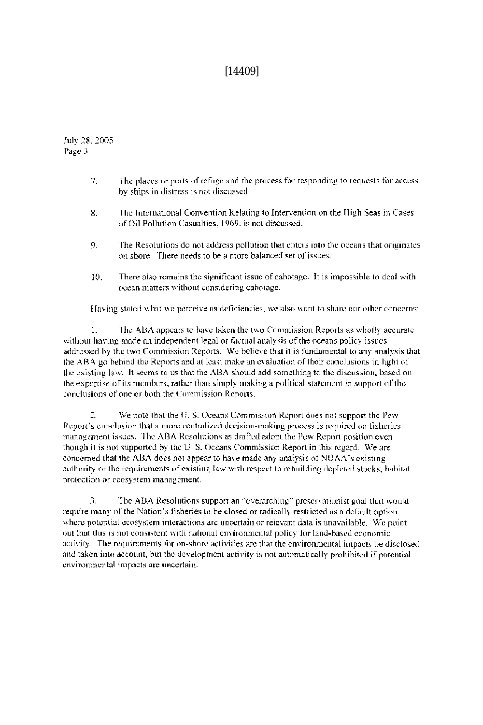# $[14409]$

July 28, 2005 Page 3

- $7<sup>1</sup>$ The places or ports of refuge and the process for responding to requests for access by ships in distress is not discussed.
- 8. The International Convention Relating to Intervention on the High Seas in Cases of Oil Pollution Casualties, 1969, is not discussed.
- The Resolutions do not address pollution that enters into the oceans that originates 9. on shore. There needs to be a more balanced set of issues.
- There also remains the significant issue of cabotage. It is impossible to deal with 10. ocean matters without considering cabotage.

Having stated what we perceive as deficiencies, we also want to share our other concerns:

 $\mathbf{1}$ The ABA appears to have taken the two Commission Reports as wholly accurate without having made an independent legal or factual analysis of the oceans policy issues addressed by the two Commission Reports. We believe that it is fundamental to any analysis that the ABA go behind the Reports and at least make an evaluation of their conclusions in light of the existing law. It seems to us that the ABA should add something to the discussion, based on the expertise of its members, rather than simply making a political statement in support of the conclusions of one or both the Commission Reports.

 $\overline{2}$ . We note that the U.S. Oceans Commission Report does not support the Pew-Report's conclusion that a more centralized decision-making process is required on fisheries management issues. The ABA Resolutions as drafted adopt the Pew Report position even though it is not supported by the U.S. Oceans Commission Report in this regard. We are concerned that the ABA does not appear to have made any analysis of NOAA's existing authority or the requirements of existing law with respect to rebuilding depleted stocks, habitat profection or ecosystem management.

The ABA Resolutions support an "overarching" preservationist goal that would 3. require many of the Nation's fisheries to be closed or radically restricted as a default option where potential ecosystem interactions are uncertain or relevant data is unavailable. We point out that this is not consistent with national environmental policy for land-based economic activity. The requirements for on-shore activities are that the environmental impacts be disclosed and taken into account, but the development activity is not automatically prohibited if potential environmental impacts are uncertain.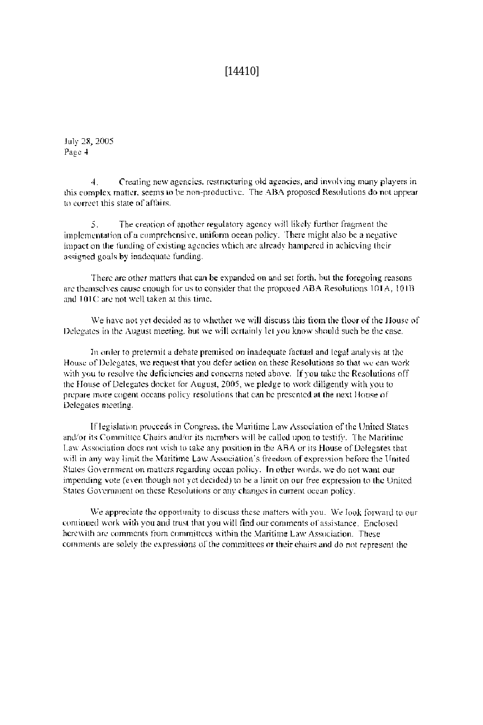### $[14410]$

July 28, 2005 Page 4

Creating new agencies, restructuring old agencies, and involving many players in  $4.$ this complex matter, seems to be non-productive. The ABA proposed Resolutions do not appear to correct this state of affairs.

The creation of another regulatory agency will likely further fragment the  $5.$ implementation of a comprehensive, uniform ocean policy. There might also be a negative impact on the funding of existing agencies which are already hampered in achieving their assigned goals by inadequate funding.

There are other matters that can be expanded on and set forth, but the foregoing reasons are themselves cause enough for us to consider that the proposed ABA Resolutions 101A, 101B and 101C are not well taken at this time.

We have not yet decided as to whether we will discuss this from the floor of the House of Delegates in the August meeting, but we will certainly let you know should such be the case.

In order to protermit a debate premised on inadequate factual and legal analysis at the House of Delegates, we request that you defer action on these Resolutions so that we can work with you to resolve the deficiencies and concerns noted above. If you take the Resolutions off the House of Delegates docket for August, 2005, we pledge to work diligently with you to prepare more cogent oceans policy resolutions that can be presented at the next House of Delegates meeting.

If legislation proceeds in Congress, the Maritime Law Association of the United States and/or its Committee Chairs and/or its members will be called upon to testify. The Maritime Law Association does not wish to take any position in the ABA or its House of Delegates that will in any way limit the Maritime Law Association's freedom of expression before the United States Government on matters regarding ocean policy. In other words, we do not want our impending vote (even though not yet decided) to be a limit on our free expression to the United States Government on these Resolutions or any changes in current ocean policy.

We appreciate the opportunity to discuss these matters with you. We look forward to our continued work with you and trust that you will find our comments of assistance. Enclosed herewith are comments from committees within the Maritime Law Association. These comments are solely the expressions of the committees or their chairs and do not represent the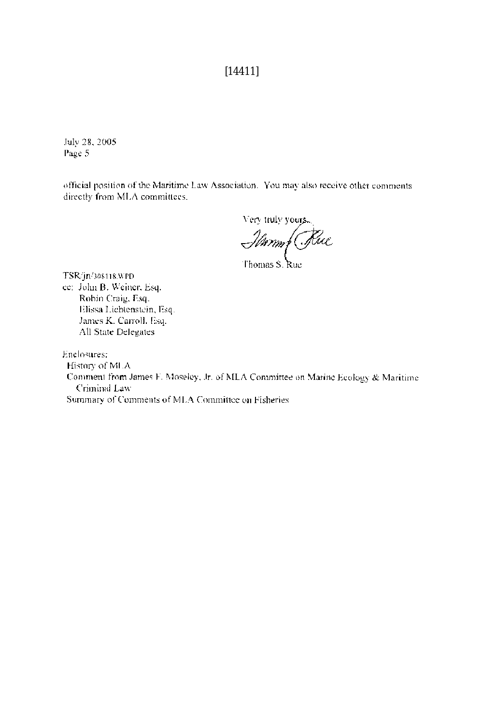# $[14411]$

July 28, 2005 Page 5

official position of the Maritime Law Association. You may also receive other comments directly from MLA committees.

Very truly your

Jennes Rue

TSR/jn/308118.WPD ce: John B. Weiner, Esq. Robin Craig, Esq. Elissa Lichtenstein, Esq. James K. Carroll, Esq. All State Delegates

Enclosures:

History of MLA Comment from James F. Moseley, Jr. of MLA Committee on Marine Ecology & Maritime Criminal Law Summary of Comments of MLA Committee on Fisheries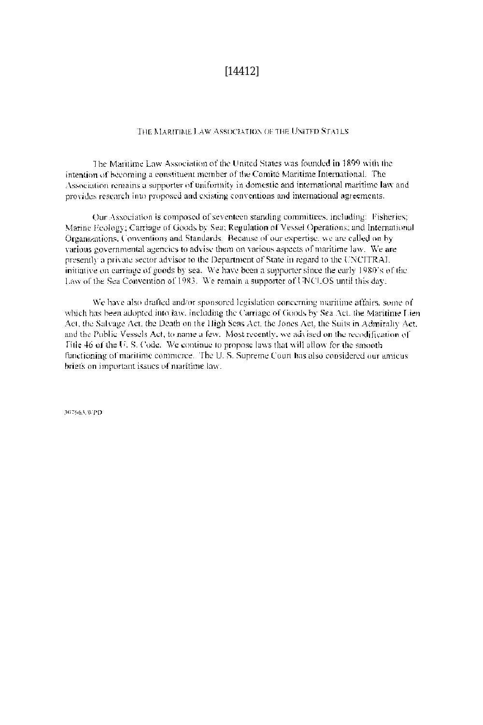### $[14412]$

#### THE MARITIME LAW ASSOCIATION OF THE UNITED STATES.

The Maritime Law Association of the United States was founded in 1899 with the intention of becoming a constituent member of the Comité Maritime International. The Association remains a supporter of uniformity in domestic and international maritime law and provides research into proposed and existing conventions and international agreements.

Our Association is composed of seventeen standing committees, including: Fisheries; Marine Feology: Carriage of Goods by Sea; Regulation of Vessel Operations; and International Organizations, Conventions and Standards. Because of our expertise, we are called on by various governmental agencies to advise them on various aspects of maritime law. We are presently a private sector advisor to the Department of State in regard to the UNCHRAL. initiative on carriage of goods by sea. We have been a supporter since the early 1980's of the Law of the Sea Convention of 1983. We remain a supporter of UNCLOS until this day.

We have also drafted and/or sponsored legislation concerning maritime atfairs, some of which has been adopted into law, including the Carriage of Goods by Sea Act, the Maritime Lien-Act, the Salvage Act, the Death on the High Seas Act, the Jones Act, the Suits in Admiralty Act, and the Public Vessels Act, to name a few. Most recently, we advised on the recodification of Fitle 46 of the U.S. Code. We continue to propose laws that will allow for the smooth functioning of maritime commerce. The U.S. Supreme Court has also considered our amicus briefs on important issues of maritime law.

307663.WPD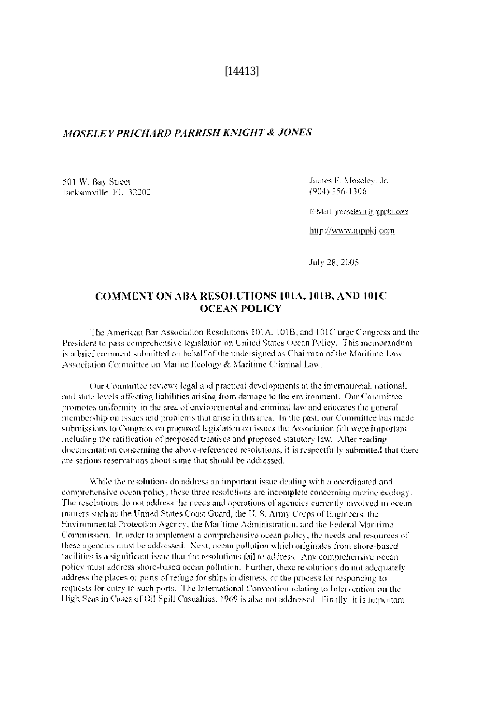$[14413]$ 

### MOSELEY PRICHARD PARRISH KNIGHT & JONES

501 W. Bay Street Jacksonville, FL 32202 James F. Moseley, Jr. (904) 356-1306

E-Mail: jmoselevjr@mppki.com

http://www.mppkj.com

July 28, 2005

### COMMENT ON ABA RESOLUTIONS 101A, 101B, AND 101C **OCEAN POLICY**

The American Bar Association Resolutions 101A, 101B, and 101C urge Congress and the President to pass comprehensive legislation on United States Ocean Policy. This memorandum is a brief comment submitted on behalf of the undersigned as Chairman of the Maritime Law Association Committee on Marine Ecology & Maritime Criminal Law.

Our Committee reviews legal and practical developments at the international, national, and state levels affecting liabilities arising from damage to the environment. Our Committee promotes uniformity in the area of environmental and criminal law and educates the general membership on issues and problems that arise in this area. In the past, our Committee has made submissions to Congress on proposed legislation on issues the Association felt were important including the ratification of proposed treatises and proposed statutory law. After reading documentation concerning the above-referenced resolutions, it is respectfully submitted that there are serious reservations about same that should be addressed.

While the resolutions do address an important issue dealing with a coordinated and comprehensive ocean policy, these three resolutions are incomplete concerning marine ecology. The resolutions do not address the needs and operations of agencies currently involved in ocean matters such as the United States Coast Guard, the U.S. Army Corps of Engineers, the Environmental Protection Agency, the Maritime Administration, and the Federal Maritime Commission. In order to implement a comprehensive ocean policy, the needs and resources of these agencies must be addressed. Next, ocean pollution which originates from shore-based facilities is a significant issue that the resolutions fail to address. Any comprehensive ocean policy must address shore-based ocean pollution. Further, these resolutions do not adequately address the places or ports of refuge for ships in distress, or the process for responding to requests for entry to such ports. The International Convention relating to Intervention on the High Seas in Cases of Oil Spill Casualties, 1969 is also not addressed. Finally, it is important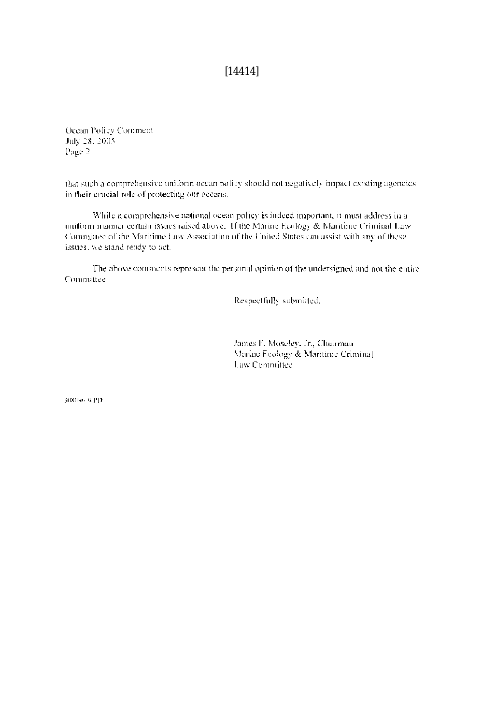$[14414]$ 

Ocean Policy Comment July 28, 2005 Page 2

that such a comprehensive uniform ocean policy should not negatively impact existing agencies. in their crucial role of protecting our oceans.

While a comprehensive national ocean policy is indeed important, it must address in a uniform manner certain issues raised above. If the Marine Ecology & Maritime Criminal Law Committee of the Maritime Law Association of the United States can assist with any of these issues, we stand ready to act.

The above comments represent the personal opinion of the undersigned and not the entire Committee.

Respectfully submitted.

James F. Moselev, Jr., Chairman Marine Ecology & Maritime Criminal Law Committee

308096 WPD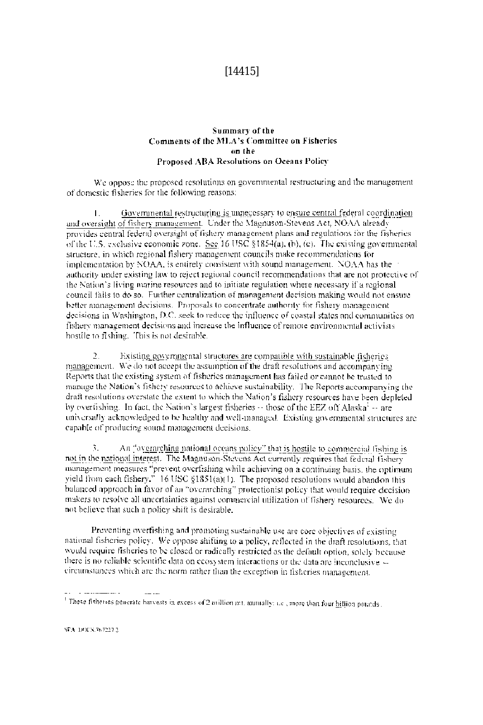# $[14415]$

#### Summary of the Comments of the MLA's Committee on Fisheries on the Proposed ABA Resolutions on Oceans Policy

We onpose the proposed resolutions on governmental restructuring and the management of domestic fisheries for the following reasons:

 $\mathbf{L}$ Governmental restructuring is unnecessary to ensure central federal coordination and oversight of fishery management. Under the Magnuson-Stevens Act, NOAA already provides central federal oversight of fishery management plans and regulations for the fisheries of the U.S. exclusive economic zone. See 16 USC §1854(a), (b), (c). The existing governmental structure, in which regional fishery management councils make recommendations for implementation by NOAA, is entirely consistent with sound management. NOAA has the authority under existing law to reject regional council recommendations that are not protective of the Nation's living marine resources and to initiate regulation where necessary if a regional council fails to do so. Further centralization of management decision making would not ensure better management decisions. Proposals to concentrate authority for fishery management decisions in Washington, D.C. seek to reduce the influence of coastal states and communities on fishery management decisions and increase the influence of remote environmental activists hostile to fishing. This is not desirable.

 $\overline{2}$ . Existing governmental structures are compatible with sustainable fisheries. management. We do not accept the assumption of the draft resolutions and accompanying Reports that the existing system of fisheries management has failed or cannot be trusted to manage the Nation's fishery resources to achieve sustainability. The Reports accompanying the draft resolutions overstate the extent to which the Nation's fishery resources have been depleted by overfishing. In fact, the Nation's largest fisheries -- those of the EEZ off Alaska<sup>1</sup> -- are universally acknowledged to be healthy and well-managed. Existing governmental structures are capable of producing sound management decisions.

Ã. An "overarching national oceans policy" that is hostile to commercial fishing is not in the national interest. The Magnuson-Stevens Act currently requires that federal fishery management measures "prevent overfishing while achieving on a continuing basis, the optimum yield from each fishery."  $16$  USC  $\S 1851(a)(1)$ . The proposed resolutions would abandon this balanced approach in favor of an "overarching" protectionist policy that would require decision makers to resolve all uncertainties against commercial utilization of fishery resources. We do not believe that such a policy shift is desirable.

Preventing overfishing and promoting sustainable use are core objectives of existing national fisheries policy. We oppose shifting to a policy, reflected in the draft resolutions, that would require fisheries to be closed or radically restricted as the default option, solely because there is no reliable scientific data on ecosystem interactions or the data are inconclusive -circumstances which are the norm rather than the exception in fisheries management.

<sup>&</sup>lt;sup>1</sup> These fisheries generate harvests in excess of 2 million ntt, annually; i.e., more than four hitlich pounds.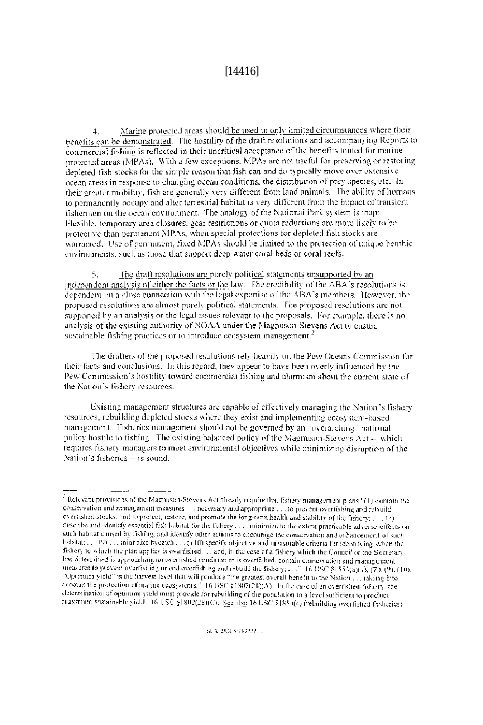# $[14416]$

Marine protected areas should be used in only limited circumstances where their  $\mathbf{I}$ benefits can be demonstrated. The hostility of the draft resolutions and accompanying Reports to commercial fishing is reflected in their uncritical acceptance of the benefits touted for marine protected areas (MPAs). With a few exceptions, MPAs are not useful for preserving or restoring depleted fish stocks for the simple reason that fish can and do typically move over extensive ocean areas in response to changing ocean conditions, the distribution of prey species, etc. In their greater mobility, fish are generally very different from land animals. The ability of numans to nermanently occupy and alter terrestrial habitat is very different from the impact of transient fishermen on the ocean environment. The analogy of the National Park system is inant. Flexible, temporary area closures, gear restrictions or quota reductions are more likely to be protective than permanent MPAs, when special protections for depleted fish stocks are warranted. Use of nermanent, fixed MPAs should be limited to the protection of unique benthic environments, such as those that support deep water coral beds or coral reefs.

 $\overline{S}$ . The draft resolutions are purely political statements unsupported by an independent analysis of either the facts or the law. The credibility of the ABA's resolutions is dependent on a close connection with the legal expertise of the ABA's members. However, the proposed resolutions are almost purely political statements. The proposed resolutions are not supported by an analysis of the legal issues relevant to the proposals. For example, there is no analysis of the existing authority of NOAA under the Magnuson-Stevens Act to ensure sustainable fishing practices or to introduce ecosystem management.<sup>2</sup>

The drafters of the proposed resolutions rely heavily on the Pew Oceans Commission for their facts and conclusions. In this regard, they appear to have been overly influenced by the Pew Commission's hostility toward commercial fishing and alarmism about the current state of the Nation's fishery resources.

Existing management structures are capable of effectively managing the Nation's fishery resources, rebuilding depleted stocks where they exist and implementing ecosystem-based. management. Fisheries management should not be governed by an "overarching" national policy hostile to tishing. The existing balanced policy of the Magnuson-Stevens Act -- which requires fishery managers to meet environmental objectives while minimizing disruption of the Nation's fisheries -- is sound.

 $^3$  Relevant provisions of the Magnusen-Stevens Act already require that fishery management plans "(1) contain the conservation and management measures . . . necessary and approprime . . . to prevent overfishing and rebuild overlished stocks, and to protect, restore, and promote the long-term health and stability of the fishery; ... (7) describe and identify essential fish habital for the fishery . . . , minimize to the extent practicable adverse effects on such habitat caused by fishing, and identify other actions to encourage the conservation and enhancement of such habitat;  $\ldots$  (9) ... minimize by eatel),  $\ldots$ ; (10) specify objective and measurable criteria for identifying when the fishery to which the plan applies is overfished ... and, in the case of a fishery which the Council or the Scoretary has determined is approaching an overfished condition or is overfished, contain conservation and management ineasures to prevent overfishing or end overfishing and rebuild the fishery; ... " 16 USC §1853(a)(1), (7), (9), (10), "Optimum yield" is the harvest level that will produce "the greatest overall benefit to the Nation ... taking into necount the protection of marine ecosystems." 16 USC §1802(28)(A). In the case of an overfished fishery, the determination of optimum yield must provide for rebuilding of the population to a level sufficient to produce maximum sustainable yield. 16 USC §1802(28)(C). See also 16 USC §1854(e) (rebuilding overfished fisheries).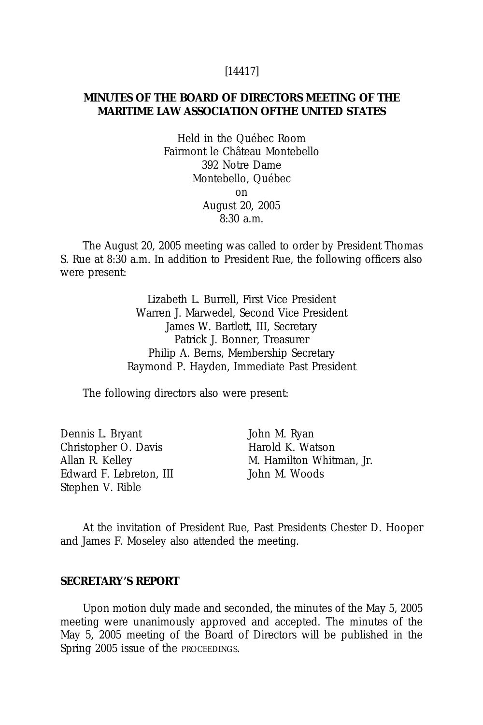### [14417]

# **MINUTES OF THE BOARD OF DIRECTORS MEETING OF THE MARITIME LAW ASSOCIATION OFTHE UNITED STATES**

Held in the Québec Room Fairmont le Château Montebello 392 Notre Dame Montebello, Québec on August 20, 2005  $8:30 a.m.$ 

The August 20, 2005 meeting was called to order by President Thomas S. Rue at 8:30 a.m. In addition to President Rue, the following officers also were present:

> Lizabeth L. Burrell, First Vice President Warren J. Marwedel, Second Vice President James W. Bartlett, III, Secretary Patrick J. Bonner, Treasurer Philip A. Berns, Membership Secretary Raymond P. Hayden, Immediate Past President

The following directors also were present:

Dennis L. Bryant John M. Ryan Christopher O. Davis Harold K. Watson Edward F. Lebreton, III John M. Woods Stephen V. Rible

Allan R. Kelley M. Hamilton Whitman, Jr.

At the invitation of President Rue, Past Presidents Chester D. Hooper and James F. Moseley also attended the meeting.

### **SECRETARY'S REPORT**

Upon motion duly made and seconded, the minutes of the May 5, 2005 meeting were unanimously approved and accepted. The minutes of the May 5, 2005 meeting of the Board of Directors will be published in the Spring 2005 issue of the PROCEEDINGS.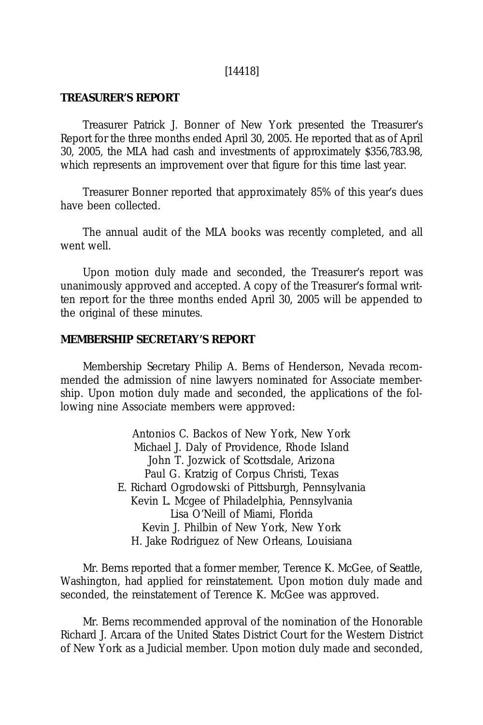### [14418]

# **TREASURER'S REPORT**

Treasurer Patrick J. Bonner of New York presented the Treasurer's Report for the three months ended April 30, 2005. He reported that as of April 30, 2005, the MLA had cash and investments of approximately \$356,783.98, which represents an improvement over that figure for this time last year.

Treasurer Bonner reported that approximately 85% of this year's dues have been collected.

The annual audit of the MLA books was recently completed, and all went well.

Upon motion duly made and seconded, the Treasurer's report was unanimously approved and accepted. A copy of the Treasurer's formal written report for the three months ended April 30, 2005 will be appended to the original of these minutes.

## **MEMBERSHIP SECRETARY'S REPORT**

Membership Secretary Philip A. Berns of Henderson, Nevada recommended the admission of nine lawyers nominated for Associate membership. Upon motion duly made and seconded, the applications of the following nine Associate members were approved:

> Antonios C. Backos of New York, New York Michael J. Daly of Providence, Rhode Island John T. Jozwick of Scottsdale, Arizona Paul G. Kratzig of Corpus Christi, Texas E. Richard Ogrodowski of Pittsburgh, Pennsylvania Kevin L. Mcgee of Philadelphia, Pennsylvania Lisa O'Neill of Miami, Florida Kevin J. Philbin of New York, New York H. Jake Rodriguez of New Orleans, Louisiana

Mr. Berns reported that a former member, Terence K. McGee, of Seattle, Washington, had applied for reinstatement. Upon motion duly made and seconded, the reinstatement of Terence K. McGee was approved.

Mr. Berns recommended approval of the nomination of the Honorable Richard J. Arcara of the United States District Court for the Western District of New York as a Judicial member. Upon motion duly made and seconded,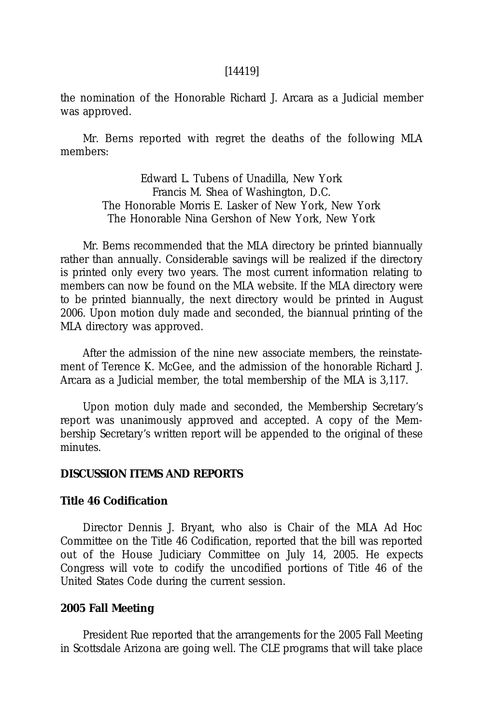## [14419]

the nomination of the Honorable Richard J. Arcara as a Judicial member was approved.

Mr. Berns reported with regret the deaths of the following MLA members:

> Edward L. Tubens of Unadilla, New York Francis M. Shea of Washington, D.C. The Honorable Morris E. Lasker of New York, New York The Honorable Nina Gershon of New York, New York

Mr. Berns recommended that the MLA directory be printed biannually rather than annually. Considerable savings will be realized if the directory is printed only every two years. The most current information relating to members can now be found on the MLA website. If the MLA directory were to be printed biannually, the next directory would be printed in August 2006. Upon motion duly made and seconded, the biannual printing of the MLA directory was approved.

After the admission of the nine new associate members, the reinstatement of Terence K. McGee, and the admission of the honorable Richard J. Arcara as a Judicial member, the total membership of the MLA is 3,117.

Upon motion duly made and seconded, the Membership Secretary's report was unanimously approved and accepted. A copy of the Membership Secretary's written report will be appended to the original of these minutes.

### **DISCUSSION ITEMS AND REPORTS**

### **Title 46 Codification**

Director Dennis J. Bryant, who also is Chair of the MLA A*d Hoc* Committee on the Title 46 Codification, reported that the bill was reported out of the House Judiciary Committee on July 14, 2005. He expects Congress will vote to codify the uncodified portions of Title 46 of the United States Code during the current session.

### **2005 Fall Meeting**

President Rue reported that the arrangements for the 2005 Fall Meeting in Scottsdale Arizona are going well. The CLE programs that will take place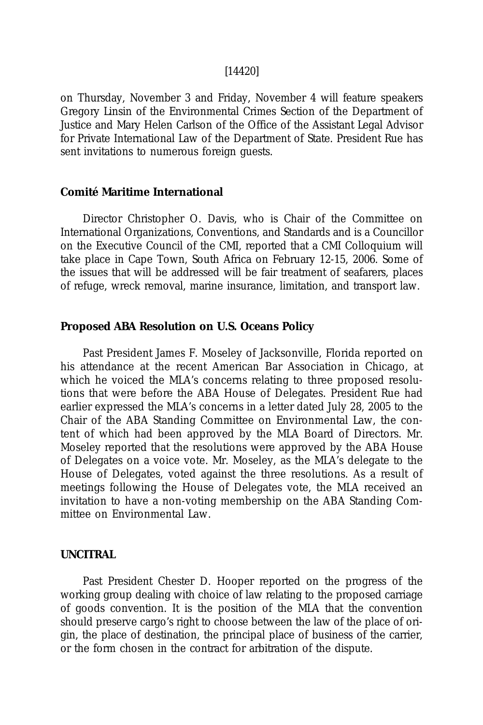#### [14420]

on Thursday, November 3 and Friday, November 4 will feature speakers Gregory Linsin of the Environmental Crimes Section of the Department of Justice and Mary Helen Carlson of the Office of the Assistant Legal Advisor for Private International Law of the Department of State. President Rue has sent invitations to numerous foreign guests.

### **Comité Maritime International**

Director Christopher O. Davis, who is Chair of the Committee on International Organizations, Conventions, and Standards and is a Councillor on the Executive Council of the CMI, reported that a CMI Colloquium will take place in Cape Town, South Africa on February 12-15, 2006. Some of the issues that will be addressed will be fair treatment of seafarers, places of refuge, wreck removal, marine insurance, limitation, and transport law.

### **Proposed ABA Resolution on U.S. Oceans Policy**

Past President James F. Moseley of Jacksonville, Florida reported on his attendance at the recent American Bar Association in Chicago, at which he voiced the MLA's concerns relating to three proposed resolutions that were before the ABA House of Delegates. President Rue had earlier expressed the MLA's concerns in a letter dated July 28, 2005 to the Chair of the ABA Standing Committee on Environmental Law, the content of which had been approved by the MLA Board of Directors. Mr. Moseley reported that the resolutions were approved by the ABA House of Delegates on a voice vote. Mr. Moseley, as the MLA's delegate to the House of Delegates, voted against the three resolutions. As a result of meetings following the House of Delegates vote, the MLA received an invitation to have a non-voting membership on the ABA Standing Committee on Environmental Law.

#### **UNCITRAL**

Past President Chester D. Hooper reported on the progress of the working group dealing with choice of law relating to the proposed carriage of goods convention. It is the position of the MLA that the convention should preserve cargo's right to choose between the law of the place of origin, the place of destination, the principal place of business of the carrier, or the form chosen in the contract for arbitration of the dispute.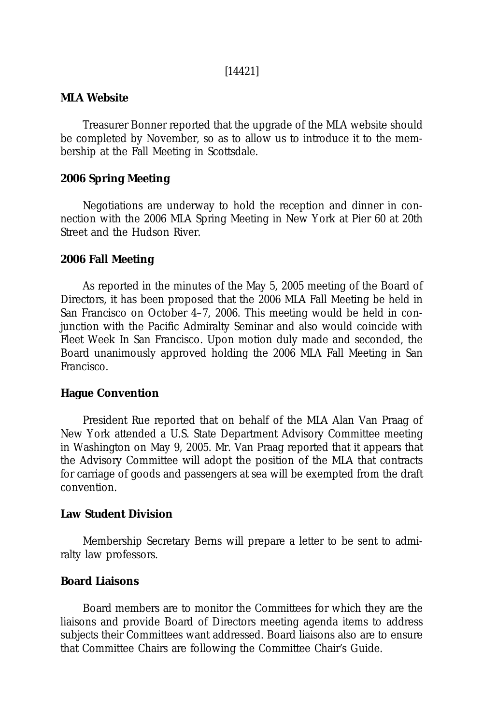### [14421]

## **MLA Website**

Treasurer Bonner reported that the upgrade of the MLA website should be completed by November, so as to allow us to introduce it to the membership at the Fall Meeting in Scottsdale.

# **2006 Spring Meeting**

Negotiations are underway to hold the reception and dinner in connection with the 2006 MLA Spring Meeting in New York at Pier 60 at 20th Street and the Hudson River.

### **2006 Fall Meeting**

As reported in the minutes of the May 5, 2005 meeting of the Board of Directors, it has been proposed that the 2006 MLA Fall Meeting be held in San Francisco on October 4–7, 2006. This meeting would be held in conjunction with the Pacific Admiralty Seminar and also would coincide with Fleet Week In San Francisco. Upon motion duly made and seconded, the Board unanimously approved holding the 2006 MLA Fall Meeting in San Francisco.

# **Hague Convention**

President Rue reported that on behalf of the MLA Alan Van Praag of New York attended a U.S. State Department Advisory Committee meeting in Washington on May 9, 2005. Mr. Van Praag reported that it appears that the Advisory Committee will adopt the position of the MLA that contracts for carriage of goods and passengers at sea will be exempted from the draft convention.

# **Law Student Division**

Membership Secretary Berns will prepare a letter to be sent to admiralty law professors.

# **Board Liaisons**

Board members are to monitor the Committees for which they are the liaisons and provide Board of Directors meeting agenda items to address subjects their Committees want addressed. Board liaisons also are to ensure that Committee Chairs are following the Committee Chair's Guide.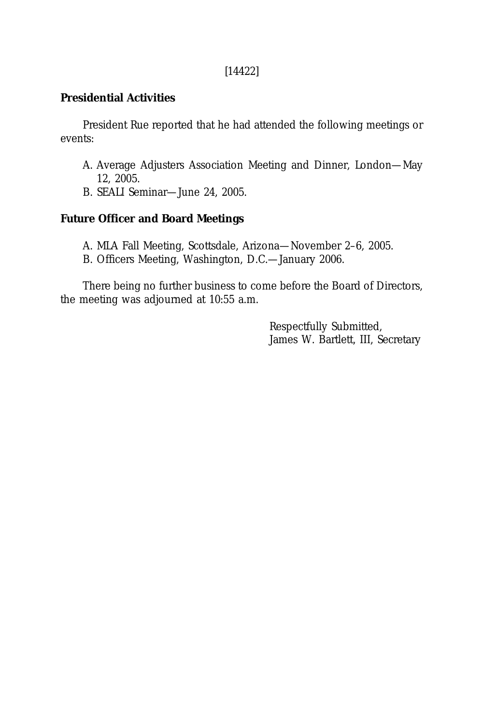# [14422]

# **Presidential Activities**

President Rue reported that he had attended the following meetings or events:

- A. Average Adjusters Association Meeting and Dinner, London—May 12, 2005.
- B. SEALI Seminar—June 24, 2005.

# **Future Officer and Board Meetings**

- A. MLA Fall Meeting, Scottsdale, Arizona—November 2–6, 2005.
- B. Officers Meeting, Washington, D.C.—January 2006.

There being no further business to come before the Board of Directors, the meeting was adjourned at 10:55 a.m.

> Respectfully Submitted, James W. Bartlett, III, Secretary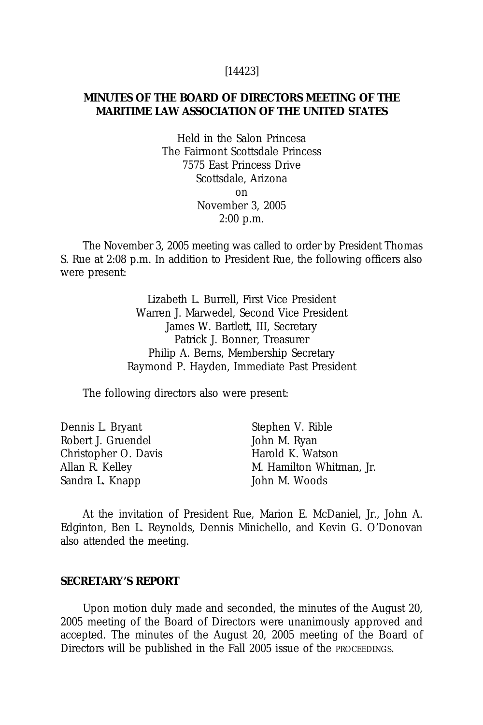#### [14423]

## **MINUTES OF THE BOARD OF DIRECTORS MEETING OF THE MARITIME LAW ASSOCIATION OF THE UNITED STATES**

Held in the Salon Princesa The Fairmont Scottsdale Princess 7575 East Princess Drive Scottsdale, Arizona on November 3, 2005 2:00 p.m.

The November 3, 2005 meeting was called to order by President Thomas S. Rue at 2:08 p.m. In addition to President Rue, the following officers also were present:

> Lizabeth L. Burrell, First Vice President Warren J. Marwedel, Second Vice President James W. Bartlett, III, Secretary Patrick J. Bonner, Treasurer Philip A. Berns, Membership Secretary Raymond P. Hayden, Immediate Past President

The following directors also were present:

| Dennis L. Bryant     | Stephen V. Rible         |
|----------------------|--------------------------|
| Robert J. Gruendel   | John M. Ryan             |
| Christopher O. Davis | Harold K. Watson         |
| Allan R. Kelley      | M. Hamilton Whitman, Jr. |
| Sandra L. Knapp      | John M. Woods            |

At the invitation of President Rue, Marion E. McDaniel, Jr., John A. Edginton, Ben L. Reynolds, Dennis Minichello, and Kevin G. O'Donovan also attended the meeting.

### **SECRETARY'S REPORT**

Upon motion duly made and seconded, the minutes of the August 20, 2005 meeting of the Board of Directors were unanimously approved and accepted. The minutes of the August 20, 2005 meeting of the Board of Directors will be published in the Fall 2005 issue of the PROCEEDINGS.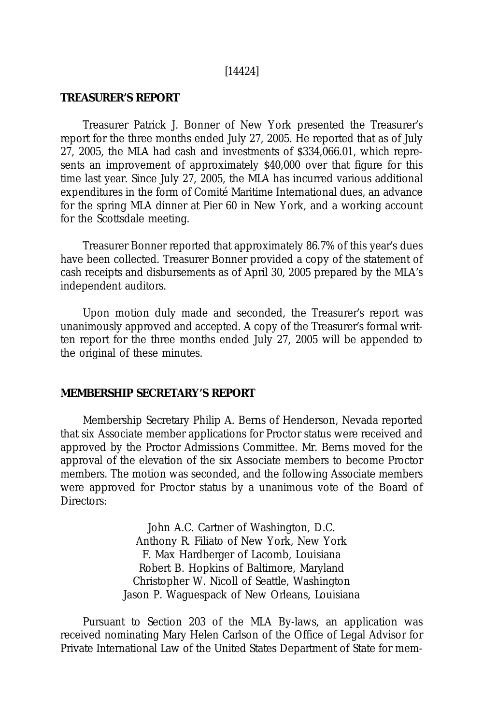#### [14424]

## **TREASURER'S REPORT**

Treasurer Patrick J. Bonner of New York presented the Treasurer's report for the three months ended July 27, 2005. He reported that as of July 27, 2005, the MLA had cash and investments of \$334,066.01, which represents an improvement of approximately \$40,000 over that figure for this time last year. Since July 27, 2005, the MLA has incurred various additional expenditures in the form of Comité Maritime International dues, an advance for the spring MLA dinner at Pier 60 in New York, and a working account for the Scottsdale meeting.

Treasurer Bonner reported that approximately 86.7% of this year's dues have been collected. Treasurer Bonner provided a copy of the statement of cash receipts and disbursements as of April 30, 2005 prepared by the MLA's independent auditors.

Upon motion duly made and seconded, the Treasurer's report was unanimously approved and accepted. A copy of the Treasurer's formal written report for the three months ended July 27, 2005 will be appended to the original of these minutes.

### **MEMBERSHIP SECRETARY'S REPORT**

Membership Secretary Philip A. Berns of Henderson, Nevada reported that six Associate member applications for Proctor status were received and approved by the Proctor Admissions Committee. Mr. Berns moved for the approval of the elevation of the six Associate members to become Proctor members. The motion was seconded, and the following Associate members were approved for Proctor status by a unanimous vote of the Board of Directors:

> John A.C. Cartner of Washington, D.C. Anthony R. Filiato of New York, New York F. Max Hardberger of Lacomb, Louisiana Robert B. Hopkins of Baltimore, Maryland Christopher W. Nicoll of Seattle, Washington Jason P. Waguespack of New Orleans, Louisiana

Pursuant to Section 203 of the MLA By-laws, an application was received nominating Mary Helen Carlson of the Office of Legal Advisor for Private International Law of the United States Department of State for mem-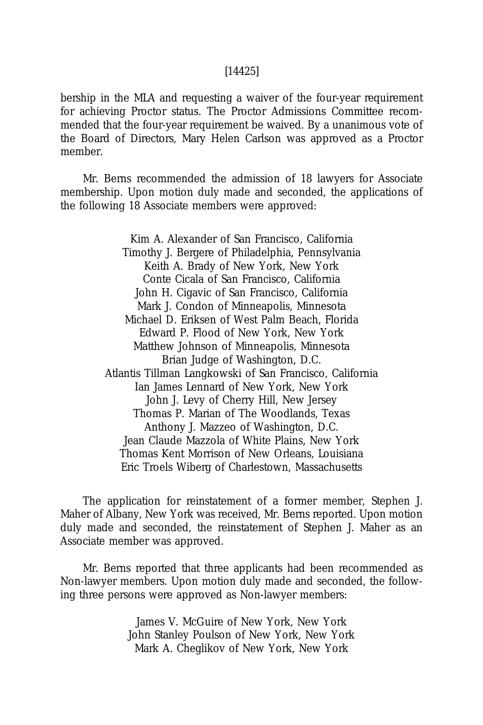bership in the MLA and requesting a waiver of the four-year requirement for achieving Proctor status. The Proctor Admissions Committee recommended that the four-year requirement be waived. By a unanimous vote of the Board of Directors, Mary Helen Carlson was approved as a Proctor member.

Mr. Berns recommended the admission of 18 lawyers for Associate membership. Upon motion duly made and seconded, the applications of the following 18 Associate members were approved:

> Kim A. Alexander of San Francisco, California Timothy J. Bergere of Philadelphia, Pennsylvania Keith A. Brady of New York, New York Conte Cicala of San Francisco, California John H. Cigavic of San Francisco, California Mark J. Condon of Minneapolis, Minnesota Michael D. Eriksen of West Palm Beach, Florida Edward P. Flood of New York, New York Matthew Johnson of Minneapolis, Minnesota Brian Judge of Washington, D.C. Atlantis Tillman Langkowski of San Francisco, California Ian James Lennard of New York, New York John J. Levy of Cherry Hill, New Jersey Thomas P. Marian of The Woodlands, Texas Anthony J. Mazzeo of Washington, D.C. Jean Claude Mazzola of White Plains, New York Thomas Kent Morrison of New Orleans, Louisiana Eric Troels Wiberg of Charlestown, Massachusetts

The application for reinstatement of a former member, Stephen J. Maher of Albany, New York was received, Mr. Berns reported. Upon motion duly made and seconded, the reinstatement of Stephen J. Maher as an Associate member was approved.

Mr. Berns reported that three applicants had been recommended as Non-lawyer members. Upon motion duly made and seconded, the following three persons were approved as Non-lawyer members:

> James V. McGuire of New York, New York John Stanley Poulson of New York, New York Mark A. Cheglikov of New York, New York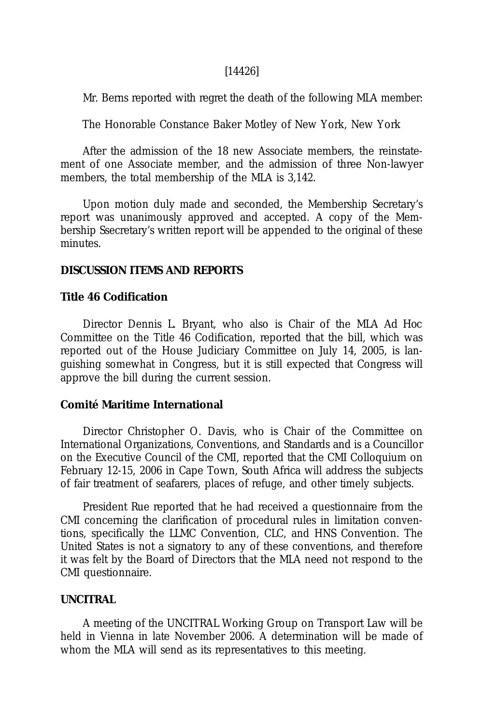### [14426]

Mr. Berns reported with regret the death of the following MLA member:

The Honorable Constance Baker Motley of New York, New York

After the admission of the 18 new Associate members, the reinstatement of one Associate member, and the admission of three Non-lawyer members, the total membership of the MLA is 3,142.

Upon motion duly made and seconded, the Membership Secretary's report was unanimously approved and accepted. A copy of the Membership Ssecretary's written report will be appended to the original of these minutes.

## **DISCUSSION ITEMS AND REPORTS**

### **Title 46 Codification**

Director Dennis L. Bryant, who also is Chair of the MLA *Ad Hoc* Committee on the Title 46 Codification, reported that the bill, which was reported out of the House Judiciary Committee on July 14, 2005, is languishing somewhat in Congress, but it is still expected that Congress will approve the bill during the current session.

## **Comité Maritime International**

Director Christopher O. Davis, who is Chair of the Committee on International Organizations, Conventions, and Standards and is a Councillor on the Executive Council of the CMI, reported that the CMI Colloquium on February 12-15, 2006 in Cape Town, South Africa will address the subjects of fair treatment of seafarers, places of refuge, and other timely subjects.

President Rue reported that he had received a questionnaire from the CMI concerning the clarification of procedural rules in limitation conventions, specifically the LLMC Convention, CLC, and HNS Convention. The United States is not a signatory to any of these conventions, and therefore it was felt by the Board of Directors that the MLA need not respond to the CMI questionnaire.

### **UNCITRAL**

A meeting of the UNCITRAL Working Group on Transport Law will be held in Vienna in late November 2006. A determination will be made of whom the MLA will send as its representatives to this meeting.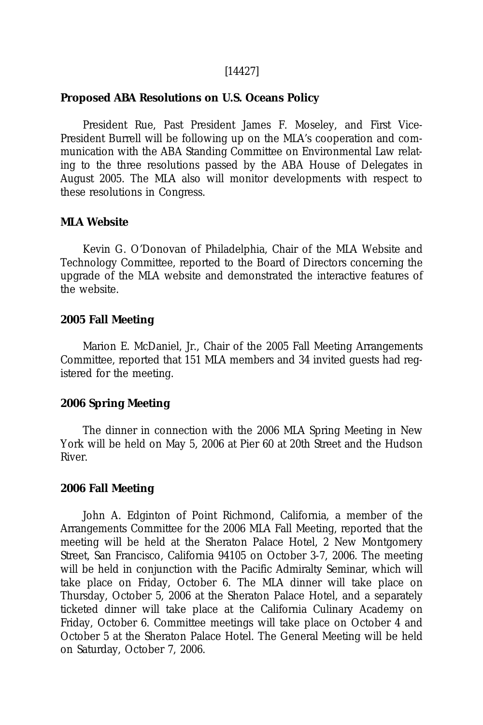## [14427]

## **Proposed ABA Resolutions on U.S. Oceans Policy**

President Rue, Past President James F. Moseley, and First Vice-President Burrell will be following up on the MLA's cooperation and communication with the ABA Standing Committee on Environmental Law relating to the three resolutions passed by the ABA House of Delegates in August 2005. The MLA also will monitor developments with respect to these resolutions in Congress.

#### **MLA Website**

Kevin G. O'Donovan of Philadelphia, Chair of the MLA Website and Technology Committee, reported to the Board of Directors concerning the upgrade of the MLA website and demonstrated the interactive features of the website.

### **2005 Fall Meeting**

Marion E. McDaniel, Jr., Chair of the 2005 Fall Meeting Arrangements Committee, reported that 151 MLA members and 34 invited guests had registered for the meeting.

### **2006 Spring Meeting**

The dinner in connection with the 2006 MLA Spring Meeting in New York will be held on May 5, 2006 at Pier 60 at 20th Street and the Hudson River.

#### **2006 Fall Meeting**

John A. Edginton of Point Richmond, California, a member of the Arrangements Committee for the 2006 MLA Fall Meeting, reported that the meeting will be held at the Sheraton Palace Hotel, 2 New Montgomery Street, San Francisco, California 94105 on October 3-7, 2006. The meeting will be held in conjunction with the Pacific Admiralty Seminar, which will take place on Friday, October 6. The MLA dinner will take place on Thursday, October 5, 2006 at the Sheraton Palace Hotel, and a separately ticketed dinner will take place at the California Culinary Academy on Friday, October 6. Committee meetings will take place on October 4 and October 5 at the Sheraton Palace Hotel. The General Meeting will be held on Saturday, October 7, 2006.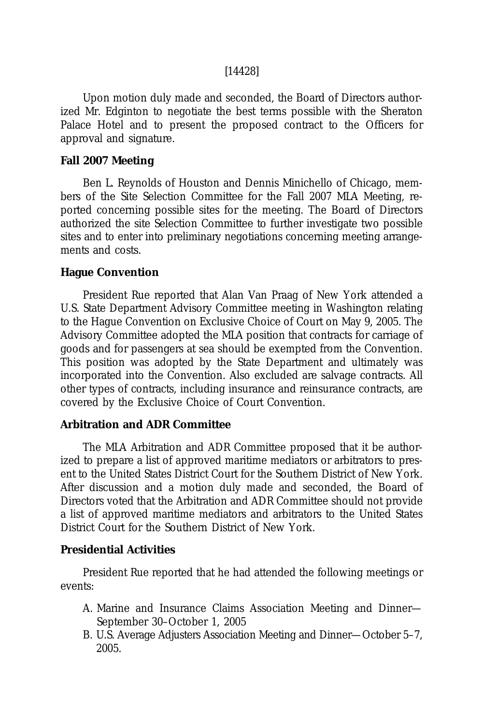## [14428]

Upon motion duly made and seconded, the Board of Directors authorized Mr. Edginton to negotiate the best terms possible with the Sheraton Palace Hotel and to present the proposed contract to the Officers for approval and signature.

## **Fall 2007 Meeting**

Ben L. Reynolds of Houston and Dennis Minichello of Chicago, members of the Site Selection Committee for the Fall 2007 MLA Meeting, reported concerning possible sites for the meeting. The Board of Directors authorized the site Selection Committee to further investigate two possible sites and to enter into preliminary negotiations concerning meeting arrangements and costs.

## **Hague Convention**

President Rue reported that Alan Van Praag of New York attended a U.S. State Department Advisory Committee meeting in Washington relating to the Hague Convention on Exclusive Choice of Court on May 9, 2005. The Advisory Committee adopted the MLA position that contracts for carriage of goods and for passengers at sea should be exempted from the Convention. This position was adopted by the State Department and ultimately was incorporated into the Convention. Also excluded are salvage contracts. All other types of contracts, including insurance and reinsurance contracts, are covered by the Exclusive Choice of Court Convention.

### **Arbitration and ADR Committee**

The MLA Arbitration and ADR Committee proposed that it be authorized to prepare a list of approved maritime mediators or arbitrators to present to the United States District Court for the Southern District of New York. After discussion and a motion duly made and seconded, the Board of Directors voted that the Arbitration and ADR Committee should not provide a list of approved maritime mediators and arbitrators to the United States District Court for the Southern District of New York.

## **Presidential Activities**

President Rue reported that he had attended the following meetings or events:

- A. Marine and Insurance Claims Association Meeting and Dinner— September 30–October 1, 2005
- B. U.S. Average Adjusters Association Meeting and Dinner—October 5–7, 2005.